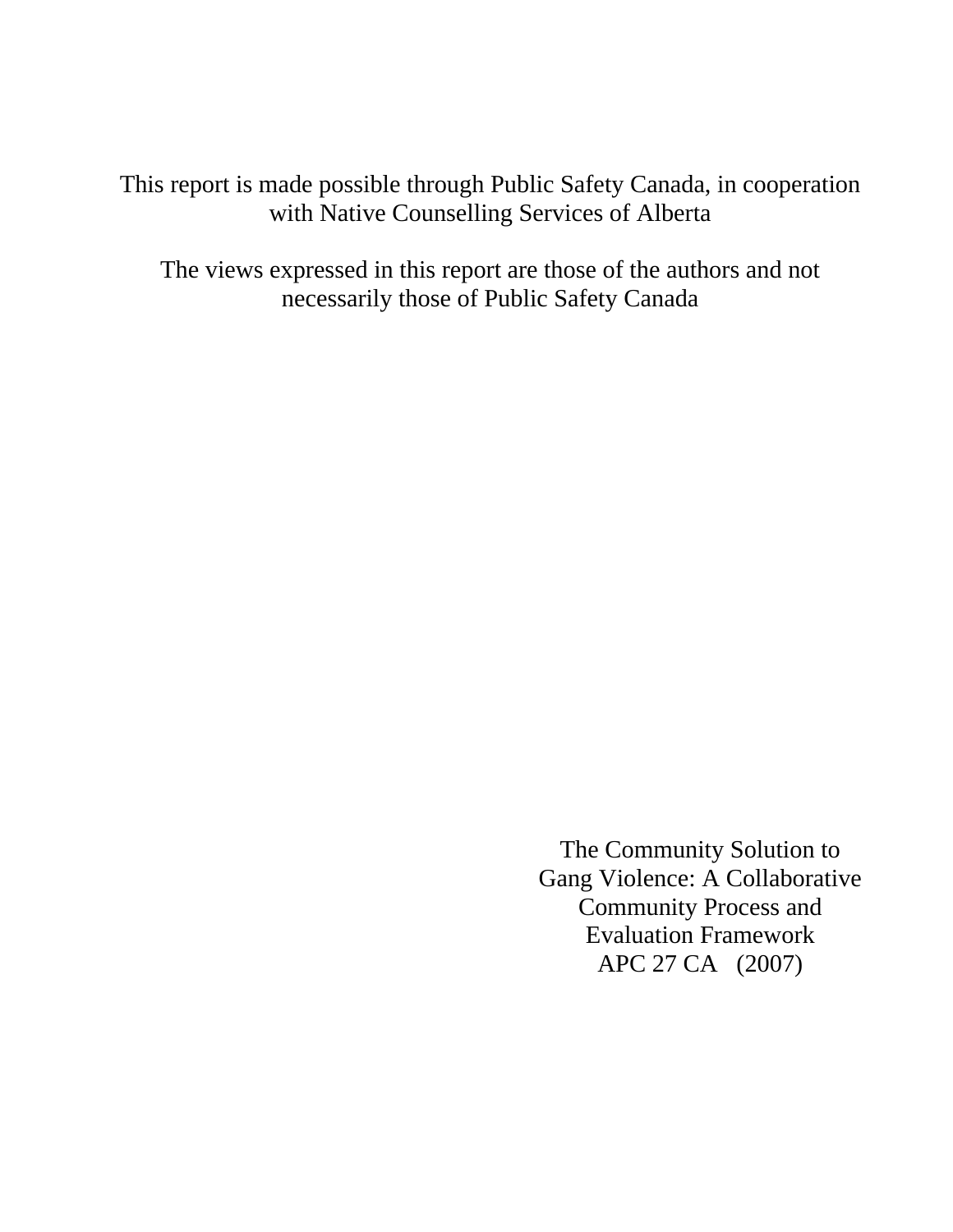This report is made possible through Public Safety Canada, in cooperation with Native Counselling Services of Alberta

The views expressed in this report are those of the authors and not necessarily those of Public Safety Canada

> The Community Solution to Gang Violence: A Collaborative Community Process and Evaluation Framework APC 27 CA (2007)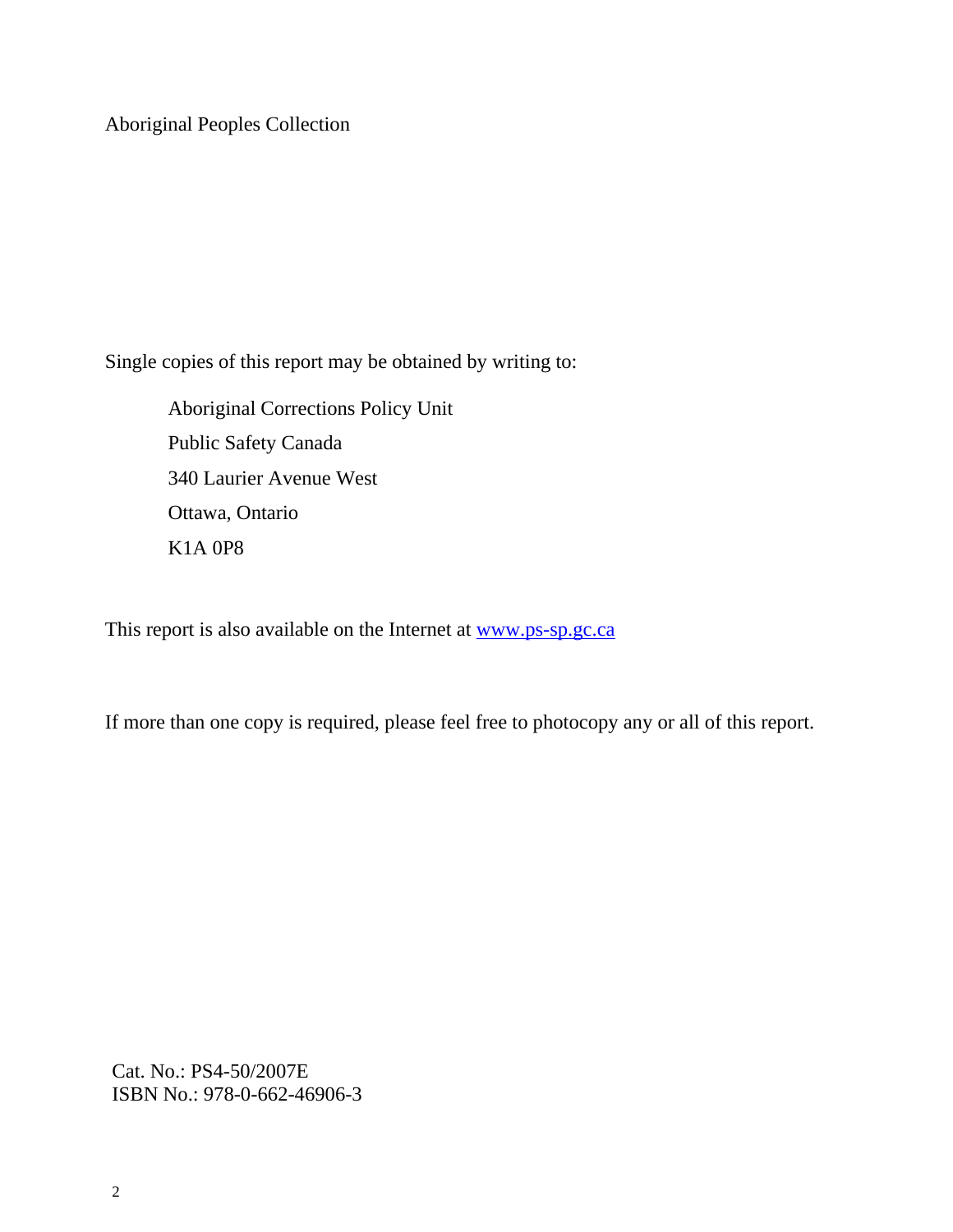Aboriginal Peoples Collection

Single copies of this report may be obtained by writing to:

 Aboriginal Corrections Policy Unit Public Safety Canada 340 Laurier Avenue West Ottawa, Ontario K1A 0P8

This report is also available on the Internet at [www.ps-sp.gc.ca](http://www.psepc-sppcc.gc.ca/)

If more than one copy is required, please feel free to photocopy any or all of this report.

Cat. No.: PS4-50/2007E ISBN No.: 978-0-662-46906-3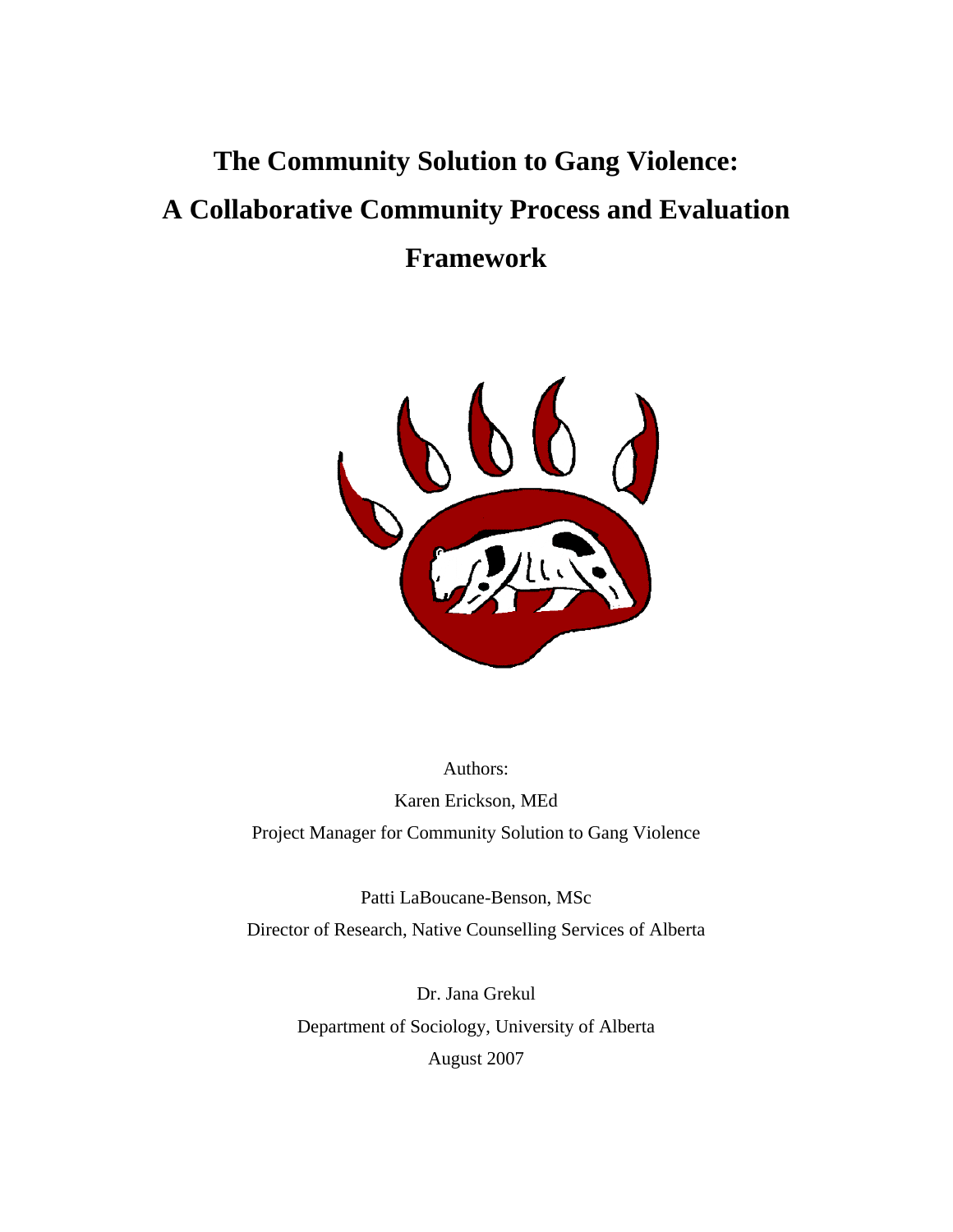# **The Community Solution to Gang Violence: A Collaborative Community Process and Evaluation Framework**



Authors: Karen Erickson, MEd Project Manager for Community Solution to Gang Violence

Patti LaBoucane-Benson, MSc Director of Research, Native Counselling Services of Alberta

> Dr. Jana Grekul Department of Sociology, University of Alberta August 2007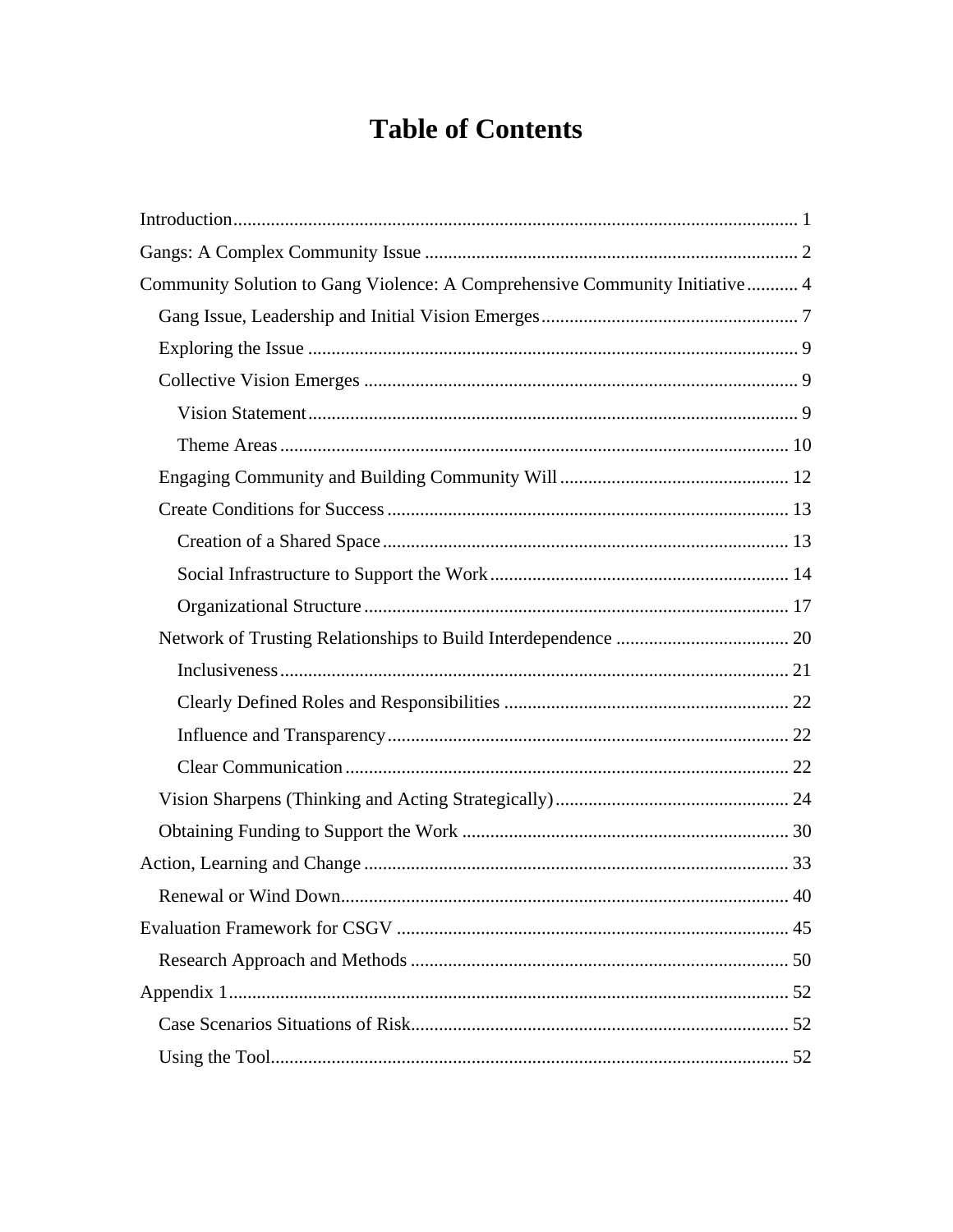## **Table of Contents**

| Community Solution to Gang Violence: A Comprehensive Community Initiative  4 |  |
|------------------------------------------------------------------------------|--|
|                                                                              |  |
|                                                                              |  |
|                                                                              |  |
|                                                                              |  |
|                                                                              |  |
|                                                                              |  |
|                                                                              |  |
|                                                                              |  |
|                                                                              |  |
|                                                                              |  |
|                                                                              |  |
|                                                                              |  |
|                                                                              |  |
|                                                                              |  |
|                                                                              |  |
|                                                                              |  |
|                                                                              |  |
|                                                                              |  |
|                                                                              |  |
|                                                                              |  |
|                                                                              |  |
|                                                                              |  |
|                                                                              |  |
|                                                                              |  |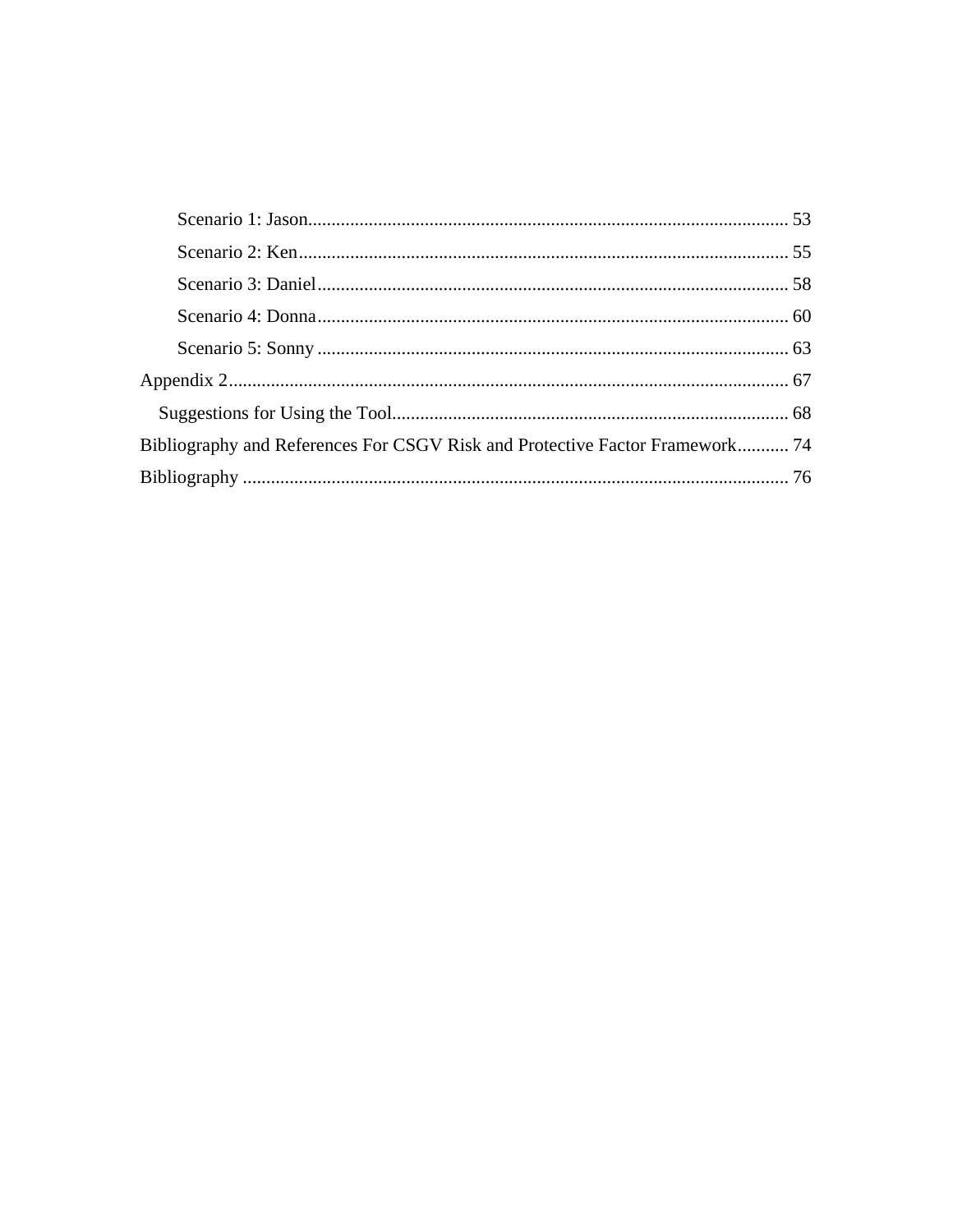| Bibliography and References For CSGV Risk and Protective Factor Framework 74 |  |
|------------------------------------------------------------------------------|--|
|                                                                              |  |
|                                                                              |  |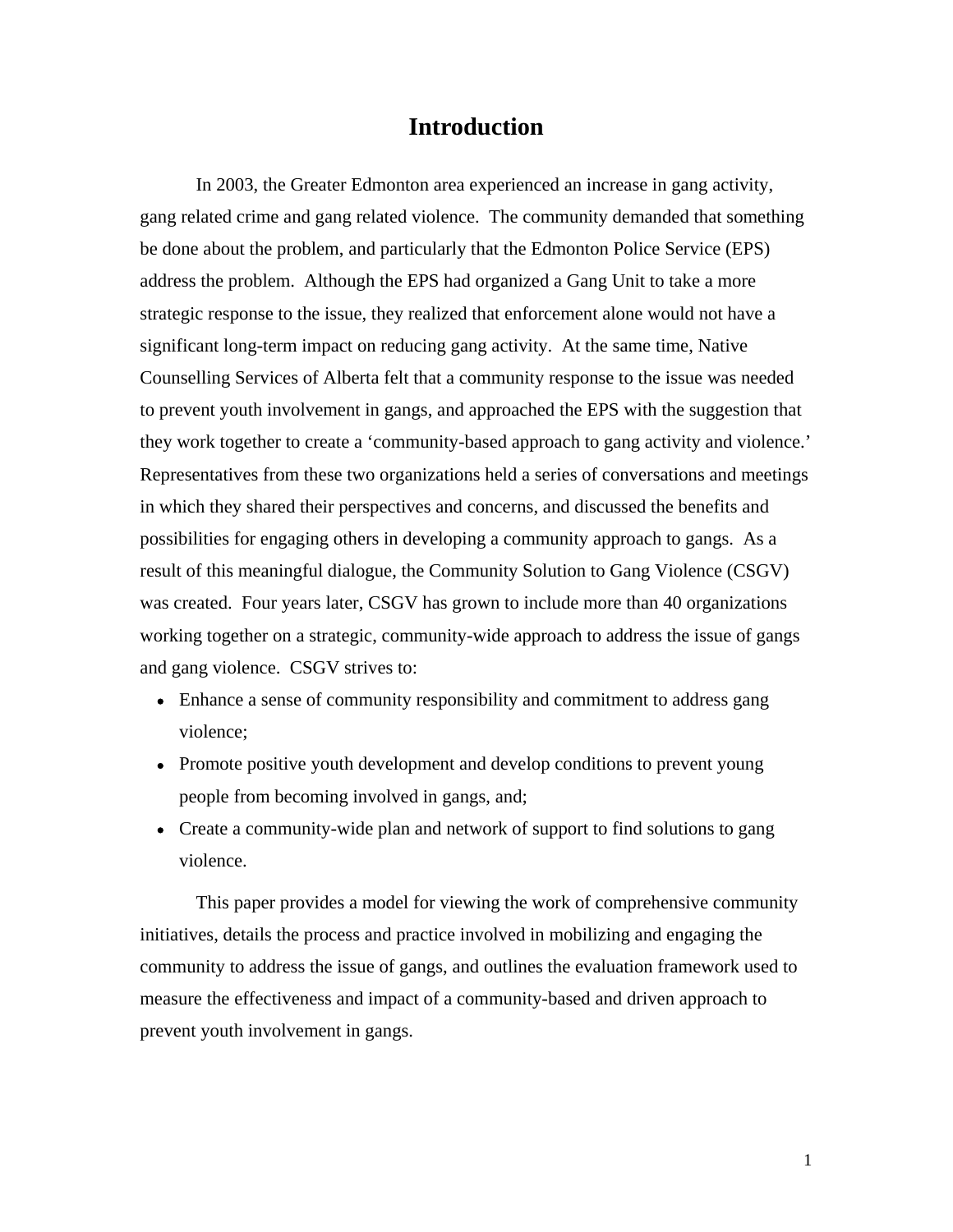## **Introduction**

<span id="page-6-0"></span>In 2003, the Greater Edmonton area experienced an increase in gang activity, gang related crime and gang related violence. The community demanded that something be done about the problem, and particularly that the Edmonton Police Service (EPS) address the problem. Although the EPS had organized a Gang Unit to take a more strategic response to the issue, they realized that enforcement alone would not have a significant long-term impact on reducing gang activity. At the same time, Native Counselling Services of Alberta felt that a community response to the issue was needed to prevent youth involvement in gangs, and approached the EPS with the suggestion that they work together to create a 'community-based approach to gang activity and violence.' Representatives from these two organizations held a series of conversations and meetings in which they shared their perspectives and concerns, and discussed the benefits and possibilities for engaging others in developing a community approach to gangs. As a result of this meaningful dialogue, the Community Solution to Gang Violence (CSGV) was created. Four years later, CSGV has grown to include more than 40 organizations working together on a strategic, community-wide approach to address the issue of gangs and gang violence. CSGV strives to:

- Enhance a sense of community responsibility and commitment to address gang violence;
- Promote positive youth development and develop conditions to prevent young people from becoming involved in gangs, and;
- Create a community-wide plan and network of support to find solutions to gang violence.

This paper provides a model for viewing the work of comprehensive community initiatives, details the process and practice involved in mobilizing and engaging the community to address the issue of gangs, and outlines the evaluation framework used to measure the effectiveness and impact of a community-based and driven approach to prevent youth involvement in gangs.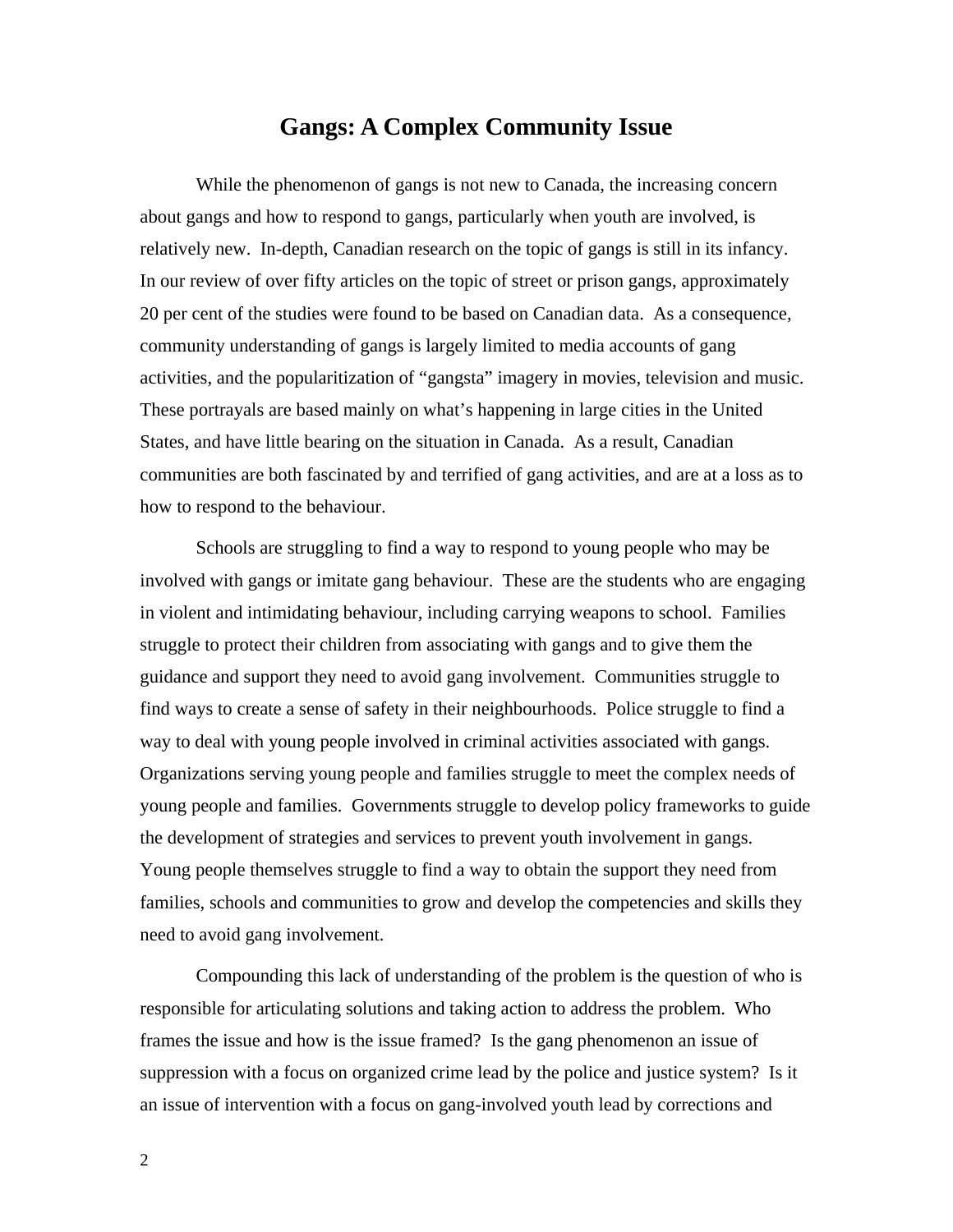## **Gangs: A Complex Community Issue**

<span id="page-7-0"></span>While the phenomenon of gangs is not new to Canada, the increasing concern about gangs and how to respond to gangs, particularly when youth are involved, is relatively new. In-depth, Canadian research on the topic of gangs is still in its infancy. In our review of over fifty articles on the topic of street or prison gangs, approximately 20 per cent of the studies were found to be based on Canadian data. As a consequence, community understanding of gangs is largely limited to media accounts of gang activities, and the popularitization of "gangsta" imagery in movies, television and music. These portrayals are based mainly on what's happening in large cities in the United States, and have little bearing on the situation in Canada. As a result, Canadian communities are both fascinated by and terrified of gang activities, and are at a loss as to how to respond to the behaviour.

Schools are struggling to find a way to respond to young people who may be involved with gangs or imitate gang behaviour. These are the students who are engaging in violent and intimidating behaviour, including carrying weapons to school. Families struggle to protect their children from associating with gangs and to give them the guidance and support they need to avoid gang involvement. Communities struggle to find ways to create a sense of safety in their neighbourhoods. Police struggle to find a way to deal with young people involved in criminal activities associated with gangs. Organizations serving young people and families struggle to meet the complex needs of young people and families. Governments struggle to develop policy frameworks to guide the development of strategies and services to prevent youth involvement in gangs. Young people themselves struggle to find a way to obtain the support they need from families, schools and communities to grow and develop the competencies and skills they need to avoid gang involvement.

Compounding this lack of understanding of the problem is the question of who is responsible for articulating solutions and taking action to address the problem. Who frames the issue and how is the issue framed? Is the gang phenomenon an issue of suppression with a focus on organized crime lead by the police and justice system? Is it an issue of intervention with a focus on gang-involved youth lead by corrections and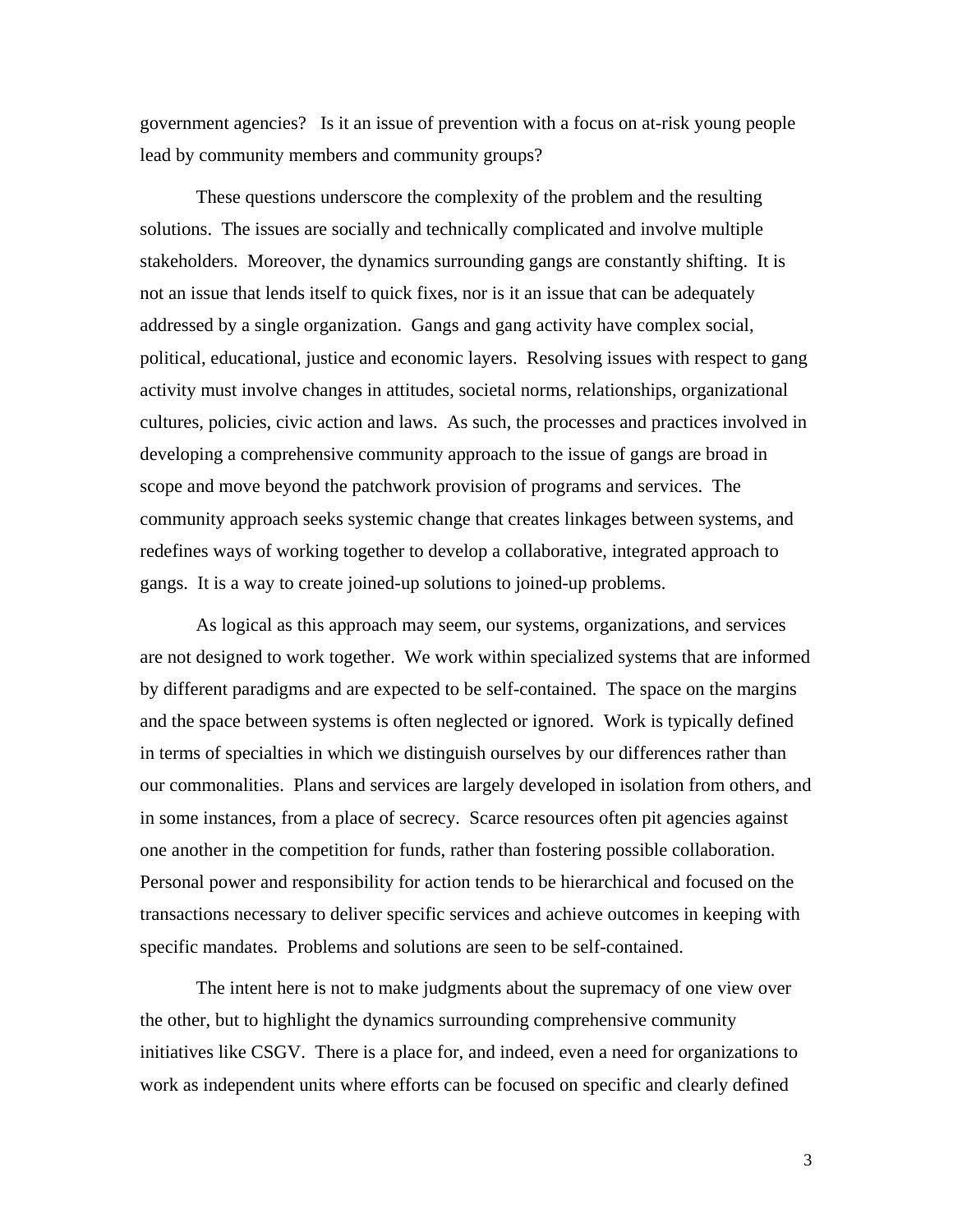government agencies? Is it an issue of prevention with a focus on at-risk young people lead by community members and community groups?

These questions underscore the complexity of the problem and the resulting solutions. The issues are socially and technically complicated and involve multiple stakeholders. Moreover, the dynamics surrounding gangs are constantly shifting. It is not an issue that lends itself to quick fixes, nor is it an issue that can be adequately addressed by a single organization. Gangs and gang activity have complex social, political, educational, justice and economic layers. Resolving issues with respect to gang activity must involve changes in attitudes, societal norms, relationships, organizational cultures, policies, civic action and laws. As such, the processes and practices involved in developing a comprehensive community approach to the issue of gangs are broad in scope and move beyond the patchwork provision of programs and services. The community approach seeks systemic change that creates linkages between systems, and redefines ways of working together to develop a collaborative, integrated approach to gangs. It is a way to create joined-up solutions to joined-up problems.

As logical as this approach may seem, our systems, organizations, and services are not designed to work together. We work within specialized systems that are informed by different paradigms and are expected to be self-contained. The space on the margins and the space between systems is often neglected or ignored. Work is typically defined in terms of specialties in which we distinguish ourselves by our differences rather than our commonalities. Plans and services are largely developed in isolation from others, and in some instances, from a place of secrecy. Scarce resources often pit agencies against one another in the competition for funds, rather than fostering possible collaboration. Personal power and responsibility for action tends to be hierarchical and focused on the transactions necessary to deliver specific services and achieve outcomes in keeping with specific mandates. Problems and solutions are seen to be self-contained.

The intent here is not to make judgments about the supremacy of one view over the other, but to highlight the dynamics surrounding comprehensive community initiatives like CSGV. There is a place for, and indeed, even a need for organizations to work as independent units where efforts can be focused on specific and clearly defined

3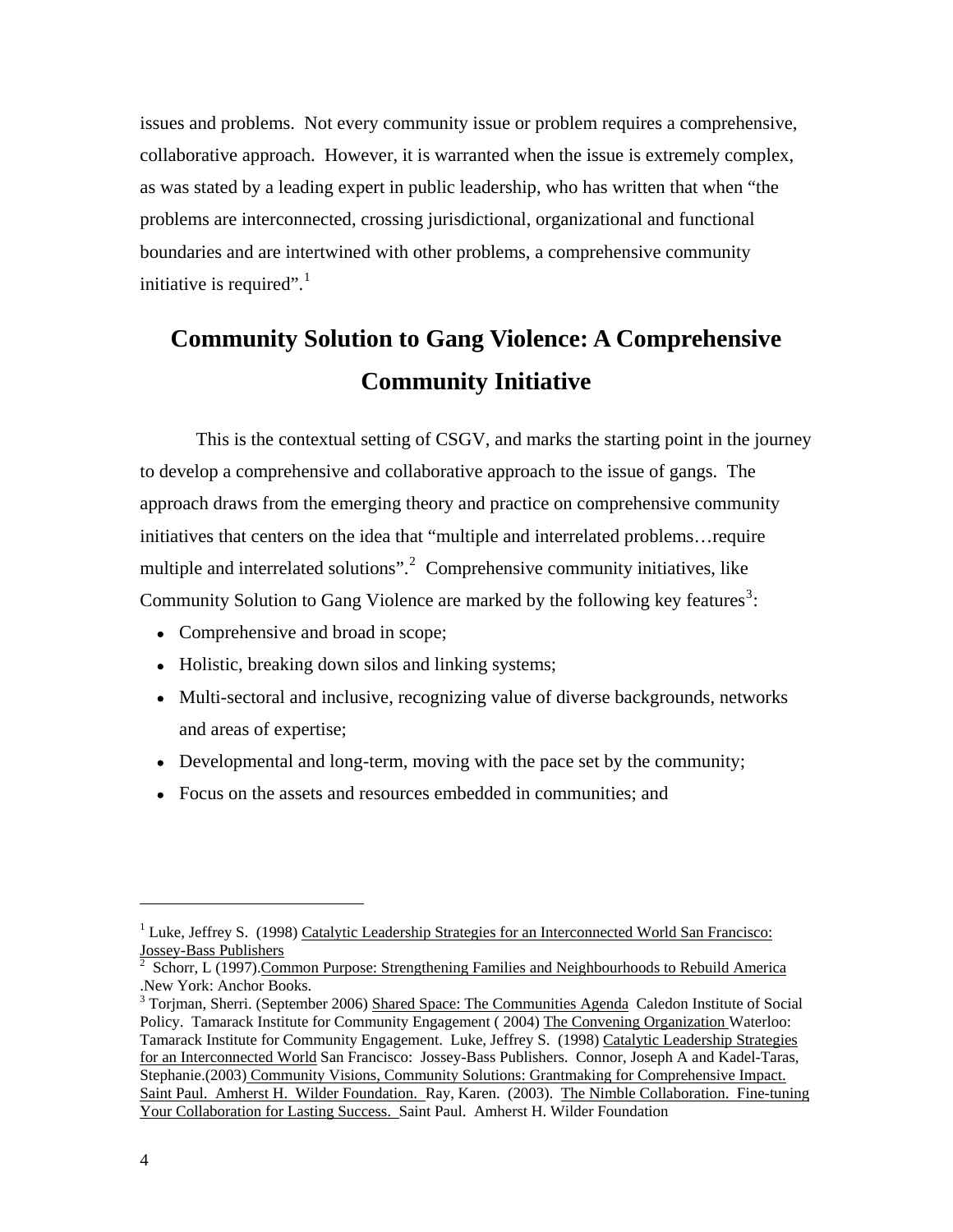<span id="page-9-0"></span>issues and problems. Not every community issue or problem requires a comprehensive, collaborative approach. However, it is warranted when the issue is extremely complex, as was stated by a leading expert in public leadership, who has written that when "the problems are interconnected, crossing jurisdictional, organizational and functional boundaries and are intertwined with other problems, a comprehensive community initiative is required". $\frac{1}{1}$  $\frac{1}{1}$  $\frac{1}{1}$ 

## **Community Solution to Gang Violence: A Comprehensive Community Initiative**

This is the contextual setting of CSGV, and marks the starting point in the journey to develop a comprehensive and collaborative approach to the issue of gangs. The approach draws from the emerging theory and practice on comprehensive community initiatives that centers on the idea that "multiple and interrelated problems…require multiple and interrelated solutions".  $2$  Comprehensive community initiatives, like Community Solution to Gang Violence are marked by the following key features<sup>[3](#page-9-3)</sup>:

- Comprehensive and broad in scope;
- Holistic, breaking down silos and linking systems;
- Multi-sectoral and inclusive, recognizing value of diverse backgrounds, networks and areas of expertise;
- Developmental and long-term, moving with the pace set by the community;
- Focus on the assets and resources embedded in communities; and

 $\overline{a}$ 

<span id="page-9-1"></span><sup>&</sup>lt;sup>1</sup> Luke, Jeffrey S. (1998) Catalytic Leadership Strategies for an Interconnected World San Francisco: Jossey-Bass Publishers

<span id="page-9-2"></span><sup>2</sup> Schorr, L (1997).Common Purpose: Strengthening Families and Neighbourhoods to Rebuild America .New York: Anchor Books.

<span id="page-9-3"></span><sup>&</sup>lt;sup>3</sup> Torjman, Sherri. (September 2006) Shared Space: The Communities Agenda Caledon Institute of Social Policy. Tamarack Institute for Community Engagement ( 2004) The Convening Organization Waterloo: Tamarack Institute for Community Engagement. Luke, Jeffrey S. (1998) Catalytic Leadership Strategies for an Interconnected World San Francisco: Jossey-Bass Publishers. Connor, Joseph A and Kadel-Taras, Stephanie.(2003) Community Visions, Community Solutions: Grantmaking for Comprehensive Impact. Saint Paul. Amherst H. Wilder Foundation. Ray, Karen. (2003). The Nimble Collaboration. Fine-tuning Your Collaboration for Lasting Success. Saint Paul. Amherst H. Wilder Foundation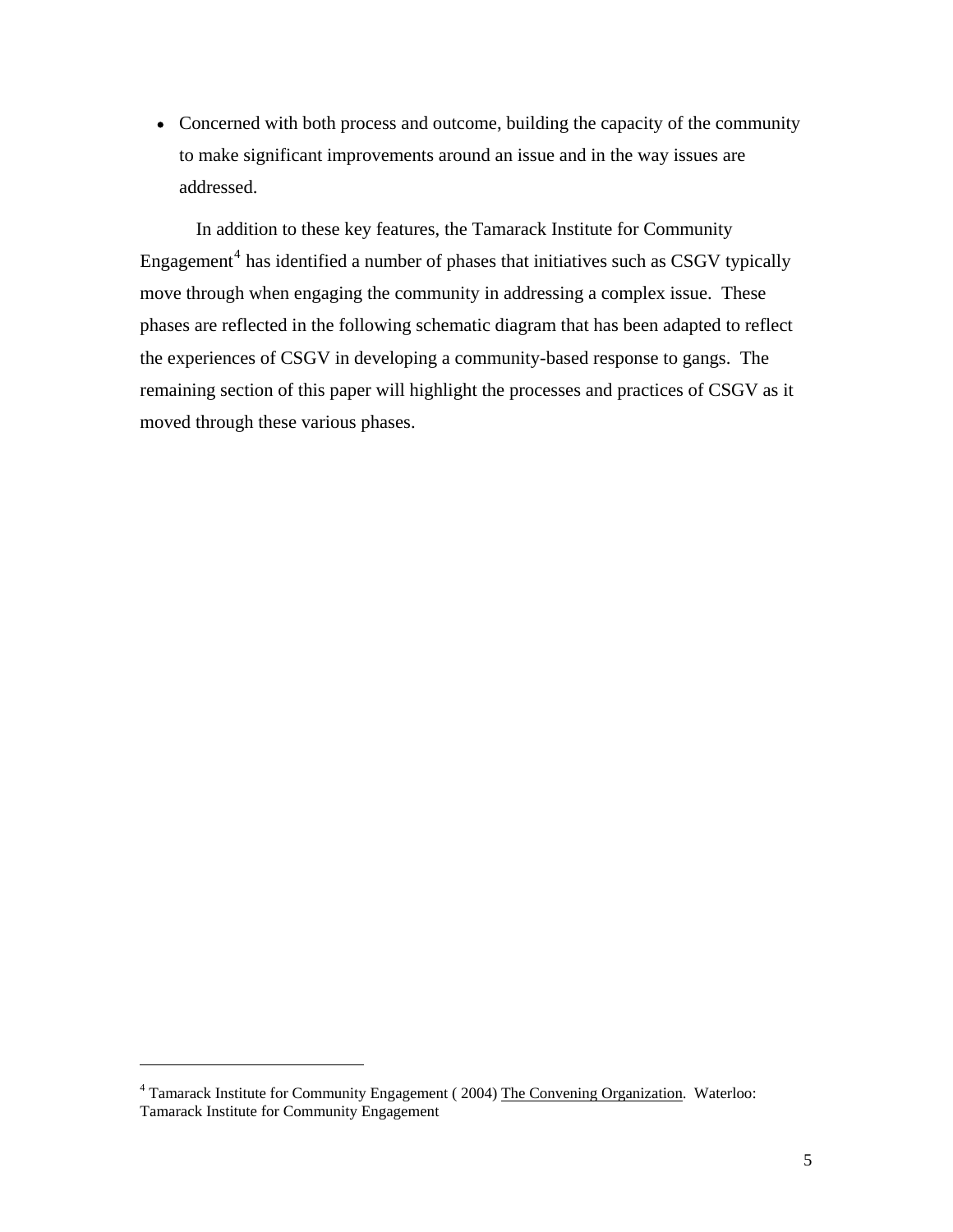<span id="page-10-0"></span>• Concerned with both process and outcome, building the capacity of the community to make significant improvements around an issue and in the way issues are addressed.

In addition to these key features, the Tamarack Institute for Community Engagement<sup>[4](#page-10-0)</sup> has identified a number of phases that initiatives such as CSGV typically move through when engaging the community in addressing a complex issue. These phases are reflected in the following schematic diagram that has been adapted to reflect the experiences of CSGV in developing a community-based response to gangs. The remaining section of this paper will highlight the processes and practices of CSGV as it moved through these various phases.

 $\overline{a}$ 

<sup>&</sup>lt;sup>4</sup> Tamarack Institute for Community Engagement (2004) The Convening Organization. Waterloo: Tamarack Institute for Community Engagement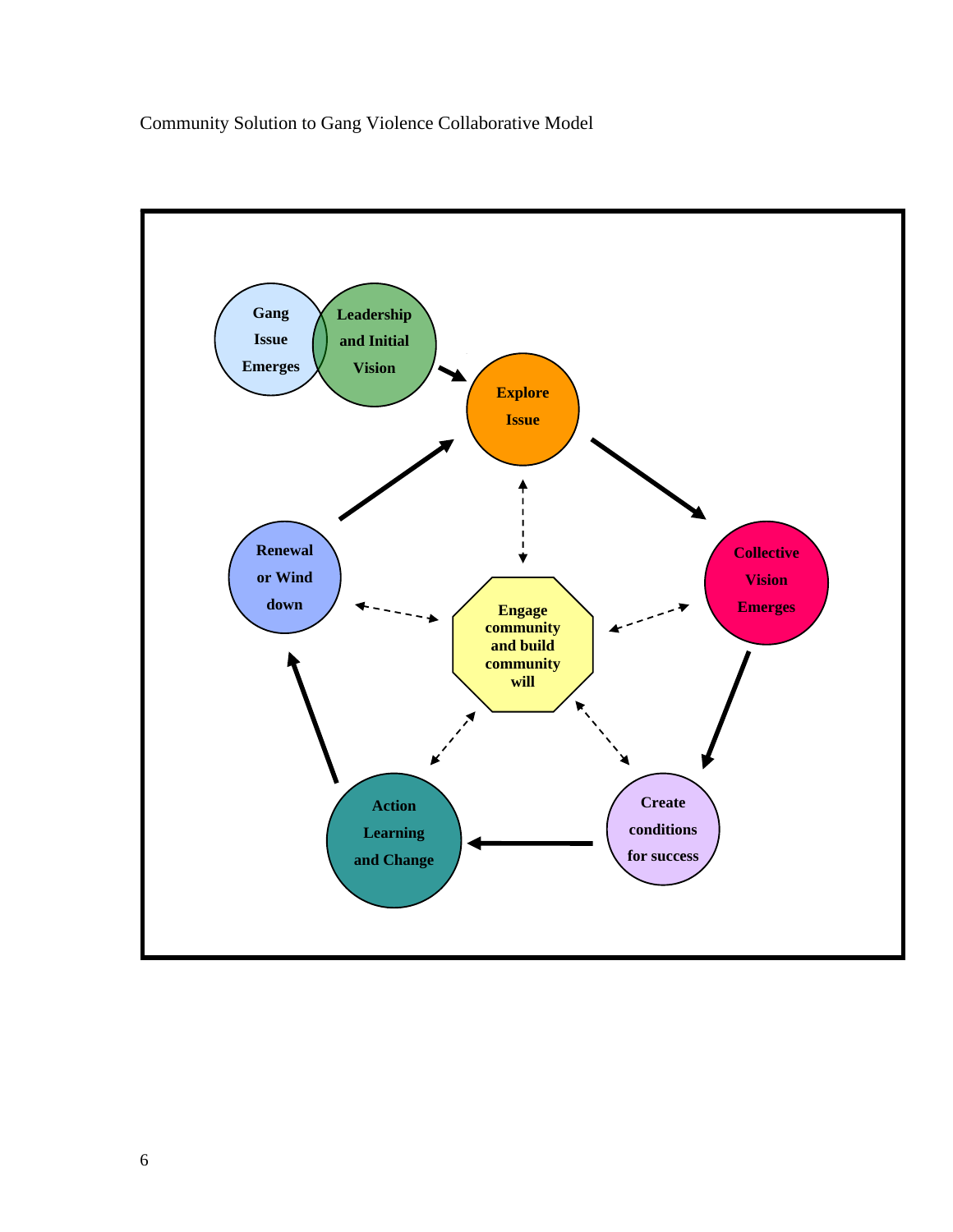Community Solution to Gang Violence Collaborative Model

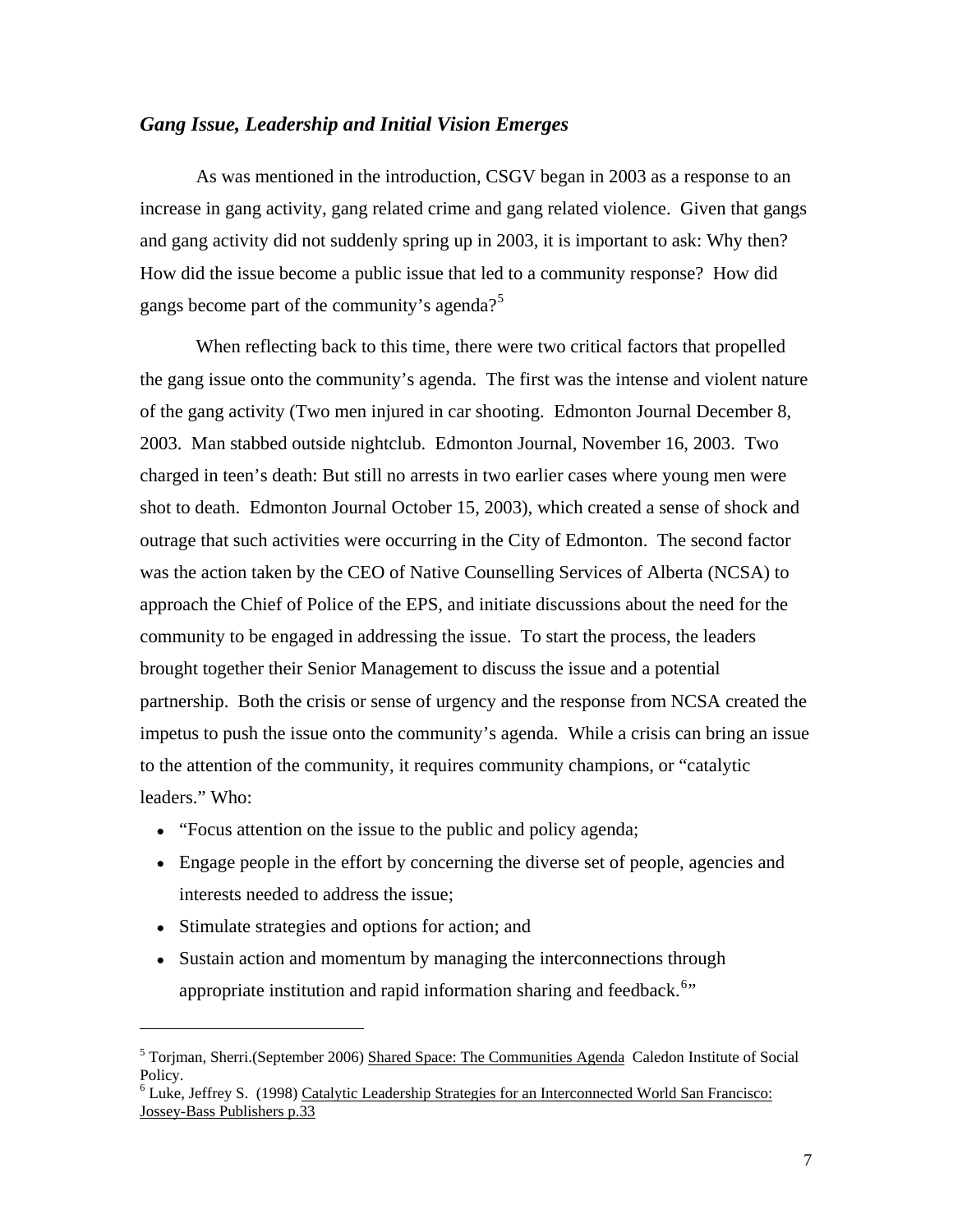## <span id="page-12-0"></span>*Gang Issue, Leadership and Initial Vision Emerges*

As was mentioned in the introduction, CSGV began in 2003 as a response to an increase in gang activity, gang related crime and gang related violence. Given that gangs and gang activity did not suddenly spring up in 2003, it is important to ask: Why then? How did the issue become a public issue that led to a community response? How did gangs become part of the community's agenda?<sup>[5](#page-12-0)</sup>

When reflecting back to this time, there were two critical factors that propelled the gang issue onto the community's agenda. The first was the intense and violent nature of the gang activity (Two men injured in car shooting. Edmonton Journal December 8, 2003. Man stabbed outside nightclub. Edmonton Journal, November 16, 2003. Two charged in teen's death: But still no arrests in two earlier cases where young men were shot to death. Edmonton Journal October 15, 2003), which created a sense of shock and outrage that such activities were occurring in the City of Edmonton. The second factor was the action taken by the CEO of Native Counselling Services of Alberta (NCSA) to approach the Chief of Police of the EPS, and initiate discussions about the need for the community to be engaged in addressing the issue. To start the process, the leaders brought together their Senior Management to discuss the issue and a potential partnership. Both the crisis or sense of urgency and the response from NCSA created the impetus to push the issue onto the community's agenda. While a crisis can bring an issue to the attention of the community, it requires community champions, or "catalytic leaders." Who:

- "Focus attention on the issue to the public and policy agenda;
- Engage people in the effort by concerning the diverse set of people, agencies and interests needed to address the issue;
- Stimulate strategies and options for action; and

 $\overline{a}$ 

• Sustain action and momentum by managing the interconnections through appropriate institution and rapid information sharing and feedback.<sup>[6](#page-12-0)</sup>"

<sup>&</sup>lt;sup>5</sup> Torjman, Sherri.(September 2006) Shared Space: The Communities Agenda Caledon Institute of Social Policy.

<sup>&</sup>lt;sup>6</sup> Luke, Jeffrey S. (1998) Catalytic Leadership Strategies for an Interconnected World San Francisco: Jossey-Bass Publishers p.33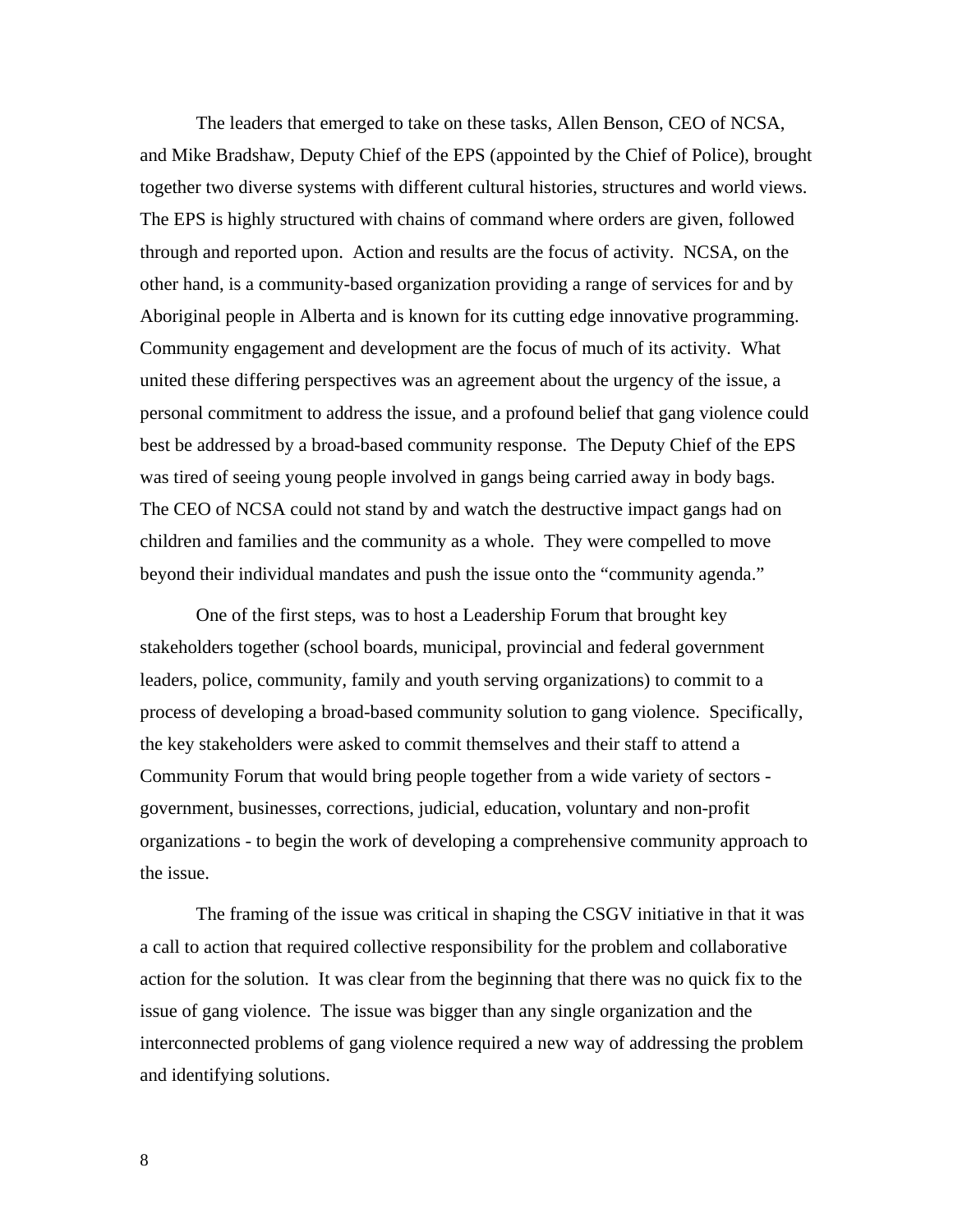The leaders that emerged to take on these tasks, Allen Benson, CEO of NCSA, and Mike Bradshaw, Deputy Chief of the EPS (appointed by the Chief of Police), brought together two diverse systems with different cultural histories, structures and world views. The EPS is highly structured with chains of command where orders are given, followed through and reported upon. Action and results are the focus of activity. NCSA, on the other hand, is a community-based organization providing a range of services for and by Aboriginal people in Alberta and is known for its cutting edge innovative programming. Community engagement and development are the focus of much of its activity. What united these differing perspectives was an agreement about the urgency of the issue, a personal commitment to address the issue, and a profound belief that gang violence could best be addressed by a broad-based community response. The Deputy Chief of the EPS was tired of seeing young people involved in gangs being carried away in body bags. The CEO of NCSA could not stand by and watch the destructive impact gangs had on children and families and the community as a whole. They were compelled to move beyond their individual mandates and push the issue onto the "community agenda."

One of the first steps, was to host a Leadership Forum that brought key stakeholders together (school boards, municipal, provincial and federal government leaders, police, community, family and youth serving organizations) to commit to a process of developing a broad-based community solution to gang violence. Specifically, the key stakeholders were asked to commit themselves and their staff to attend a Community Forum that would bring people together from a wide variety of sectors government, businesses, corrections, judicial, education, voluntary and non-profit organizations - to begin the work of developing a comprehensive community approach to the issue.

The framing of the issue was critical in shaping the CSGV initiative in that it was a call to action that required collective responsibility for the problem and collaborative action for the solution. It was clear from the beginning that there was no quick fix to the issue of gang violence. The issue was bigger than any single organization and the interconnected problems of gang violence required a new way of addressing the problem and identifying solutions.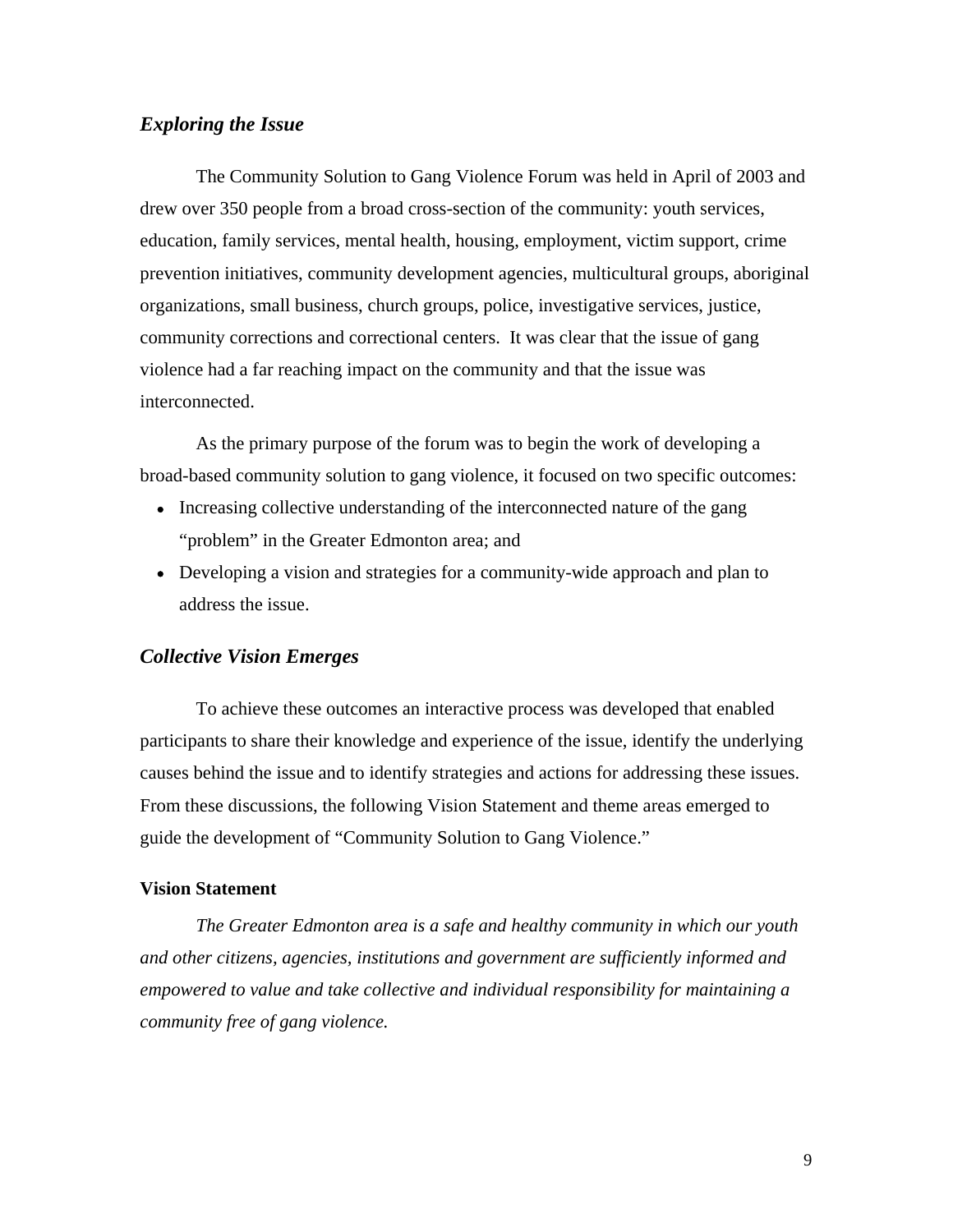## <span id="page-14-0"></span>*Exploring the Issue*

The Community Solution to Gang Violence Forum was held in April of 2003 and drew over 350 people from a broad cross-section of the community: youth services, education, family services, mental health, housing, employment, victim support, crime prevention initiatives, community development agencies, multicultural groups, aboriginal organizations, small business, church groups, police, investigative services, justice, community corrections and correctional centers. It was clear that the issue of gang violence had a far reaching impact on the community and that the issue was interconnected.

As the primary purpose of the forum was to begin the work of developing a broad-based community solution to gang violence, it focused on two specific outcomes:

- Increasing collective understanding of the interconnected nature of the gang "problem" in the Greater Edmonton area; and
- Developing a vision and strategies for a community-wide approach and plan to address the issue.

#### *Collective Vision Emerges*

To achieve these outcomes an interactive process was developed that enabled participants to share their knowledge and experience of the issue, identify the underlying causes behind the issue and to identify strategies and actions for addressing these issues. From these discussions, the following Vision Statement and theme areas emerged to guide the development of "Community Solution to Gang Violence."

#### **Vision Statement**

*The Greater Edmonton area is a safe and healthy community in which our youth and other citizens, agencies, institutions and government are sufficiently informed and empowered to value and take collective and individual responsibility for maintaining a community free of gang violence.*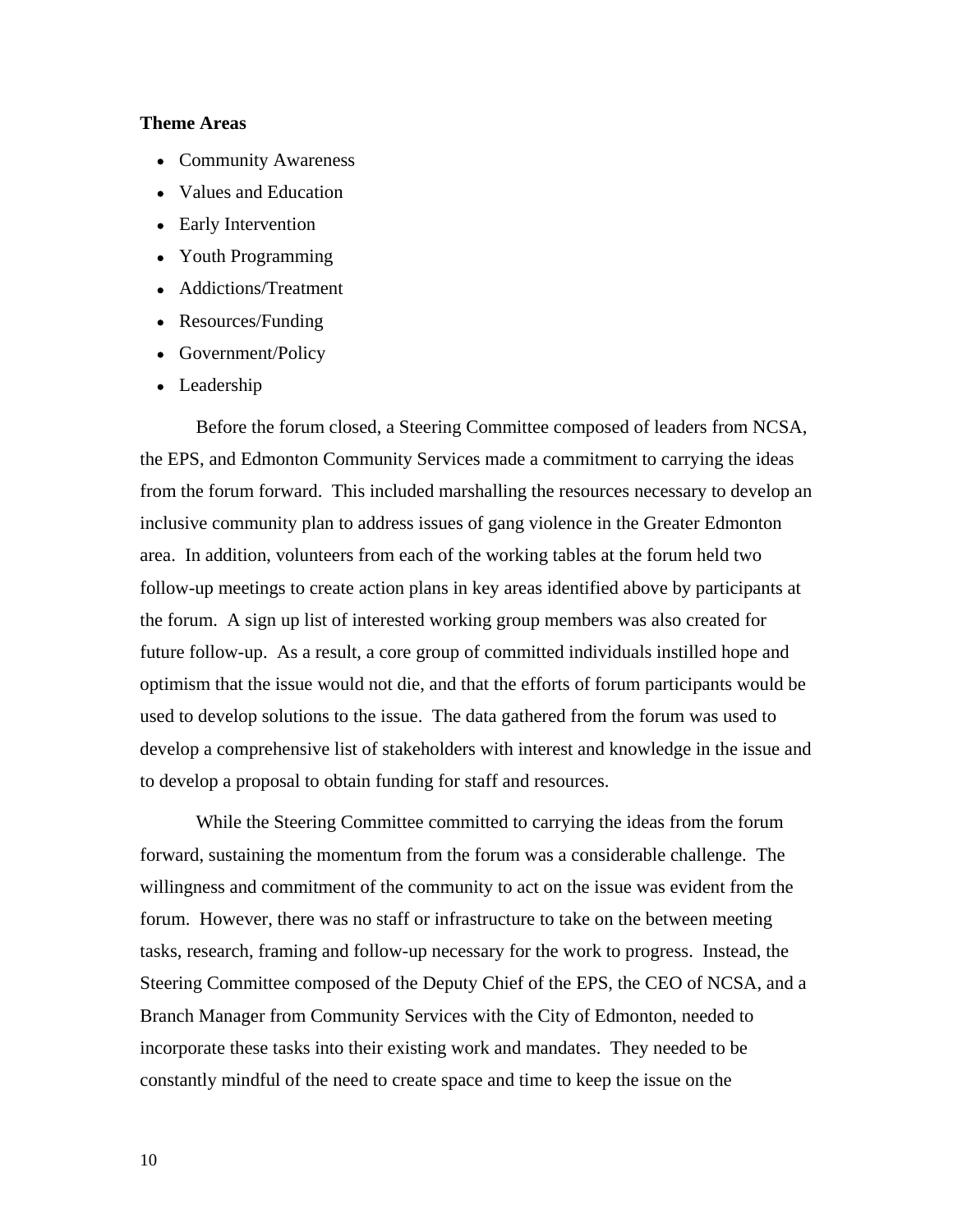## <span id="page-15-0"></span>**Theme Areas**

- Community Awareness
- Values and Education
- Early Intervention
- Youth Programming
- Addictions/Treatment
- Resources/Funding
- Government/Policy
- Leadership

Before the forum closed, a Steering Committee composed of leaders from NCSA, the EPS, and Edmonton Community Services made a commitment to carrying the ideas from the forum forward. This included marshalling the resources necessary to develop an inclusive community plan to address issues of gang violence in the Greater Edmonton area. In addition, volunteers from each of the working tables at the forum held two follow-up meetings to create action plans in key areas identified above by participants at the forum. A sign up list of interested working group members was also created for future follow-up. As a result, a core group of committed individuals instilled hope and optimism that the issue would not die, and that the efforts of forum participants would be used to develop solutions to the issue. The data gathered from the forum was used to develop a comprehensive list of stakeholders with interest and knowledge in the issue and to develop a proposal to obtain funding for staff and resources.

While the Steering Committee committed to carrying the ideas from the forum forward, sustaining the momentum from the forum was a considerable challenge. The willingness and commitment of the community to act on the issue was evident from the forum. However, there was no staff or infrastructure to take on the between meeting tasks, research, framing and follow-up necessary for the work to progress. Instead, the Steering Committee composed of the Deputy Chief of the EPS, the CEO of NCSA, and a Branch Manager from Community Services with the City of Edmonton, needed to incorporate these tasks into their existing work and mandates. They needed to be constantly mindful of the need to create space and time to keep the issue on the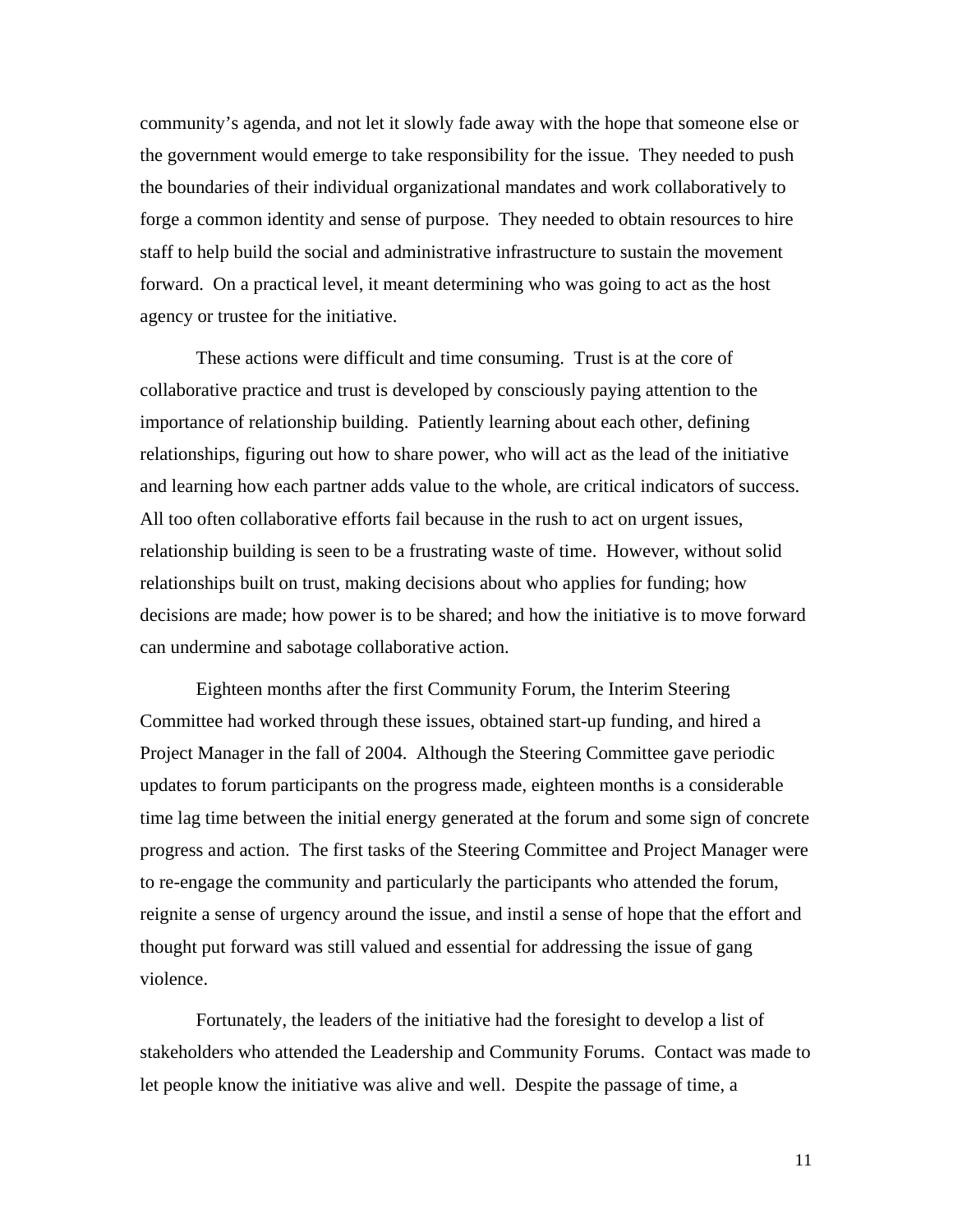community's agenda, and not let it slowly fade away with the hope that someone else or the government would emerge to take responsibility for the issue. They needed to push the boundaries of their individual organizational mandates and work collaboratively to forge a common identity and sense of purpose. They needed to obtain resources to hire staff to help build the social and administrative infrastructure to sustain the movement forward. On a practical level, it meant determining who was going to act as the host agency or trustee for the initiative.

These actions were difficult and time consuming. Trust is at the core of collaborative practice and trust is developed by consciously paying attention to the importance of relationship building. Patiently learning about each other, defining relationships, figuring out how to share power, who will act as the lead of the initiative and learning how each partner adds value to the whole, are critical indicators of success. All too often collaborative efforts fail because in the rush to act on urgent issues, relationship building is seen to be a frustrating waste of time. However, without solid relationships built on trust, making decisions about who applies for funding; how decisions are made; how power is to be shared; and how the initiative is to move forward can undermine and sabotage collaborative action.

Eighteen months after the first Community Forum, the Interim Steering Committee had worked through these issues, obtained start-up funding, and hired a Project Manager in the fall of 2004. Although the Steering Committee gave periodic updates to forum participants on the progress made, eighteen months is a considerable time lag time between the initial energy generated at the forum and some sign of concrete progress and action. The first tasks of the Steering Committee and Project Manager were to re-engage the community and particularly the participants who attended the forum, reignite a sense of urgency around the issue, and instil a sense of hope that the effort and thought put forward was still valued and essential for addressing the issue of gang violence.

Fortunately, the leaders of the initiative had the foresight to develop a list of stakeholders who attended the Leadership and Community Forums. Contact was made to let people know the initiative was alive and well. Despite the passage of time, a

11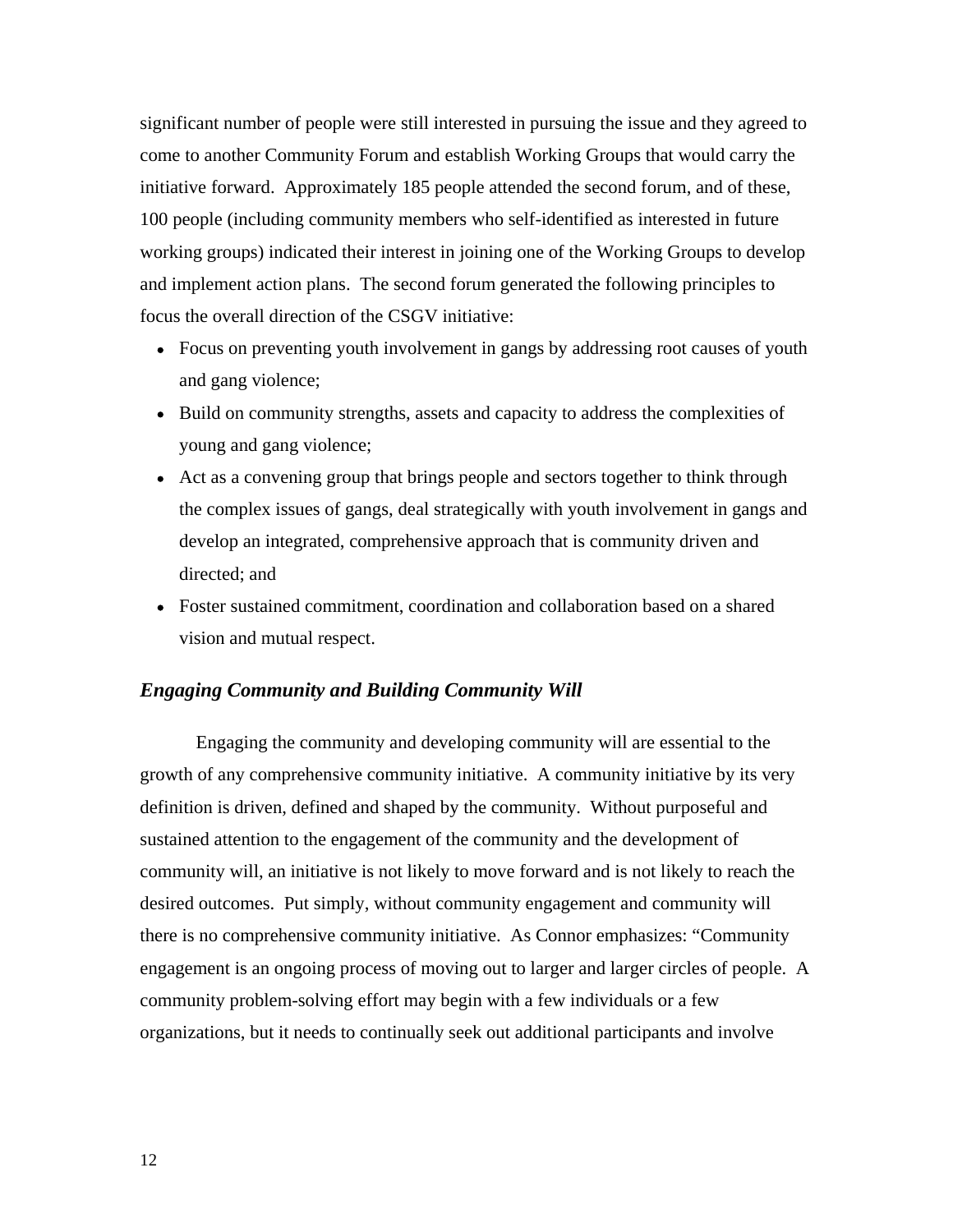<span id="page-17-0"></span>significant number of people were still interested in pursuing the issue and they agreed to come to another Community Forum and establish Working Groups that would carry the initiative forward. Approximately 185 people attended the second forum, and of these, 100 people (including community members who self-identified as interested in future working groups) indicated their interest in joining one of the Working Groups to develop and implement action plans. The second forum generated the following principles to focus the overall direction of the CSGV initiative:

- Focus on preventing youth involvement in gangs by addressing root causes of youth and gang violence;
- Build on community strengths, assets and capacity to address the complexities of young and gang violence;
- Act as a convening group that brings people and sectors together to think through the complex issues of gangs, deal strategically with youth involvement in gangs and develop an integrated, comprehensive approach that is community driven and directed; and
- Foster sustained commitment, coordination and collaboration based on a shared vision and mutual respect.

### *Engaging Community and Building Community Will*

Engaging the community and developing community will are essential to the growth of any comprehensive community initiative. A community initiative by its very definition is driven, defined and shaped by the community. Without purposeful and sustained attention to the engagement of the community and the development of community will, an initiative is not likely to move forward and is not likely to reach the desired outcomes. Put simply, without community engagement and community will there is no comprehensive community initiative. As Connor emphasizes: "Community engagement is an ongoing process of moving out to larger and larger circles of people. A community problem-solving effort may begin with a few individuals or a few organizations, but it needs to continually seek out additional participants and involve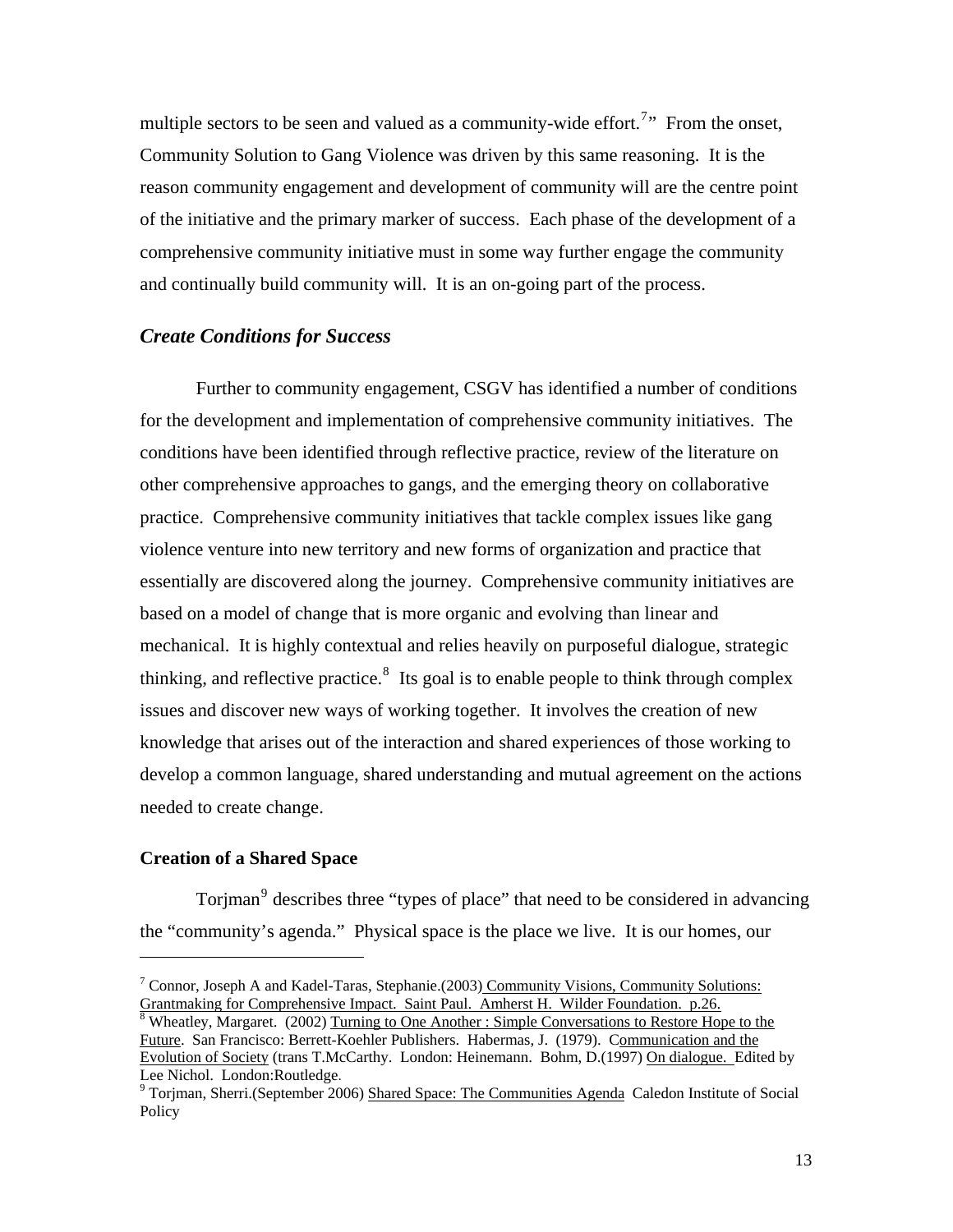<span id="page-18-0"></span>multiple sectors to be seen and valued as a community-wide effort.<sup>[7](#page-18-0)</sup>" From the onset, Community Solution to Gang Violence was driven by this same reasoning. It is the reason community engagement and development of community will are the centre point of the initiative and the primary marker of success. Each phase of the development of a comprehensive community initiative must in some way further engage the community and continually build community will. It is an on-going part of the process.

## *Create Conditions for Success*

Further to community engagement, CSGV has identified a number of conditions for the development and implementation of comprehensive community initiatives. The conditions have been identified through reflective practice, review of the literature on other comprehensive approaches to gangs, and the emerging theory on collaborative practice. Comprehensive community initiatives that tackle complex issues like gang violence venture into new territory and new forms of organization and practice that essentially are discovered along the journey. Comprehensive community initiatives are based on a model of change that is more organic and evolving than linear and mechanical. It is highly contextual and relies heavily on purposeful dialogue, strategic thinking, and reflective practice.<sup>[8](#page-18-0)</sup> Its goal is to enable people to think through complex issues and discover new ways of working together. It involves the creation of new knowledge that arises out of the interaction and shared experiences of those working to develop a common language, shared understanding and mutual agreement on the actions needed to create change.

### **Creation of a Shared Space**

 $\overline{a}$ 

Torjman<sup>[9](#page-18-0)</sup> describes three "types of place" that need to be considered in advancing the "community's agenda." Physical space is the place we live. It is our homes, our

<sup>&</sup>lt;sup>7</sup> Connor, Joseph A and Kadel-Taras, Stephanie.(2003) Community Visions, Community Solutions: Grantmaking for Comprehensive Impact. Saint Paul. Amherst H. Wilder Foundation. p.26.

<sup>&</sup>lt;sup>8</sup> Wheatley, Margaret. (2002) Turning to One Another : Simple Conversations to Restore Hope to the Future. San Francisco: Berrett-Koehler Publishers. Habermas, J. (1979). Communication and the Evolution of Society (trans T.McCarthy. London: Heinemann. Bohm, D.(1997) On dialogue. Edited by Lee Nichol. London:Routledge.

<sup>&</sup>lt;sup>9</sup> Torjman, Sherri.(September 2006) Shared Space: The Communities Agenda Caledon Institute of Social Policy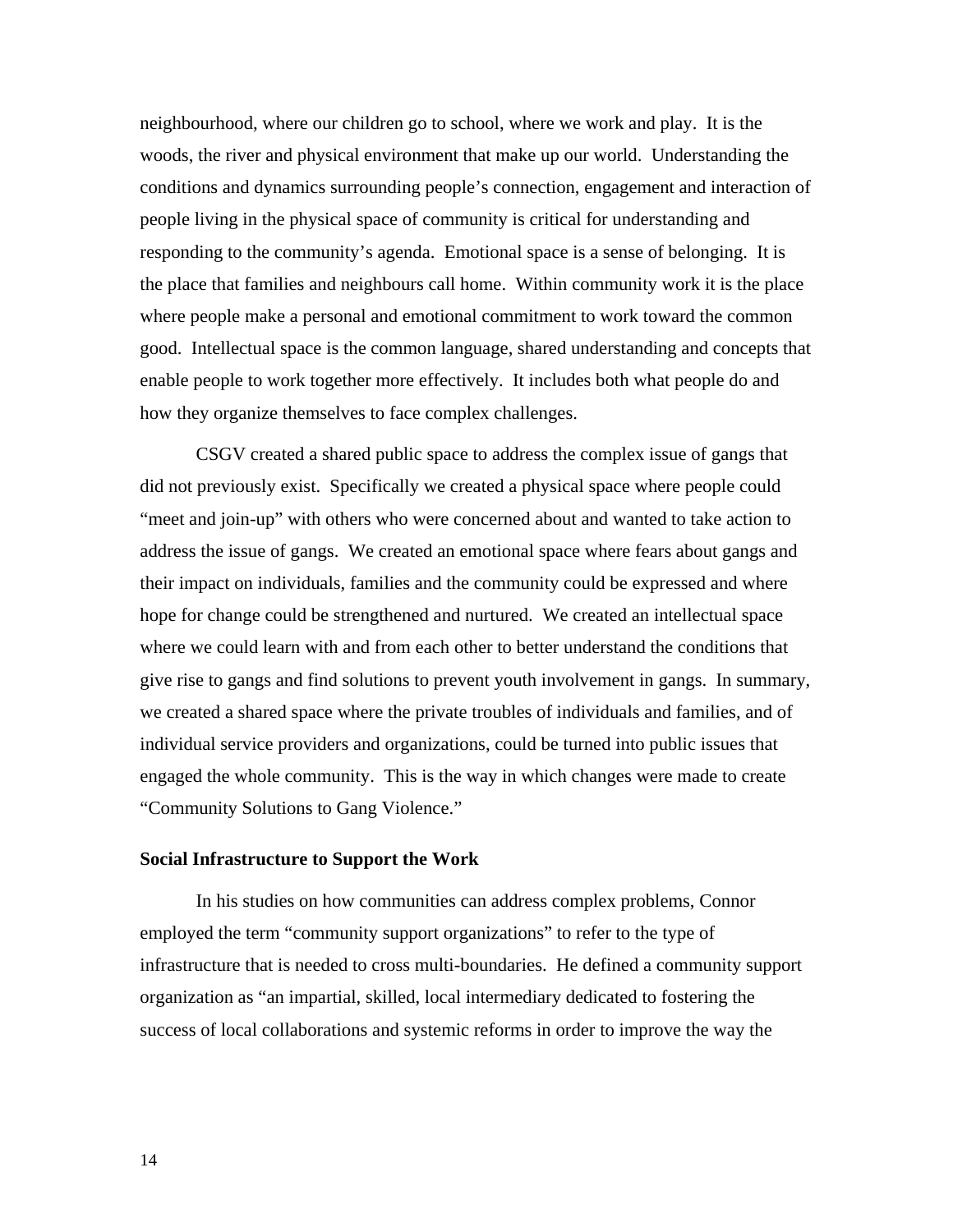<span id="page-19-0"></span>neighbourhood, where our children go to school, where we work and play. It is the woods, the river and physical environment that make up our world. Understanding the conditions and dynamics surrounding people's connection, engagement and interaction of people living in the physical space of community is critical for understanding and responding to the community's agenda. Emotional space is a sense of belonging. It is the place that families and neighbours call home. Within community work it is the place where people make a personal and emotional commitment to work toward the common good. Intellectual space is the common language, shared understanding and concepts that enable people to work together more effectively. It includes both what people do and how they organize themselves to face complex challenges.

CSGV created a shared public space to address the complex issue of gangs that did not previously exist. Specifically we created a physical space where people could "meet and join-up" with others who were concerned about and wanted to take action to address the issue of gangs. We created an emotional space where fears about gangs and their impact on individuals, families and the community could be expressed and where hope for change could be strengthened and nurtured. We created an intellectual space where we could learn with and from each other to better understand the conditions that give rise to gangs and find solutions to prevent youth involvement in gangs. In summary, we created a shared space where the private troubles of individuals and families, and of individual service providers and organizations, could be turned into public issues that engaged the whole community. This is the way in which changes were made to create "Community Solutions to Gang Violence."

#### **Social Infrastructure to Support the Work**

In his studies on how communities can address complex problems, Connor employed the term "community support organizations" to refer to the type of infrastructure that is needed to cross multi-boundaries. He defined a community support organization as "an impartial, skilled, local intermediary dedicated to fostering the success of local collaborations and systemic reforms in order to improve the way the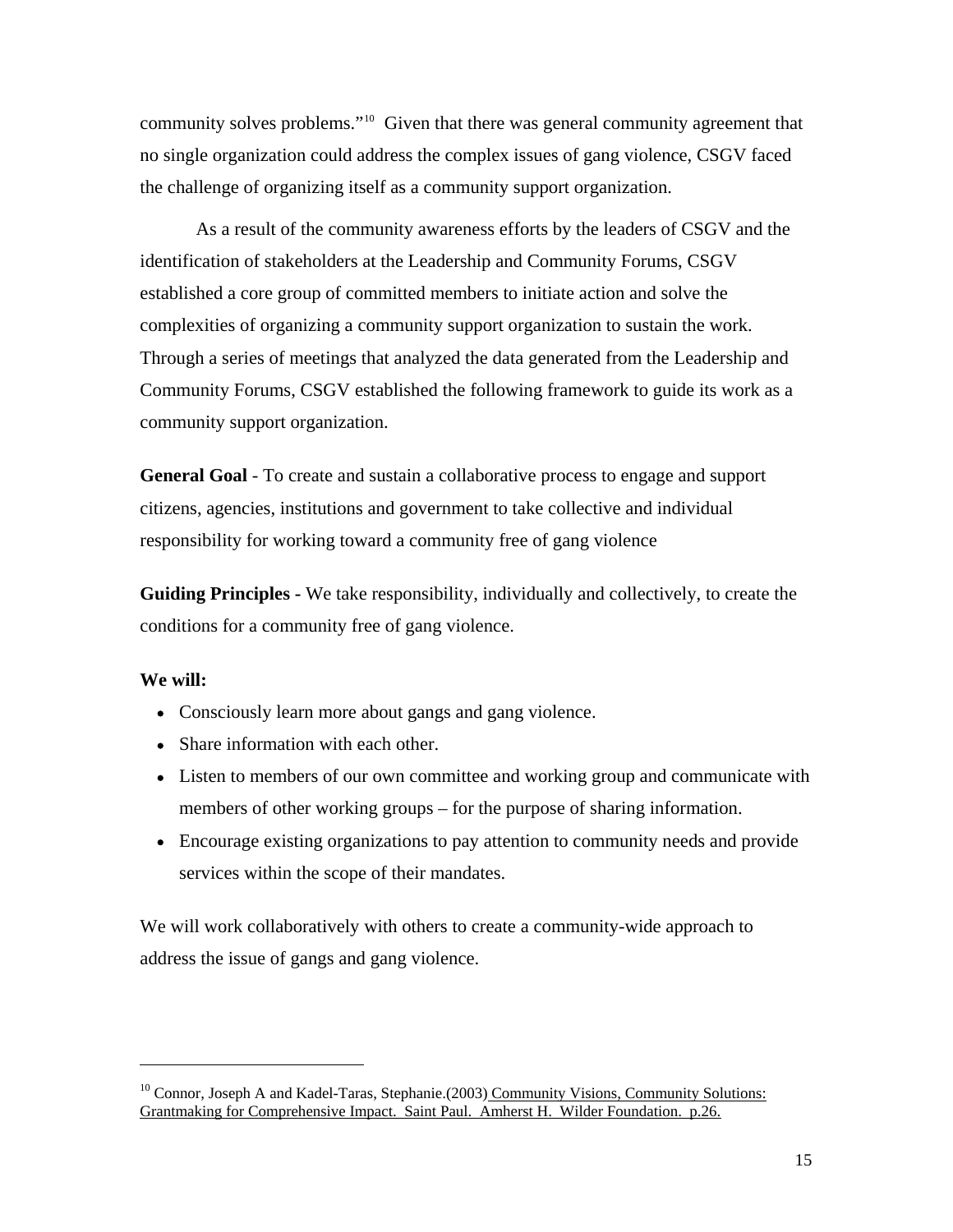<span id="page-20-0"></span>community solves problems."[10](#page-20-0) Given that there was general community agreement that no single organization could address the complex issues of gang violence, CSGV faced the challenge of organizing itself as a community support organization.

As a result of the community awareness efforts by the leaders of CSGV and the identification of stakeholders at the Leadership and Community Forums, CSGV established a core group of committed members to initiate action and solve the complexities of organizing a community support organization to sustain the work. Through a series of meetings that analyzed the data generated from the Leadership and Community Forums, CSGV established the following framework to guide its work as a community support organization.

**General Goal** - To create and sustain a collaborative process to engage and support citizens, agencies, institutions and government to take collective and individual responsibility for working toward a community free of gang violence

**Guiding Principles -** We take responsibility, individually and collectively, to create the conditions for a community free of gang violence.

#### **We will:**

 $\overline{a}$ 

- Consciously learn more about gangs and gang violence.
- Share information with each other.
- Listen to members of our own committee and working group and communicate with members of other working groups – for the purpose of sharing information.
- Encourage existing organizations to pay attention to community needs and provide services within the scope of their mandates.

We will work collaboratively with others to create a community-wide approach to address the issue of gangs and gang violence.

<sup>&</sup>lt;sup>10</sup> Connor, Joseph A and Kadel-Taras, Stephanie.(2003) Community Visions, Community Solutions: Grantmaking for Comprehensive Impact. Saint Paul. Amherst H. Wilder Foundation. p.26.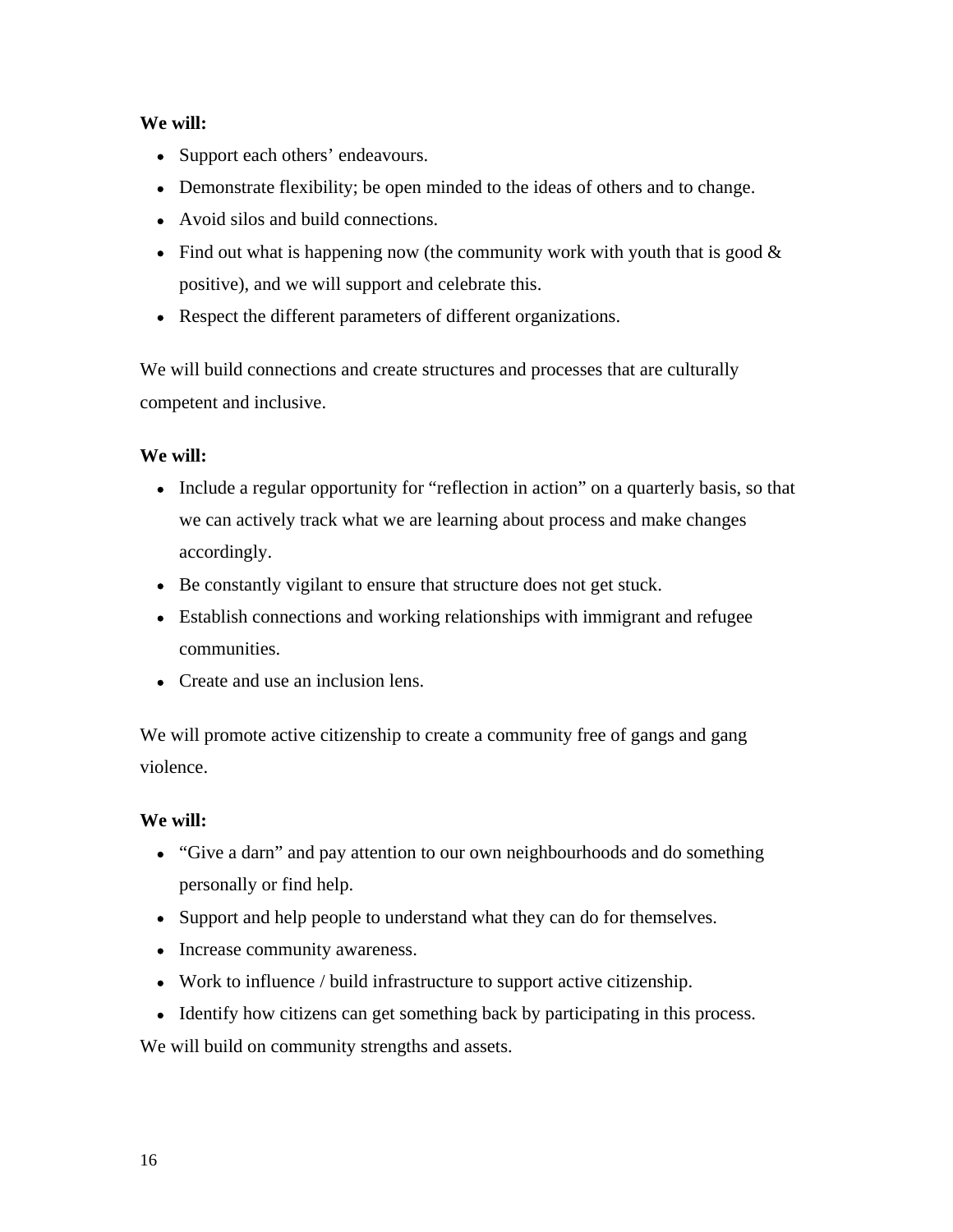## **We will:**

- Support each others' endeavours.
- Demonstrate flexibility; be open minded to the ideas of others and to change.
- Avoid silos and build connections.
- Find out what is happening now (the community work with youth that is good  $\&$ positive), and we will support and celebrate this.
- Respect the different parameters of different organizations.

We will build connections and create structures and processes that are culturally competent and inclusive.

## **We will:**

- Include a regular opportunity for "reflection in action" on a quarterly basis, so that we can actively track what we are learning about process and make changes accordingly.
- Be constantly vigilant to ensure that structure does not get stuck.
- Establish connections and working relationships with immigrant and refugee communities.
- Create and use an inclusion lens.

We will promote active citizenship to create a community free of gangs and gang violence.

## **We will:**

- "Give a darn" and pay attention to our own neighbourhoods and do something personally or find help.
- Support and help people to understand what they can do for themselves.
- Increase community awareness.
- Work to influence / build infrastructure to support active citizenship.
- Identify how citizens can get something back by participating in this process.

We will build on community strengths and assets.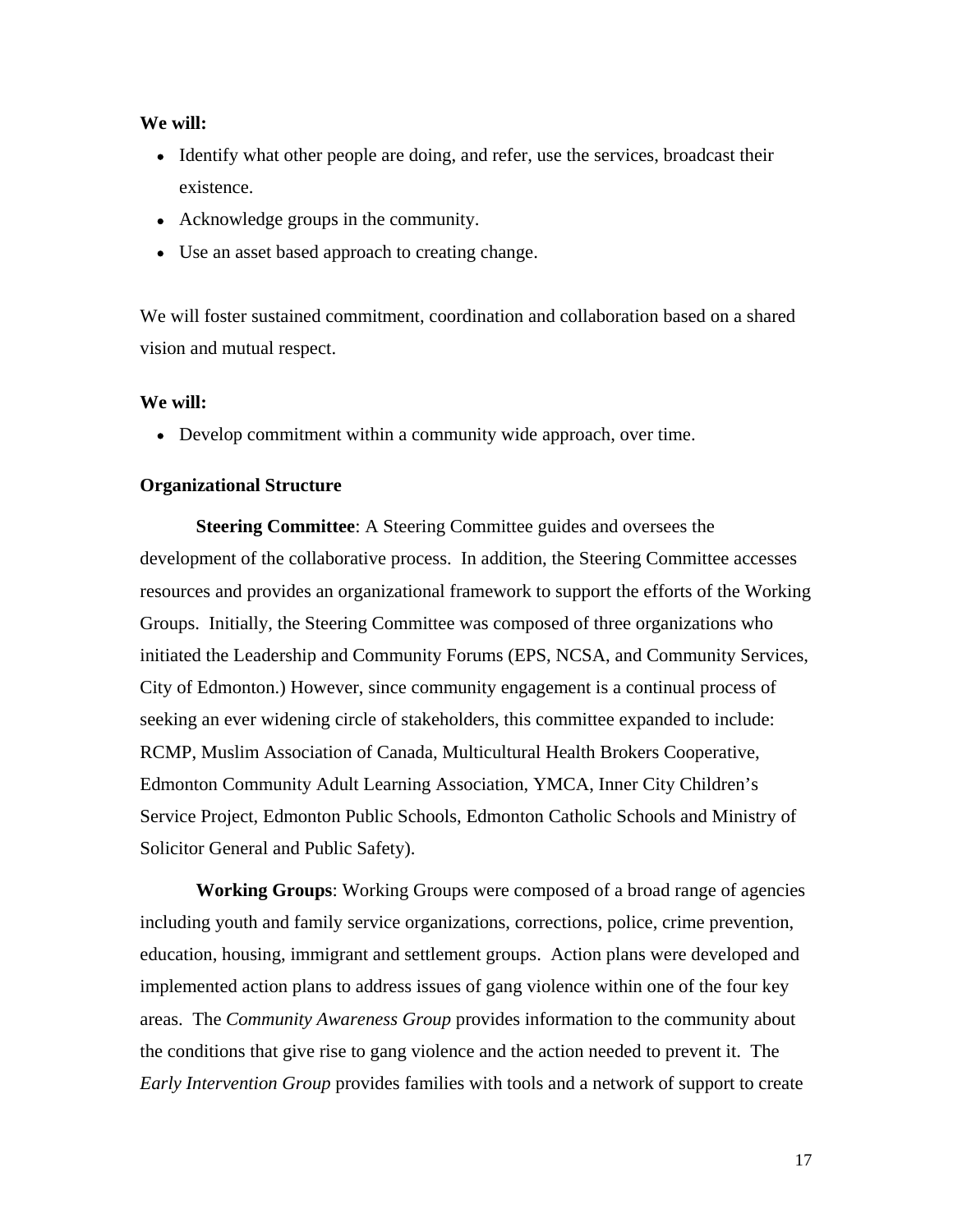## <span id="page-22-0"></span>**We will:**

- Identify what other people are doing, and refer, use the services, broadcast their existence.
- Acknowledge groups in the community.
- Use an asset based approach to creating change.

We will foster sustained commitment, coordination and collaboration based on a shared vision and mutual respect.

## **We will:**

• Develop commitment within a community wide approach, over time.

## **Organizational Structure**

**Steering Committee**: A Steering Committee guides and oversees the development of the collaborative process. In addition, the Steering Committee accesses resources and provides an organizational framework to support the efforts of the Working Groups. Initially, the Steering Committee was composed of three organizations who initiated the Leadership and Community Forums (EPS, NCSA, and Community Services, City of Edmonton.) However, since community engagement is a continual process of seeking an ever widening circle of stakeholders, this committee expanded to include: RCMP, Muslim Association of Canada, Multicultural Health Brokers Cooperative, Edmonton Community Adult Learning Association, YMCA, Inner City Children's Service Project, Edmonton Public Schools, Edmonton Catholic Schools and Ministry of Solicitor General and Public Safety).

**Working Groups**: Working Groups were composed of a broad range of agencies including youth and family service organizations, corrections, police, crime prevention, education, housing, immigrant and settlement groups. Action plans were developed and implemented action plans to address issues of gang violence within one of the four key areas. The *Community Awareness Group* provides information to the community about the conditions that give rise to gang violence and the action needed to prevent it. The *Early Intervention Group* provides families with tools and a network of support to create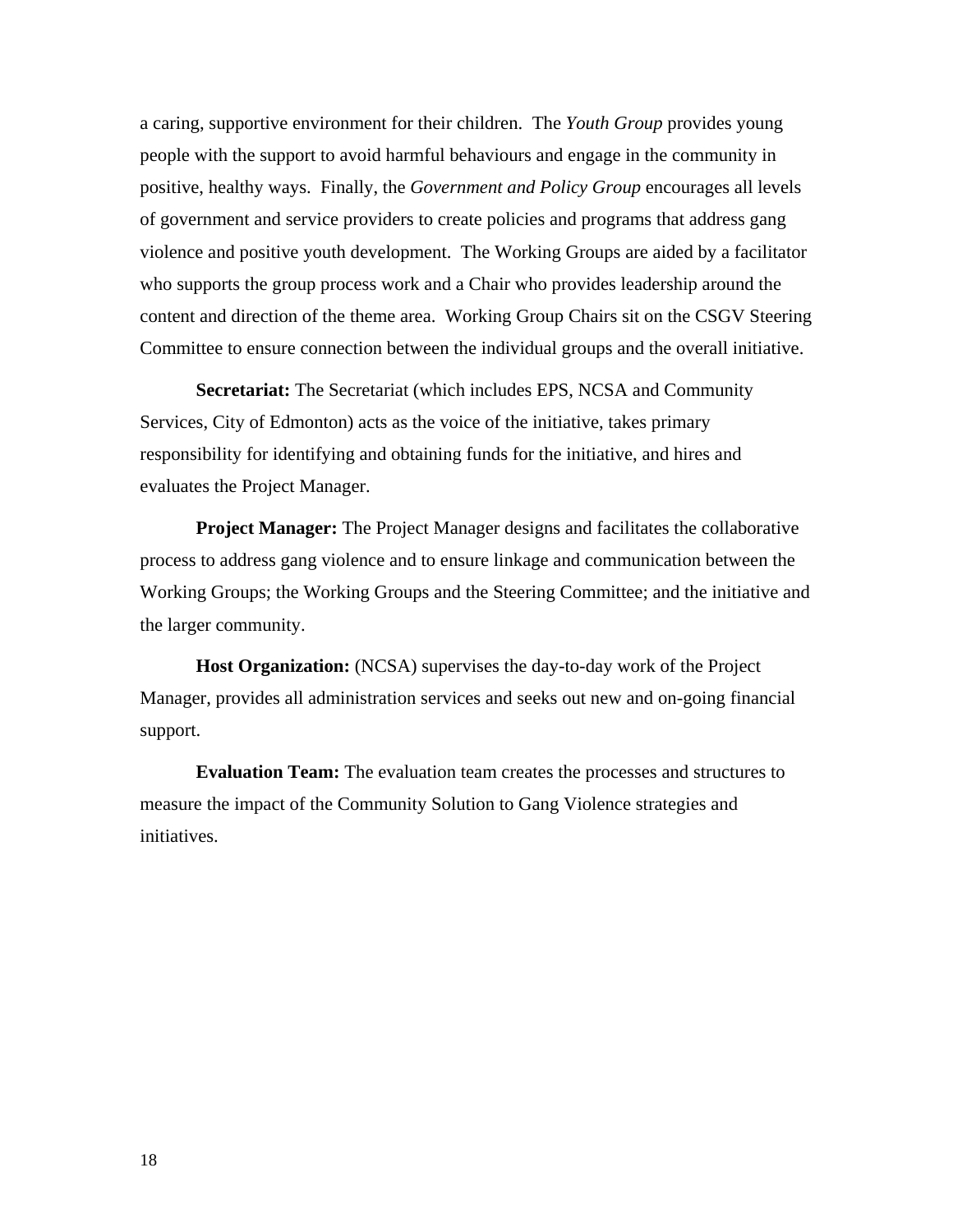a caring, supportive environment for their children. The *Youth Group* provides young people with the support to avoid harmful behaviours and engage in the community in positive, healthy ways. Finally, the *Government and Policy Group* encourages all levels of government and service providers to create policies and programs that address gang violence and positive youth development. The Working Groups are aided by a facilitator who supports the group process work and a Chair who provides leadership around the content and direction of the theme area. Working Group Chairs sit on the CSGV Steering Committee to ensure connection between the individual groups and the overall initiative.

**Secretariat:** The Secretariat (which includes EPS, NCSA and Community Services, City of Edmonton) acts as the voice of the initiative, takes primary responsibility for identifying and obtaining funds for the initiative, and hires and evaluates the Project Manager.

**Project Manager:** The Project Manager designs and facilitates the collaborative process to address gang violence and to ensure linkage and communication between the Working Groups; the Working Groups and the Steering Committee; and the initiative and the larger community.

**Host Organization:** (NCSA) supervises the day-to-day work of the Project Manager, provides all administration services and seeks out new and on-going financial support.

**Evaluation Team:** The evaluation team creates the processes and structures to measure the impact of the Community Solution to Gang Violence strategies and initiatives.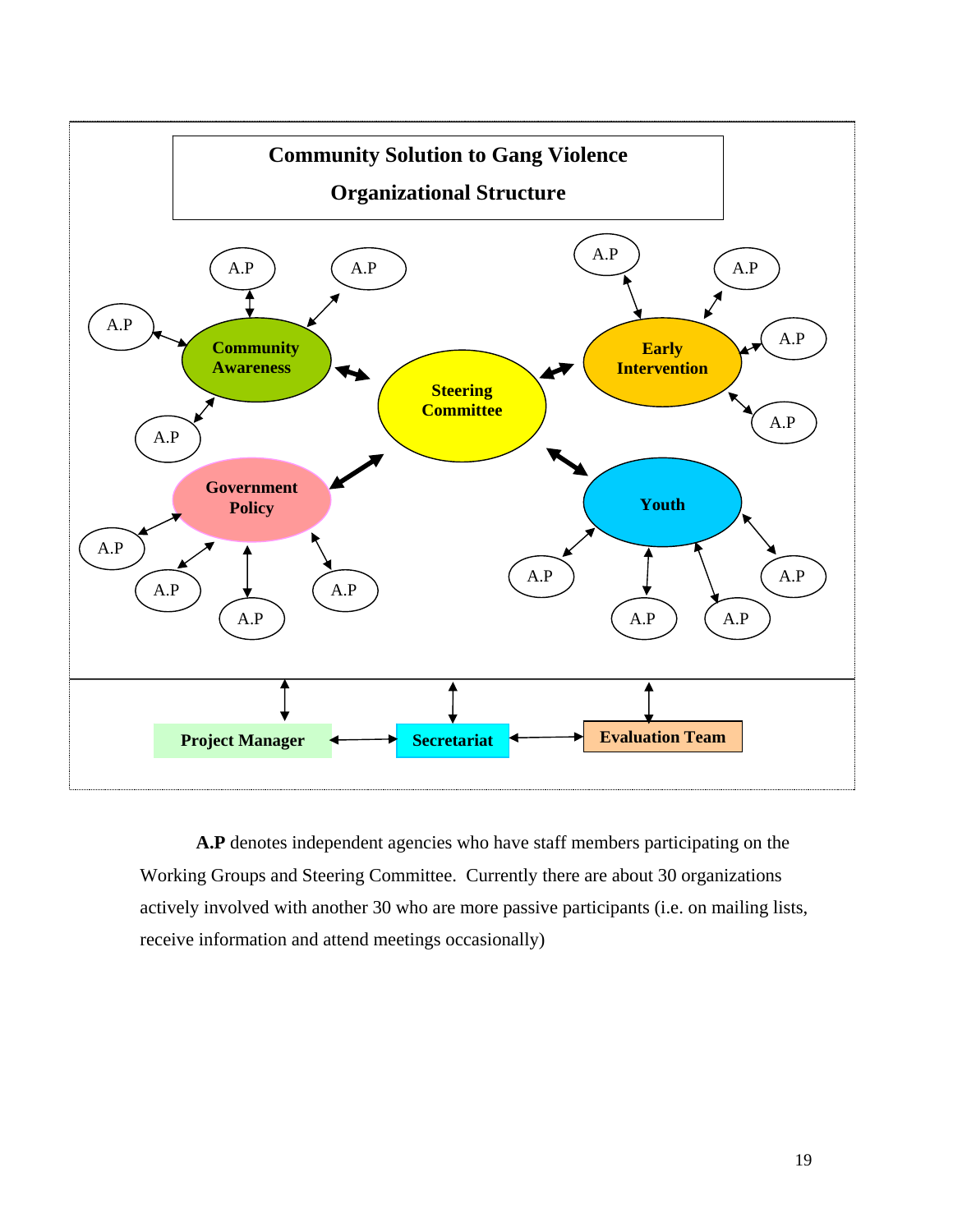

**A.P** denotes independent agencies who have staff members participating on the Working Groups and Steering Committee. Currently there are about 30 organizations actively involved with another 30 who are more passive participants (i.e. on mailing lists, receive information and attend meetings occasionally)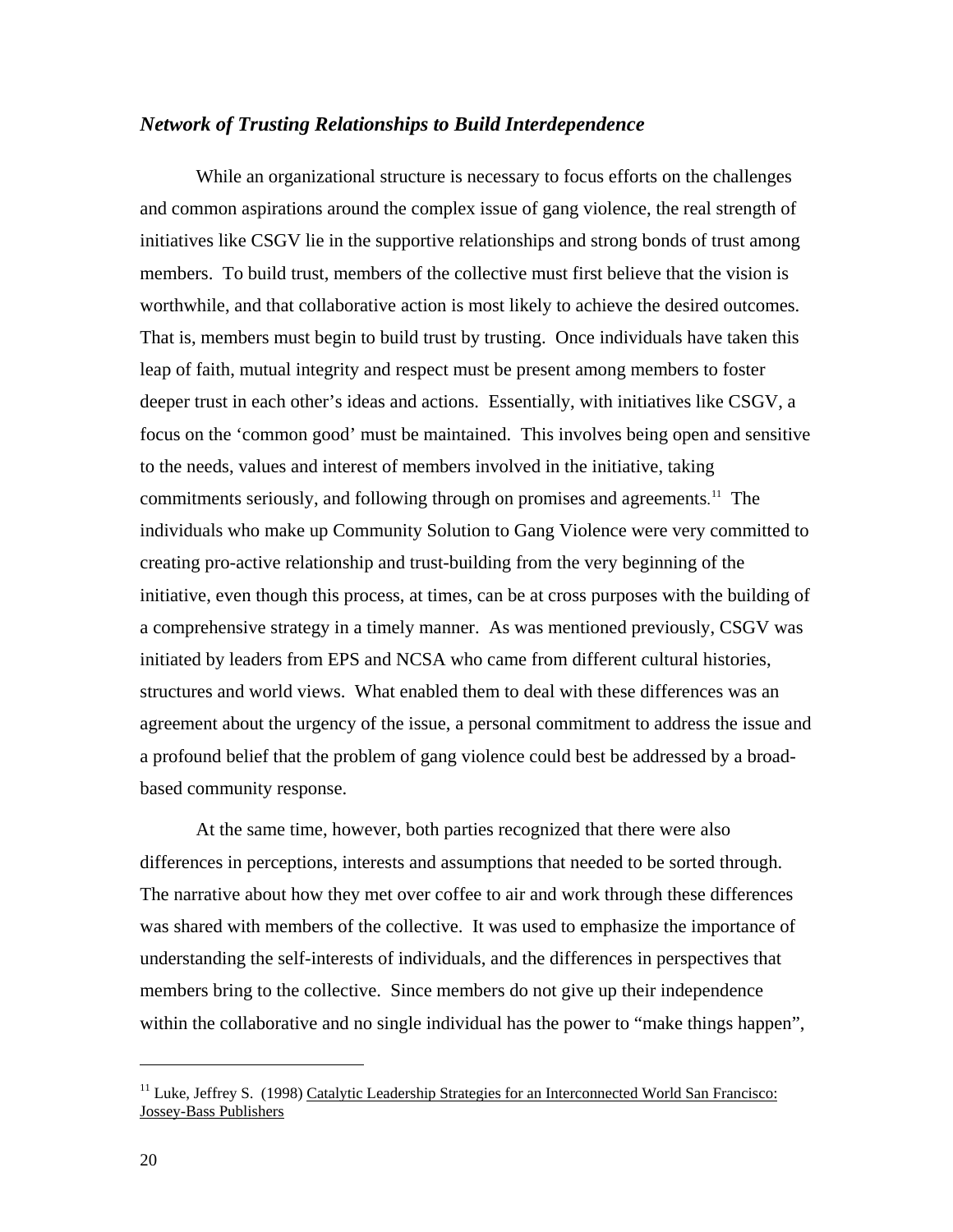## <span id="page-25-0"></span>*Network of Trusting Relationships to Build Interdependence*

While an organizational structure is necessary to focus efforts on the challenges and common aspirations around the complex issue of gang violence, the real strength of initiatives like CSGV lie in the supportive relationships and strong bonds of trust among members. To build trust, members of the collective must first believe that the vision is worthwhile, and that collaborative action is most likely to achieve the desired outcomes. That is, members must begin to build trust by trusting. Once individuals have taken this leap of faith, mutual integrity and respect must be present among members to foster deeper trust in each other's ideas and actions. Essentially, with initiatives like CSGV, a focus on the 'common good' must be maintained. This involves being open and sensitive to the needs, values and interest of members involved in the initiative, taking commitments seriously, and following through on promises and agreements. [11](#page-25-0) The individuals who make up Community Solution to Gang Violence were very committed to creating pro-active relationship and trust-building from the very beginning of the initiative, even though this process, at times, can be at cross purposes with the building of a comprehensive strategy in a timely manner. As was mentioned previously, CSGV was initiated by leaders from EPS and NCSA who came from different cultural histories, structures and world views. What enabled them to deal with these differences was an agreement about the urgency of the issue, a personal commitment to address the issue and a profound belief that the problem of gang violence could best be addressed by a broadbased community response.

At the same time, however, both parties recognized that there were also differences in perceptions, interests and assumptions that needed to be sorted through. The narrative about how they met over coffee to air and work through these differences was shared with members of the collective. It was used to emphasize the importance of understanding the self-interests of individuals, and the differences in perspectives that members bring to the collective. Since members do not give up their independence within the collaborative and no single individual has the power to "make things happen",

 $\overline{a}$ 

<sup>&</sup>lt;sup>11</sup> Luke, Jeffrey S. (1998) Catalytic Leadership Strategies for an Interconnected World San Francisco: Jossey-Bass Publishers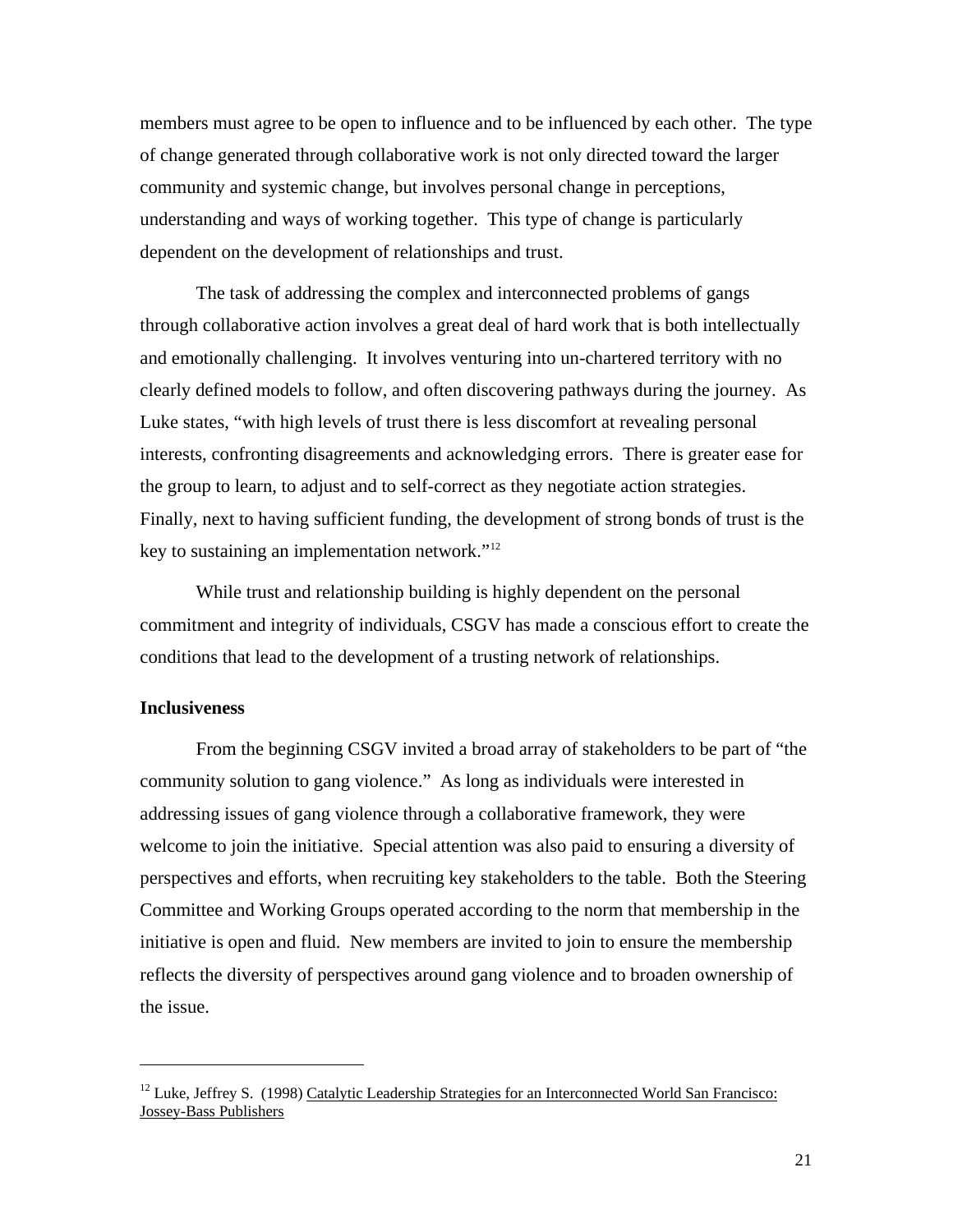<span id="page-26-0"></span>members must agree to be open to influence and to be influenced by each other. The type of change generated through collaborative work is not only directed toward the larger community and systemic change, but involves personal change in perceptions, understanding and ways of working together. This type of change is particularly dependent on the development of relationships and trust.

The task of addressing the complex and interconnected problems of gangs through collaborative action involves a great deal of hard work that is both intellectually and emotionally challenging. It involves venturing into un-chartered territory with no clearly defined models to follow, and often discovering pathways during the journey. As Luke states, "with high levels of trust there is less discomfort at revealing personal interests, confronting disagreements and acknowledging errors. There is greater ease for the group to learn, to adjust and to self-correct as they negotiate action strategies. Finally, next to having sufficient funding, the development of strong bonds of trust is the key to sustaining an implementation network."<sup>[12](#page-26-0)</sup>

While trust and relationship building is highly dependent on the personal commitment and integrity of individuals, CSGV has made a conscious effort to create the conditions that lead to the development of a trusting network of relationships.

## **Inclusiveness**

 $\overline{a}$ 

From the beginning CSGV invited a broad array of stakeholders to be part of "the community solution to gang violence." As long as individuals were interested in addressing issues of gang violence through a collaborative framework, they were welcome to join the initiative. Special attention was also paid to ensuring a diversity of perspectives and efforts, when recruiting key stakeholders to the table. Both the Steering Committee and Working Groups operated according to the norm that membership in the initiative is open and fluid. New members are invited to join to ensure the membership reflects the diversity of perspectives around gang violence and to broaden ownership of the issue.

<sup>&</sup>lt;sup>12</sup> Luke, Jeffrey S. (1998) Catalytic Leadership Strategies for an Interconnected World San Francisco: Jossey-Bass Publishers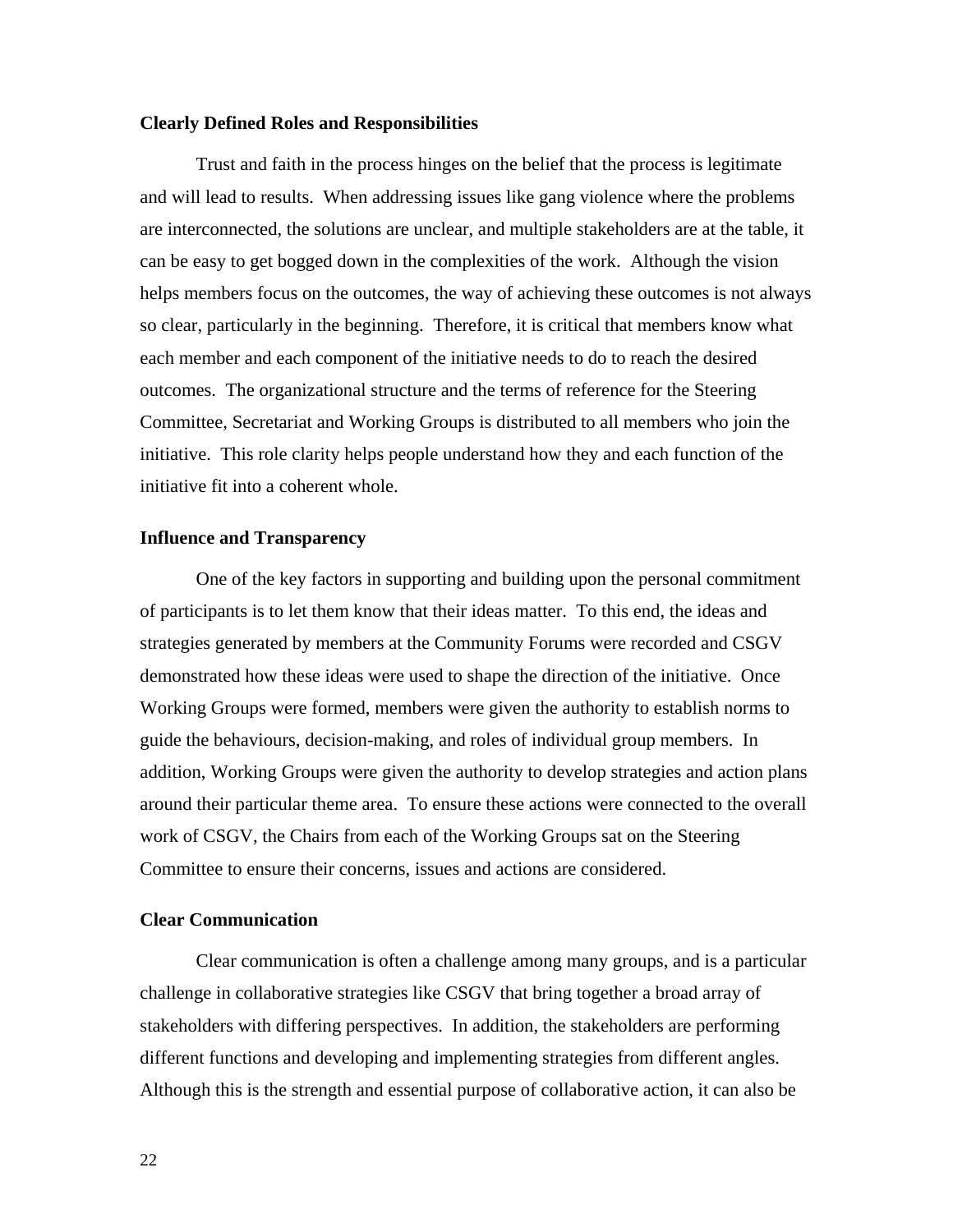#### <span id="page-27-0"></span>**Clearly Defined Roles and Responsibilities**

Trust and faith in the process hinges on the belief that the process is legitimate and will lead to results. When addressing issues like gang violence where the problems are interconnected, the solutions are unclear, and multiple stakeholders are at the table, it can be easy to get bogged down in the complexities of the work. Although the vision helps members focus on the outcomes, the way of achieving these outcomes is not always so clear, particularly in the beginning. Therefore, it is critical that members know what each member and each component of the initiative needs to do to reach the desired outcomes. The organizational structure and the terms of reference for the Steering Committee, Secretariat and Working Groups is distributed to all members who join the initiative. This role clarity helps people understand how they and each function of the initiative fit into a coherent whole.

## **Influence and Transparency**

One of the key factors in supporting and building upon the personal commitment of participants is to let them know that their ideas matter. To this end, the ideas and strategies generated by members at the Community Forums were recorded and CSGV demonstrated how these ideas were used to shape the direction of the initiative. Once Working Groups were formed, members were given the authority to establish norms to guide the behaviours, decision-making, and roles of individual group members. In addition, Working Groups were given the authority to develop strategies and action plans around their particular theme area. To ensure these actions were connected to the overall work of CSGV, the Chairs from each of the Working Groups sat on the Steering Committee to ensure their concerns, issues and actions are considered.

### **Clear Communication**

Clear communication is often a challenge among many groups, and is a particular challenge in collaborative strategies like CSGV that bring together a broad array of stakeholders with differing perspectives. In addition, the stakeholders are performing different functions and developing and implementing strategies from different angles. Although this is the strength and essential purpose of collaborative action, it can also be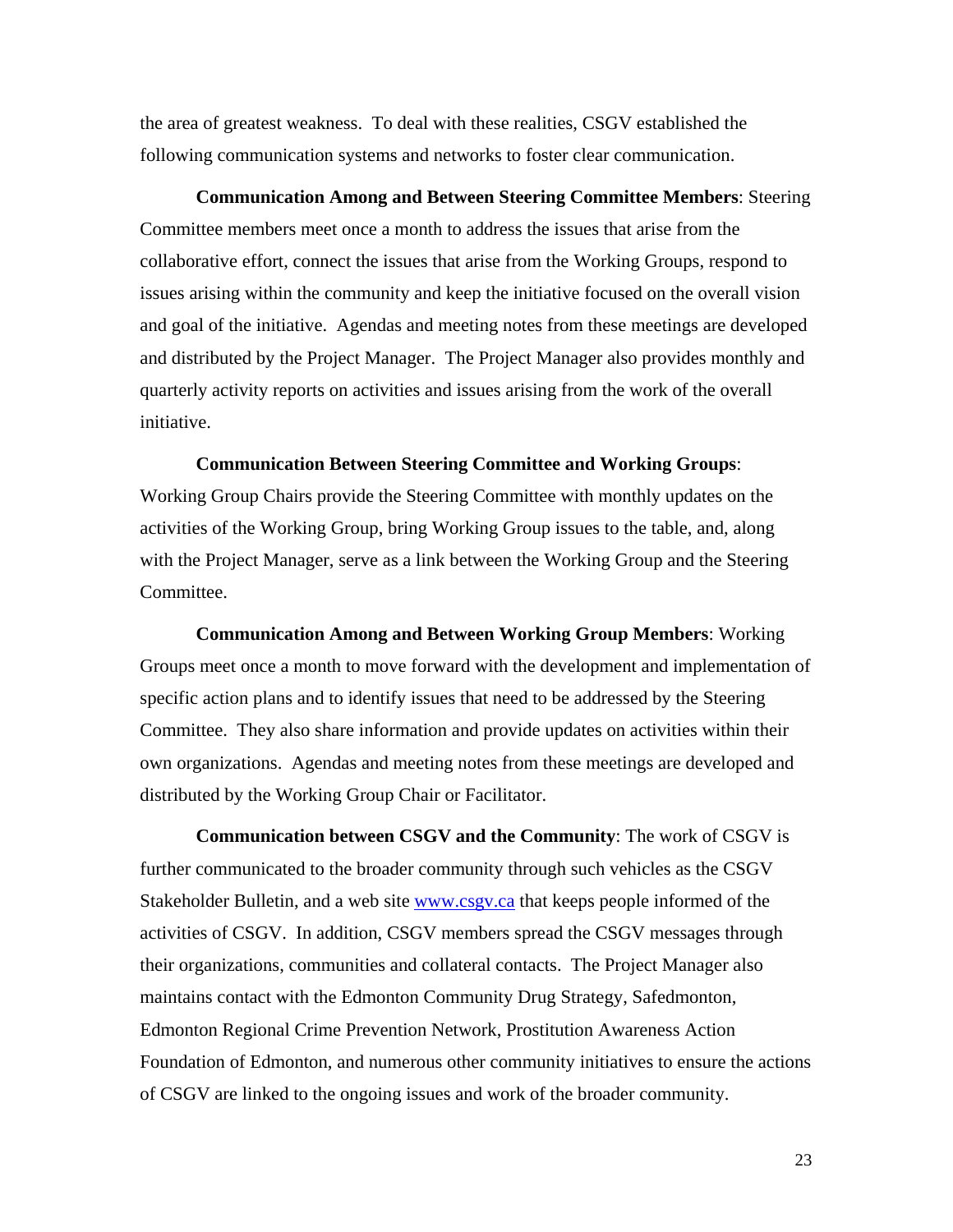the area of greatest weakness. To deal with these realities, CSGV established the following communication systems and networks to foster clear communication.

**Communication Among and Between Steering Committee Members**: Steering Committee members meet once a month to address the issues that arise from the collaborative effort, connect the issues that arise from the Working Groups, respond to issues arising within the community and keep the initiative focused on the overall vision and goal of the initiative. Agendas and meeting notes from these meetings are developed and distributed by the Project Manager. The Project Manager also provides monthly and quarterly activity reports on activities and issues arising from the work of the overall initiative.

**Communication Between Steering Committee and Working Groups**: Working Group Chairs provide the Steering Committee with monthly updates on the activities of the Working Group, bring Working Group issues to the table, and, along with the Project Manager, serve as a link between the Working Group and the Steering Committee.

**Communication Among and Between Working Group Members**: Working Groups meet once a month to move forward with the development and implementation of specific action plans and to identify issues that need to be addressed by the Steering Committee. They also share information and provide updates on activities within their own organizations. Agendas and meeting notes from these meetings are developed and distributed by the Working Group Chair or Facilitator.

**Communication between CSGV and the Community**: The work of CSGV is further communicated to the broader community through such vehicles as the CSGV Stakeholder Bulletin, and a web site [www.csgv.ca](http://www.csgv.ca/) that keeps people informed of the activities of CSGV. In addition, CSGV members spread the CSGV messages through their organizations, communities and collateral contacts. The Project Manager also maintains contact with the Edmonton Community Drug Strategy, Safedmonton, Edmonton Regional Crime Prevention Network, Prostitution Awareness Action Foundation of Edmonton, and numerous other community initiatives to ensure the actions of CSGV are linked to the ongoing issues and work of the broader community.

23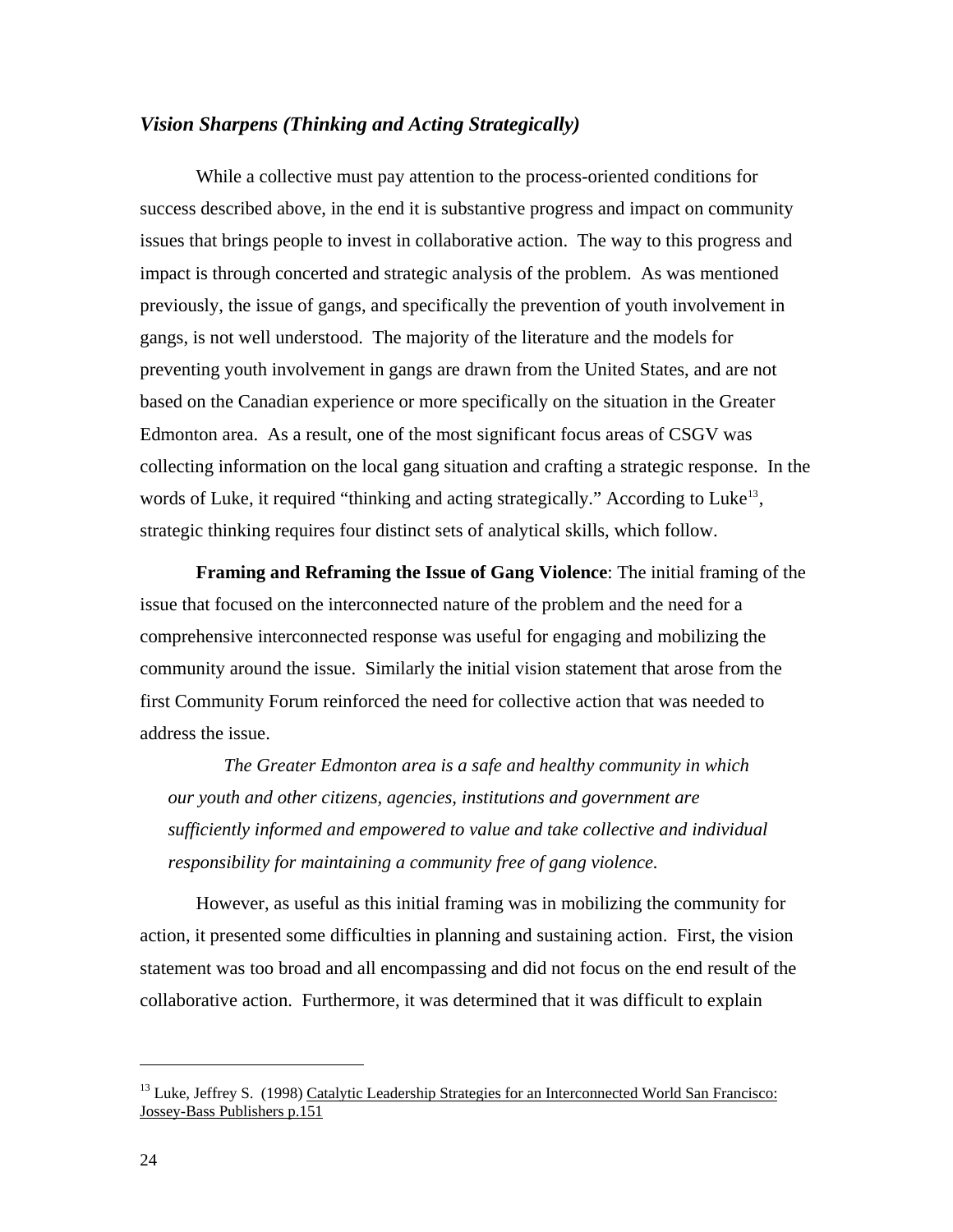## <span id="page-29-0"></span>*Vision Sharpens (Thinking and Acting Strategically)*

While a collective must pay attention to the process-oriented conditions for success described above, in the end it is substantive progress and impact on community issues that brings people to invest in collaborative action. The way to this progress and impact is through concerted and strategic analysis of the problem. As was mentioned previously, the issue of gangs, and specifically the prevention of youth involvement in gangs, is not well understood. The majority of the literature and the models for preventing youth involvement in gangs are drawn from the United States, and are not based on the Canadian experience or more specifically on the situation in the Greater Edmonton area. As a result, one of the most significant focus areas of CSGV was collecting information on the local gang situation and crafting a strategic response. In the words of Luke, it required "thinking and acting strategically." According to Luke<sup>[13](#page-29-0)</sup>, strategic thinking requires four distinct sets of analytical skills, which follow.

**Framing and Reframing the Issue of Gang Violence**: The initial framing of the issue that focused on the interconnected nature of the problem and the need for a comprehensive interconnected response was useful for engaging and mobilizing the community around the issue. Similarly the initial vision statement that arose from the first Community Forum reinforced the need for collective action that was needed to address the issue.

*The Greater Edmonton area is a safe and healthy community in which our youth and other citizens, agencies, institutions and government are sufficiently informed and empowered to value and take collective and individual responsibility for maintaining a community free of gang violence.* 

However, as useful as this initial framing was in mobilizing the community for action, it presented some difficulties in planning and sustaining action. First, the vision statement was too broad and all encompassing and did not focus on the end result of the collaborative action. Furthermore, it was determined that it was difficult to explain

 $\overline{a}$ 

<sup>&</sup>lt;sup>13</sup> Luke, Jeffrey S. (1998) Catalytic Leadership Strategies for an Interconnected World San Francisco: Jossey-Bass Publishers p.151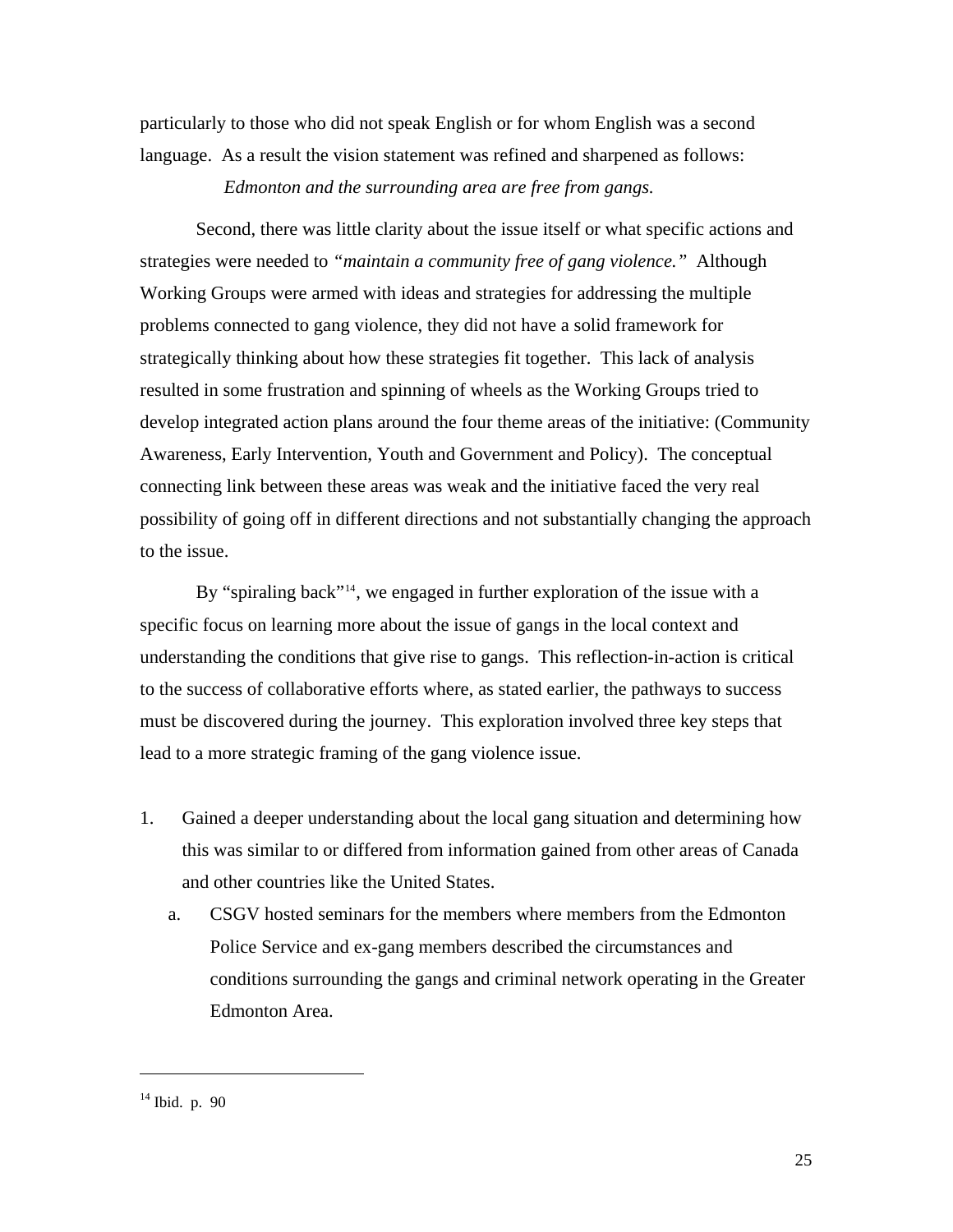<span id="page-30-0"></span>particularly to those who did not speak English or for whom English was a second language. As a result the vision statement was refined and sharpened as follows:

*Edmonton and the surrounding area are free from gangs.* 

Second, there was little clarity about the issue itself or what specific actions and strategies were needed to *"maintain a community free of gang violence."* Although Working Groups were armed with ideas and strategies for addressing the multiple problems connected to gang violence, they did not have a solid framework for strategically thinking about how these strategies fit together. This lack of analysis resulted in some frustration and spinning of wheels as the Working Groups tried to develop integrated action plans around the four theme areas of the initiative: (Community Awareness, Early Intervention, Youth and Government and Policy). The conceptual connecting link between these areas was weak and the initiative faced the very real possibility of going off in different directions and not substantially changing the approach to the issue.

By "spiraling back"[14](#page-30-0), we engaged in further exploration of the issue with a specific focus on learning more about the issue of gangs in the local context and understanding the conditions that give rise to gangs. This reflection-in-action is critical to the success of collaborative efforts where, as stated earlier, the pathways to success must be discovered during the journey. This exploration involved three key steps that lead to a more strategic framing of the gang violence issue.

- 1. Gained a deeper understanding about the local gang situation and determining how this was similar to or differed from information gained from other areas of Canada and other countries like the United States.
	- a. CSGV hosted seminars for the members where members from the Edmonton Police Service and ex-gang members described the circumstances and conditions surrounding the gangs and criminal network operating in the Greater Edmonton Area.

 $\overline{a}$ 

 $14$  Ibid. p. 90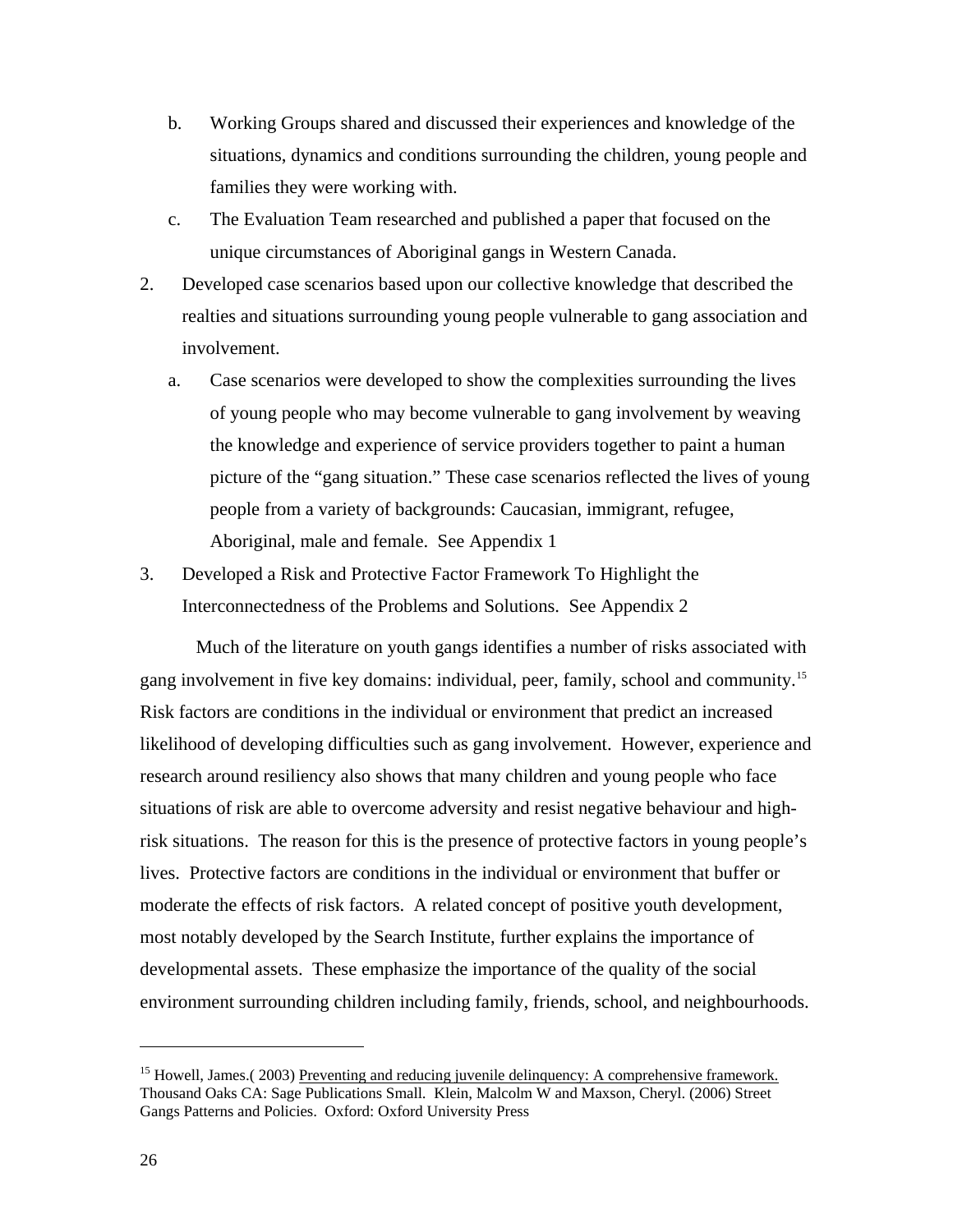- <span id="page-31-0"></span>b. Working Groups shared and discussed their experiences and knowledge of the situations, dynamics and conditions surrounding the children, young people and families they were working with.
- c. The Evaluation Team researched and published a paper that focused on the unique circumstances of Aboriginal gangs in Western Canada.
- 2. Developed case scenarios based upon our collective knowledge that described the realties and situations surrounding young people vulnerable to gang association and involvement.
	- a. Case scenarios were developed to show the complexities surrounding the lives of young people who may become vulnerable to gang involvement by weaving the knowledge and experience of service providers together to paint a human picture of the "gang situation." These case scenarios reflected the lives of young people from a variety of backgrounds: Caucasian, immigrant, refugee, Aboriginal, male and female. See Appendix 1
- 3. Developed a Risk and Protective Factor Framework To Highlight the Interconnectedness of the Problems and Solutions. See Appendix 2

Much of the literature on youth gangs identifies a number of risks associated with gang involvement in five key domains: individual, peer, family, school and community.[15](#page-31-0) Risk factors are conditions in the individual or environment that predict an increased likelihood of developing difficulties such as gang involvement. However, experience and research around resiliency also shows that many children and young people who face situations of risk are able to overcome adversity and resist negative behaviour and highrisk situations. The reason for this is the presence of protective factors in young people's lives. Protective factors are conditions in the individual or environment that buffer or moderate the effects of risk factors. A related concept of positive youth development, most notably developed by the Search Institute, further explains the importance of developmental assets. These emphasize the importance of the quality of the social environment surrounding children including family, friends, school, and neighbourhoods.

1

<sup>&</sup>lt;sup>15</sup> Howell, James.( 2003) Preventing and reducing juvenile delinquency: A comprehensive framework. Thousand Oaks CA: Sage Publications Small. Klein, Malcolm W and Maxson, Cheryl. (2006) Street Gangs Patterns and Policies. Oxford: Oxford University Press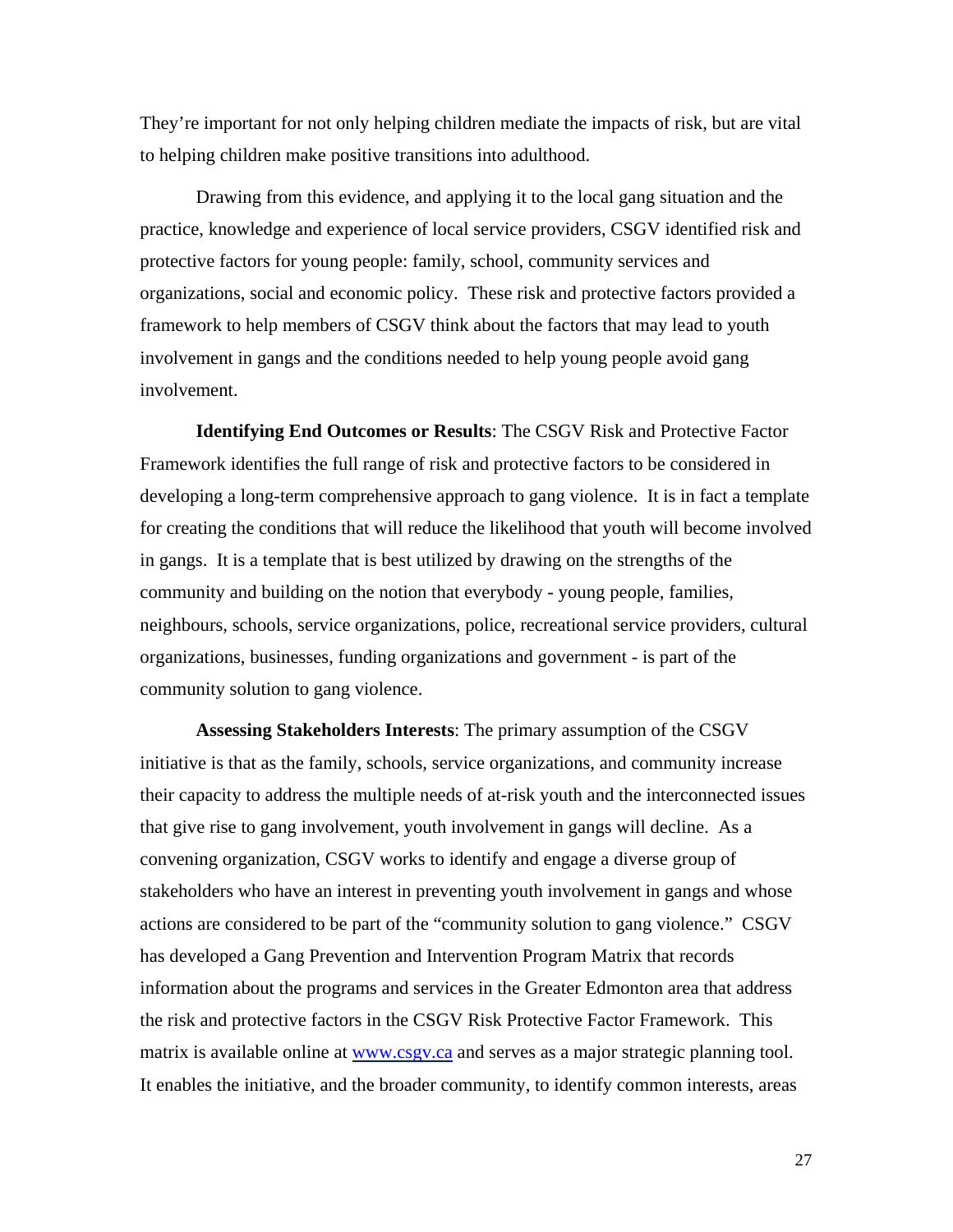They're important for not only helping children mediate the impacts of risk, but are vital to helping children make positive transitions into adulthood.

Drawing from this evidence, and applying it to the local gang situation and the practice, knowledge and experience of local service providers, CSGV identified risk and protective factors for young people: family, school, community services and organizations, social and economic policy. These risk and protective factors provided a framework to help members of CSGV think about the factors that may lead to youth involvement in gangs and the conditions needed to help young people avoid gang involvement.

**Identifying End Outcomes or Results**: The CSGV Risk and Protective Factor Framework identifies the full range of risk and protective factors to be considered in developing a long-term comprehensive approach to gang violence. It is in fact a template for creating the conditions that will reduce the likelihood that youth will become involved in gangs. It is a template that is best utilized by drawing on the strengths of the community and building on the notion that everybody - young people, families, neighbours, schools, service organizations, police, recreational service providers, cultural organizations, businesses, funding organizations and government - is part of the community solution to gang violence.

**Assessing Stakeholders Interests**: The primary assumption of the CSGV initiative is that as the family, schools, service organizations, and community increase their capacity to address the multiple needs of at-risk youth and the interconnected issues that give rise to gang involvement, youth involvement in gangs will decline. As a convening organization, CSGV works to identify and engage a diverse group of stakeholders who have an interest in preventing youth involvement in gangs and whose actions are considered to be part of the "community solution to gang violence." CSGV has developed a Gang Prevention and Intervention Program Matrix that records information about the programs and services in the Greater Edmonton area that address the risk and protective factors in the CSGV Risk Protective Factor Framework. This matrix is available online at [www.csgv.ca](http://www.csgv.ca/) and serves as a major strategic planning tool. It enables the initiative, and the broader community, to identify common interests, areas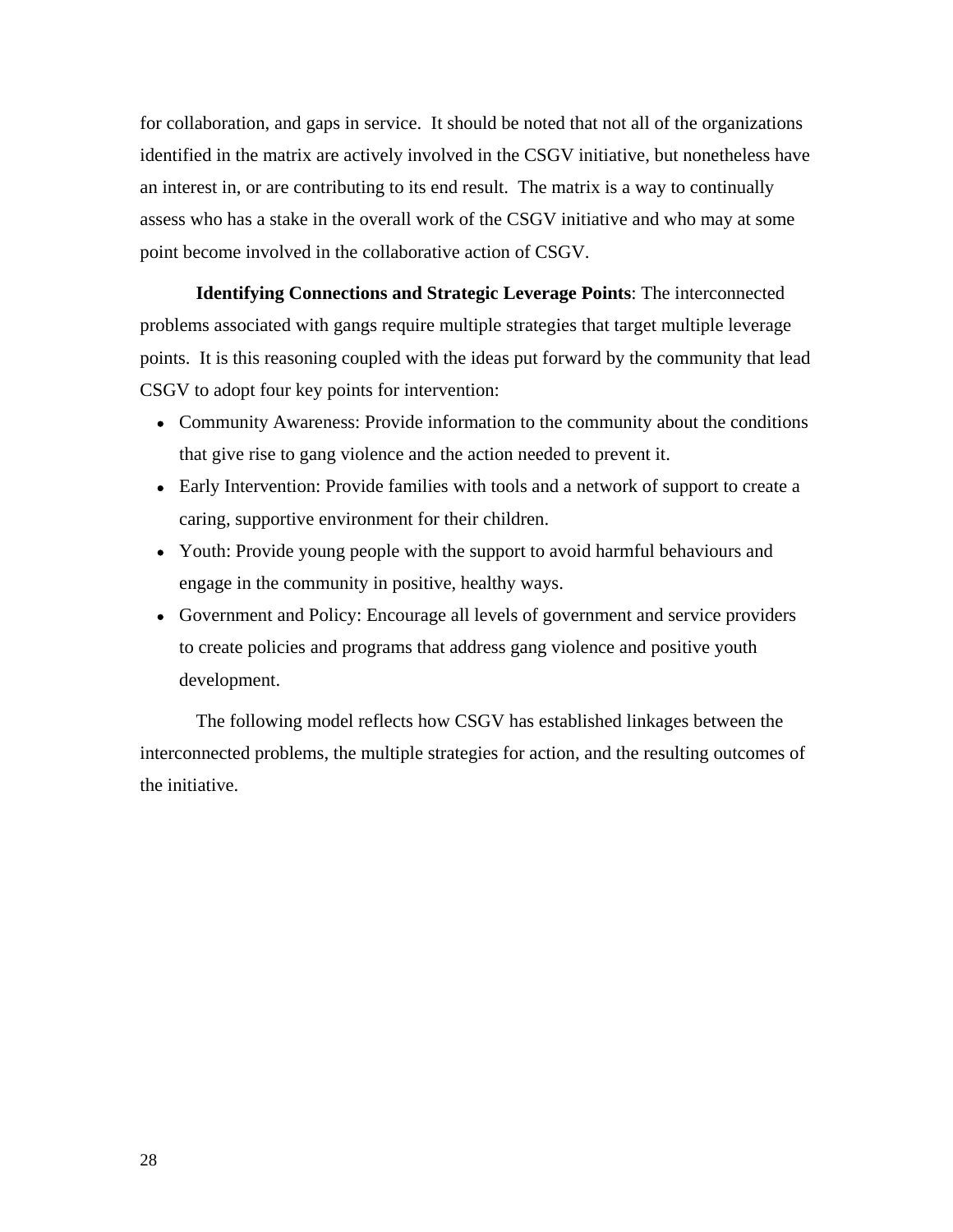for collaboration, and gaps in service. It should be noted that not all of the organizations identified in the matrix are actively involved in the CSGV initiative, but nonetheless have an interest in, or are contributing to its end result. The matrix is a way to continually assess who has a stake in the overall work of the CSGV initiative and who may at some point become involved in the collaborative action of CSGV.

**Identifying Connections and Strategic Leverage Points**: The interconnected problems associated with gangs require multiple strategies that target multiple leverage points. It is this reasoning coupled with the ideas put forward by the community that lead CSGV to adopt four key points for intervention:

- Community Awareness: Provide information to the community about the conditions that give rise to gang violence and the action needed to prevent it.
- Early Intervention: Provide families with tools and a network of support to create a caring, supportive environment for their children.
- Youth: Provide young people with the support to avoid harmful behaviours and engage in the community in positive, healthy ways.
- Government and Policy: Encourage all levels of government and service providers to create policies and programs that address gang violence and positive youth development.

The following model reflects how CSGV has established linkages between the interconnected problems, the multiple strategies for action, and the resulting outcomes of the initiative.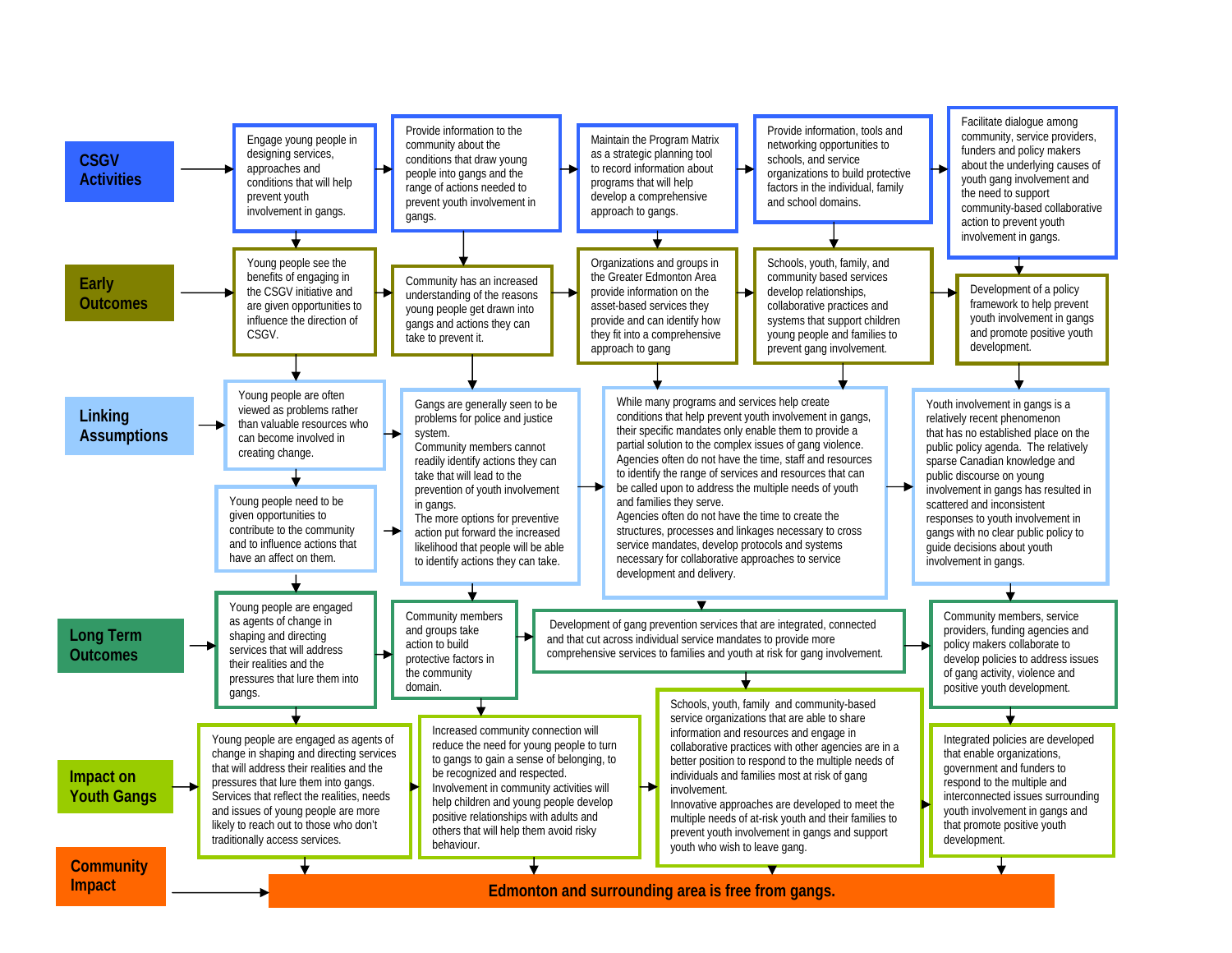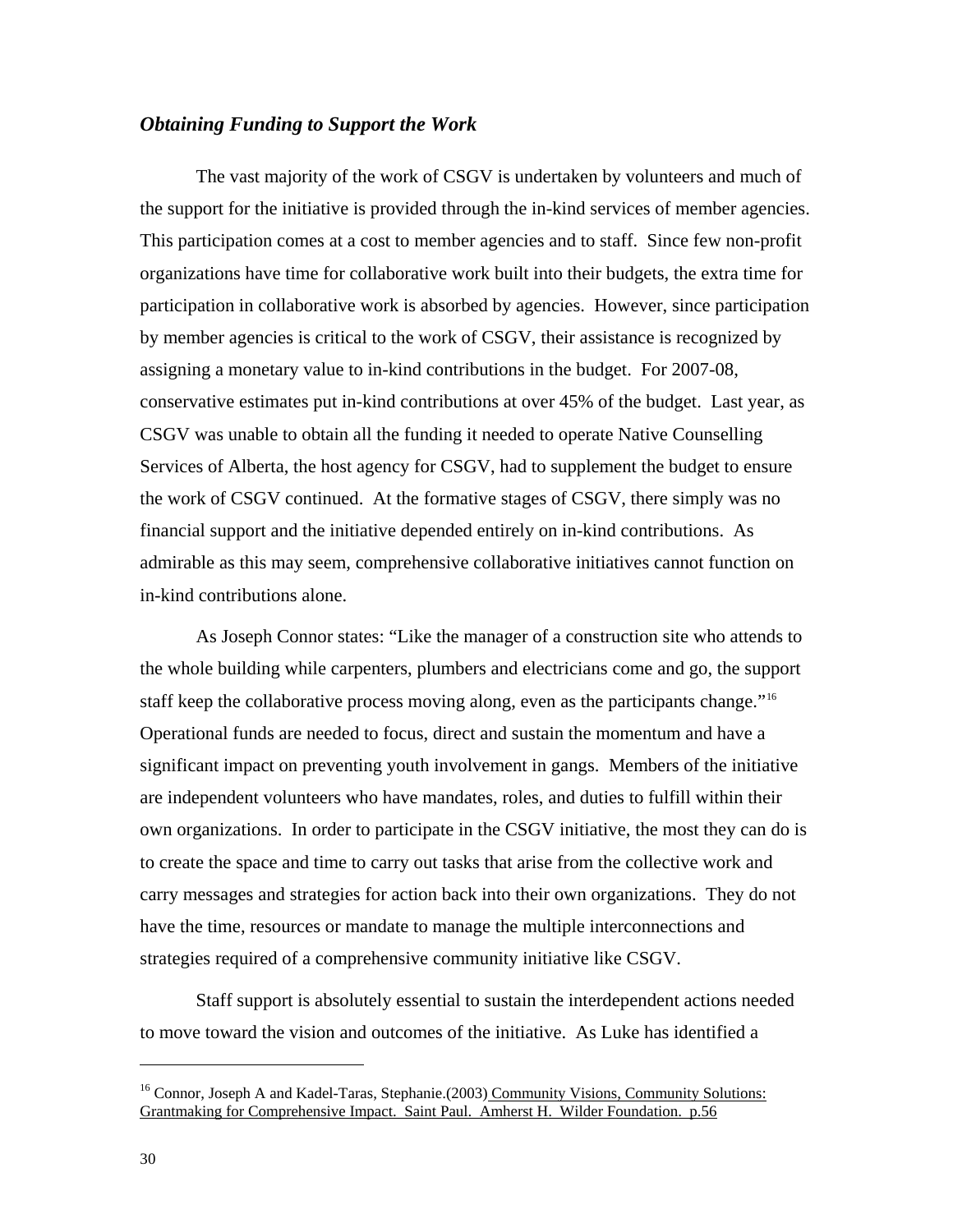## <span id="page-35-0"></span>*Obtaining Funding to Support the Work*

The vast majority of the work of CSGV is undertaken by volunteers and much of the support for the initiative is provided through the in-kind services of member agencies. This participation comes at a cost to member agencies and to staff. Since few non-profit organizations have time for collaborative work built into their budgets, the extra time for participation in collaborative work is absorbed by agencies. However, since participation by member agencies is critical to the work of CSGV, their assistance is recognized by assigning a monetary value to in-kind contributions in the budget. For 2007-08, conservative estimates put in-kind contributions at over 45% of the budget. Last year, as CSGV was unable to obtain all the funding it needed to operate Native Counselling Services of Alberta, the host agency for CSGV, had to supplement the budget to ensure the work of CSGV continued. At the formative stages of CSGV, there simply was no financial support and the initiative depended entirely on in-kind contributions. As admirable as this may seem, comprehensive collaborative initiatives cannot function on in-kind contributions alone.

As Joseph Connor states: "Like the manager of a construction site who attends to the whole building while carpenters, plumbers and electricians come and go, the support staff keep the collaborative process moving along, even as the participants change."<sup>[16](#page-35-0)</sup> Operational funds are needed to focus, direct and sustain the momentum and have a significant impact on preventing youth involvement in gangs. Members of the initiative are independent volunteers who have mandates, roles, and duties to fulfill within their own organizations. In order to participate in the CSGV initiative, the most they can do is to create the space and time to carry out tasks that arise from the collective work and carry messages and strategies for action back into their own organizations. They do not have the time, resources or mandate to manage the multiple interconnections and strategies required of a comprehensive community initiative like CSGV.

Staff support is absolutely essential to sustain the interdependent actions needed to move toward the vision and outcomes of the initiative. As Luke has identified a

<u>.</u>

<sup>&</sup>lt;sup>16</sup> Connor, Joseph A and Kadel-Taras, Stephanie.(2003) Community Visions, Community Solutions: Grantmaking for Comprehensive Impact. Saint Paul. Amherst H. Wilder Foundation. p.56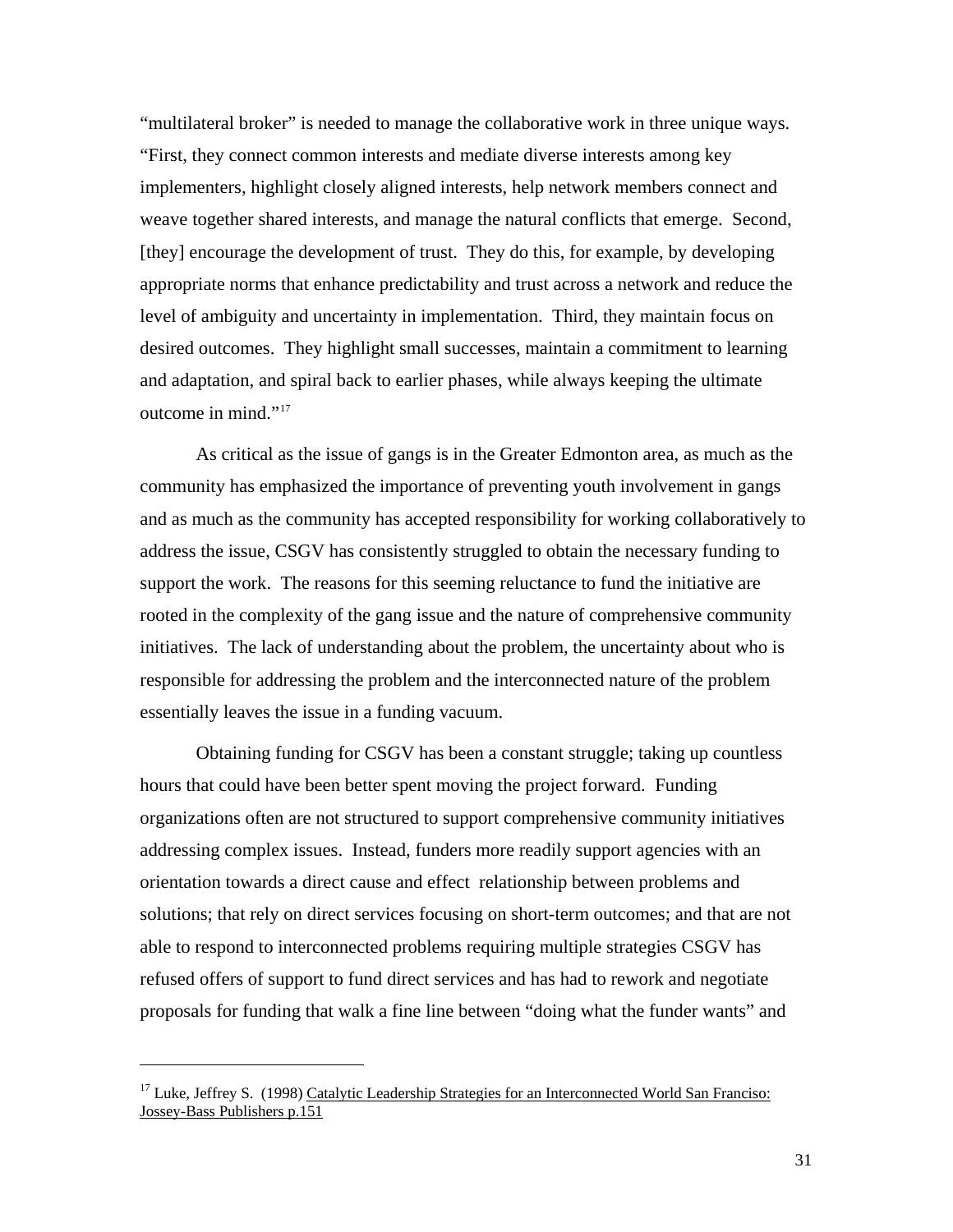<span id="page-36-0"></span>"multilateral broker" is needed to manage the collaborative work in three unique ways. "First, they connect common interests and mediate diverse interests among key implementers, highlight closely aligned interests, help network members connect and weave together shared interests, and manage the natural conflicts that emerge. Second, [they] encourage the development of trust. They do this, for example, by developing appropriate norms that enhance predictability and trust across a network and reduce the level of ambiguity and uncertainty in implementation. Third, they maintain focus on desired outcomes. They highlight small successes, maintain a commitment to learning and adaptation, and spiral back to earlier phases, while always keeping the ultimate outcome in mind."[17](#page-36-0)

As critical as the issue of gangs is in the Greater Edmonton area, as much as the community has emphasized the importance of preventing youth involvement in gangs and as much as the community has accepted responsibility for working collaboratively to address the issue, CSGV has consistently struggled to obtain the necessary funding to support the work. The reasons for this seeming reluctance to fund the initiative are rooted in the complexity of the gang issue and the nature of comprehensive community initiatives. The lack of understanding about the problem, the uncertainty about who is responsible for addressing the problem and the interconnected nature of the problem essentially leaves the issue in a funding vacuum.

Obtaining funding for CSGV has been a constant struggle; taking up countless hours that could have been better spent moving the project forward. Funding organizations often are not structured to support comprehensive community initiatives addressing complex issues. Instead, funders more readily support agencies with an orientation towards a direct cause and effect relationship between problems and solutions; that rely on direct services focusing on short-term outcomes; and that are not able to respond to interconnected problems requiring multiple strategies CSGV has refused offers of support to fund direct services and has had to rework and negotiate proposals for funding that walk a fine line between "doing what the funder wants" and

 $\overline{a}$ 

<sup>&</sup>lt;sup>17</sup> Luke, Jeffrey S. (1998) Catalytic Leadership Strategies for an Interconnected World San Franciso: Jossey-Bass Publishers p.151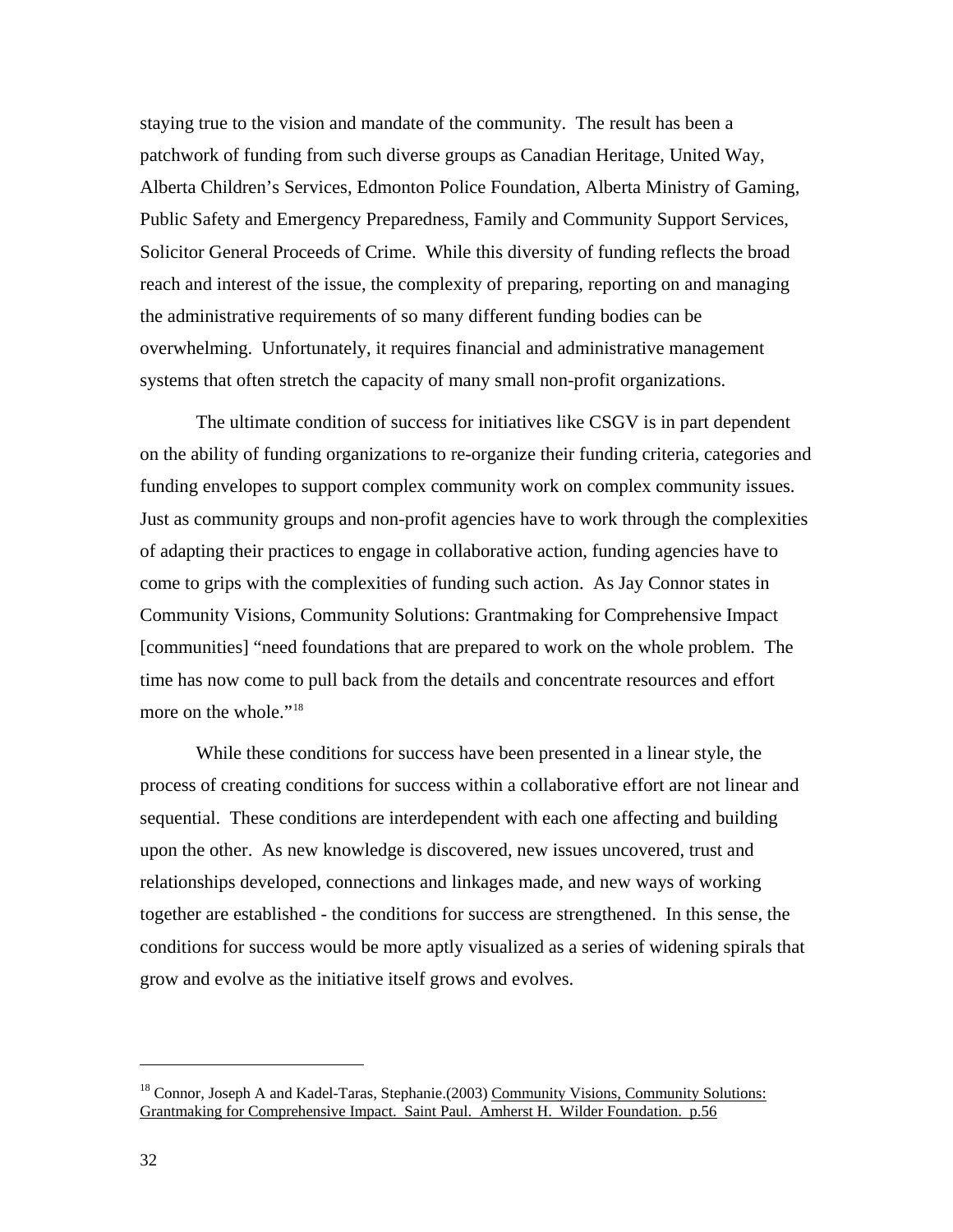<span id="page-37-0"></span>staying true to the vision and mandate of the community. The result has been a patchwork of funding from such diverse groups as Canadian Heritage, United Way, Alberta Children's Services, Edmonton Police Foundation, Alberta Ministry of Gaming, Public Safety and Emergency Preparedness, Family and Community Support Services, Solicitor General Proceeds of Crime. While this diversity of funding reflects the broad reach and interest of the issue, the complexity of preparing, reporting on and managing the administrative requirements of so many different funding bodies can be overwhelming. Unfortunately, it requires financial and administrative management systems that often stretch the capacity of many small non-profit organizations.

The ultimate condition of success for initiatives like CSGV is in part dependent on the ability of funding organizations to re-organize their funding criteria, categories and funding envelopes to support complex community work on complex community issues. Just as community groups and non-profit agencies have to work through the complexities of adapting their practices to engage in collaborative action, funding agencies have to come to grips with the complexities of funding such action. As Jay Connor states in Community Visions, Community Solutions: Grantmaking for Comprehensive Impact [communities] "need foundations that are prepared to work on the whole problem. The time has now come to pull back from the details and concentrate resources and effort more on the whole."<sup>[18](#page-37-0)</sup>

While these conditions for success have been presented in a linear style, the process of creating conditions for success within a collaborative effort are not linear and sequential. These conditions are interdependent with each one affecting and building upon the other. As new knowledge is discovered, new issues uncovered, trust and relationships developed, connections and linkages made, and new ways of working together are established - the conditions for success are strengthened. In this sense, the conditions for success would be more aptly visualized as a series of widening spirals that grow and evolve as the initiative itself grows and evolves.

 $\overline{a}$ 

<sup>&</sup>lt;sup>18</sup> Connor, Joseph A and Kadel-Taras, Stephanie.(2003) Community Visions, Community Solutions: Grantmaking for Comprehensive Impact. Saint Paul. Amherst H. Wilder Foundation. p.56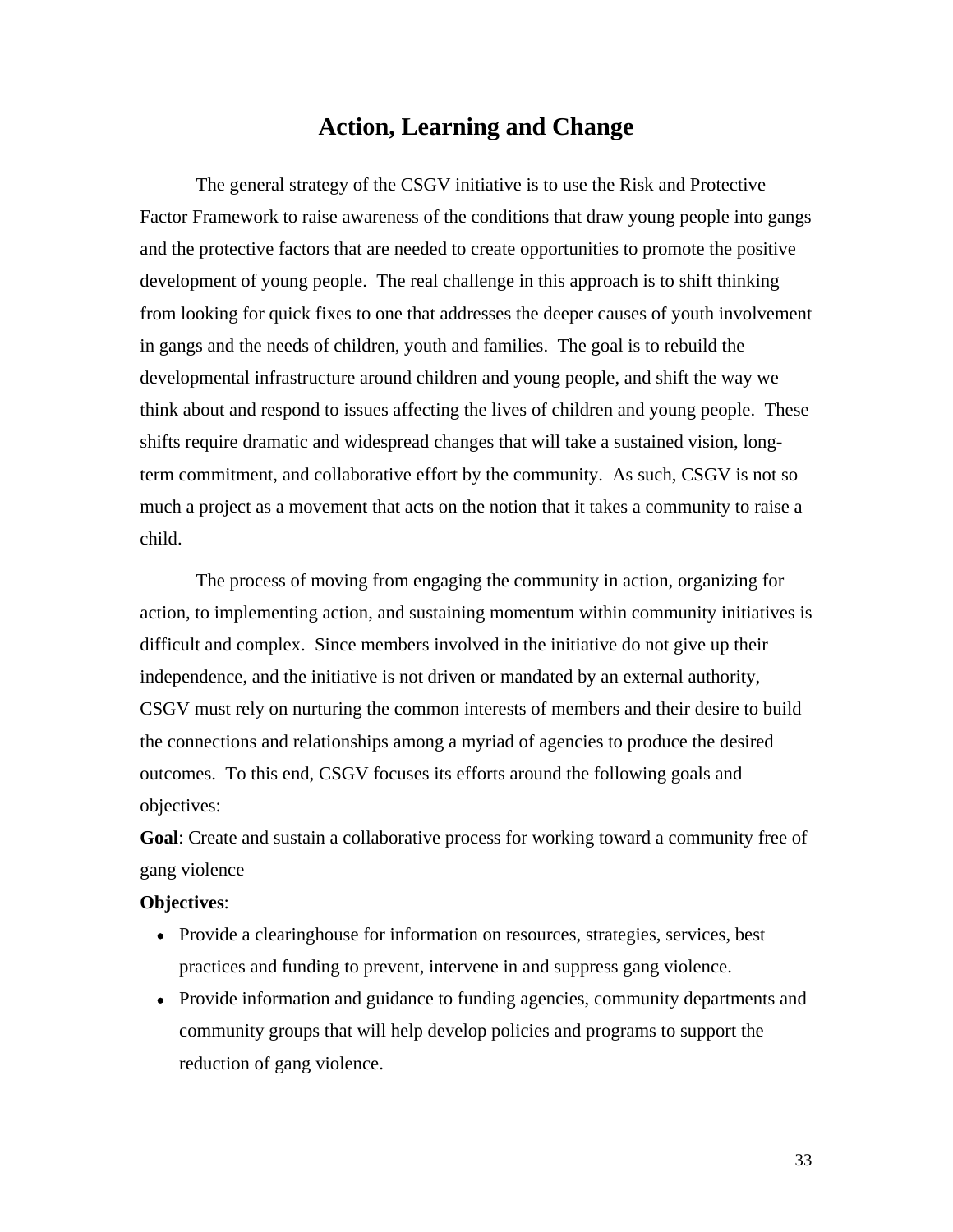# **Action, Learning and Change**

The general strategy of the CSGV initiative is to use the Risk and Protective Factor Framework to raise awareness of the conditions that draw young people into gangs and the protective factors that are needed to create opportunities to promote the positive development of young people. The real challenge in this approach is to shift thinking from looking for quick fixes to one that addresses the deeper causes of youth involvement in gangs and the needs of children, youth and families. The goal is to rebuild the developmental infrastructure around children and young people, and shift the way we think about and respond to issues affecting the lives of children and young people. These shifts require dramatic and widespread changes that will take a sustained vision, longterm commitment, and collaborative effort by the community. As such, CSGV is not so much a project as a movement that acts on the notion that it takes a community to raise a child.

The process of moving from engaging the community in action, organizing for action, to implementing action, and sustaining momentum within community initiatives is difficult and complex. Since members involved in the initiative do not give up their independence, and the initiative is not driven or mandated by an external authority, CSGV must rely on nurturing the common interests of members and their desire to build the connections and relationships among a myriad of agencies to produce the desired outcomes. To this end, CSGV focuses its efforts around the following goals and objectives:

**Goal**: Create and sustain a collaborative process for working toward a community free of gang violence

## **Objectives**:

- Provide a clearinghouse for information on resources, strategies, services, best practices and funding to prevent, intervene in and suppress gang violence.
- Provide information and guidance to funding agencies, community departments and community groups that will help develop policies and programs to support the reduction of gang violence.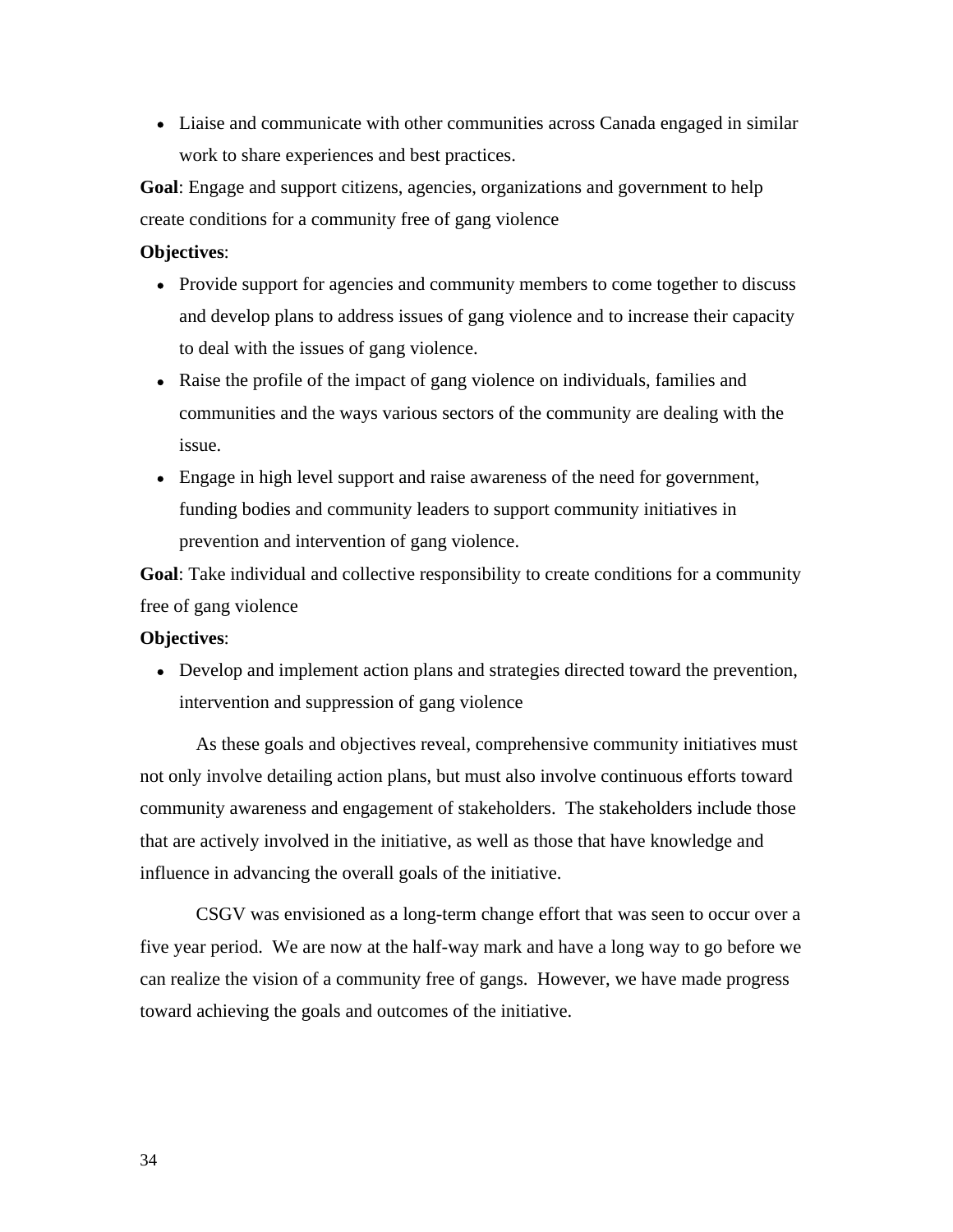• Liaise and communicate with other communities across Canada engaged in similar work to share experiences and best practices.

**Goal**: Engage and support citizens, agencies, organizations and government to help create conditions for a community free of gang violence

# **Objectives**:

- Provide support for agencies and community members to come together to discuss and develop plans to address issues of gang violence and to increase their capacity to deal with the issues of gang violence.
- Raise the profile of the impact of gang violence on individuals, families and communities and the ways various sectors of the community are dealing with the issue.
- Engage in high level support and raise awareness of the need for government, funding bodies and community leaders to support community initiatives in prevention and intervention of gang violence.

**Goal**: Take individual and collective responsibility to create conditions for a community free of gang violence

# **Objectives**:

• Develop and implement action plans and strategies directed toward the prevention, intervention and suppression of gang violence

As these goals and objectives reveal, comprehensive community initiatives must not only involve detailing action plans, but must also involve continuous efforts toward community awareness and engagement of stakeholders. The stakeholders include those that are actively involved in the initiative, as well as those that have knowledge and influence in advancing the overall goals of the initiative.

CSGV was envisioned as a long-term change effort that was seen to occur over a five year period. We are now at the half-way mark and have a long way to go before we can realize the vision of a community free of gangs. However, we have made progress toward achieving the goals and outcomes of the initiative.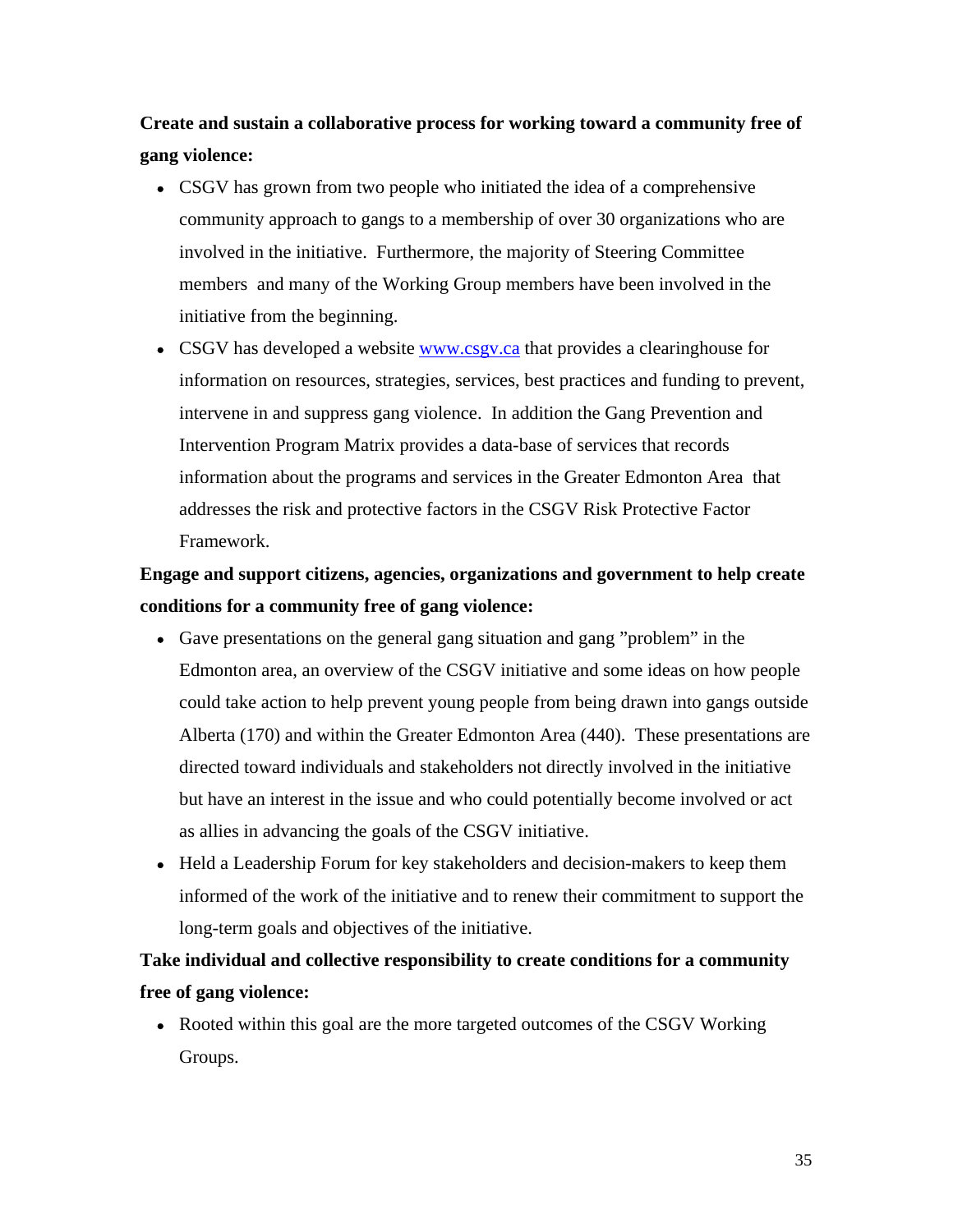**Create and sustain a collaborative process for working toward a community free of gang violence:** 

- CSGV has grown from two people who initiated the idea of a comprehensive community approach to gangs to a membership of over 30 organizations who are involved in the initiative. Furthermore, the majority of Steering Committee members and many of the Working Group members have been involved in the initiative from the beginning.
- CSGV has developed a website www.csgy.ca that provides a clearinghouse for information on resources, strategies, services, best practices and funding to prevent, intervene in and suppress gang violence. In addition the Gang Prevention and Intervention Program Matrix provides a data-base of services that records information about the programs and services in the Greater Edmonton Area that addresses the risk and protective factors in the CSGV Risk Protective Factor Framework.

# **Engage and support citizens, agencies, organizations and government to help create conditions for a community free of gang violence:**

- Gave presentations on the general gang situation and gang "problem" in the Edmonton area, an overview of the CSGV initiative and some ideas on how people could take action to help prevent young people from being drawn into gangs outside Alberta (170) and within the Greater Edmonton Area (440). These presentations are directed toward individuals and stakeholders not directly involved in the initiative but have an interest in the issue and who could potentially become involved or act as allies in advancing the goals of the CSGV initiative.
- Held a Leadership Forum for key stakeholders and decision-makers to keep them informed of the work of the initiative and to renew their commitment to support the long-term goals and objectives of the initiative.

# **Take individual and collective responsibility to create conditions for a community free of gang violence:**

• Rooted within this goal are the more targeted outcomes of the CSGV Working Groups.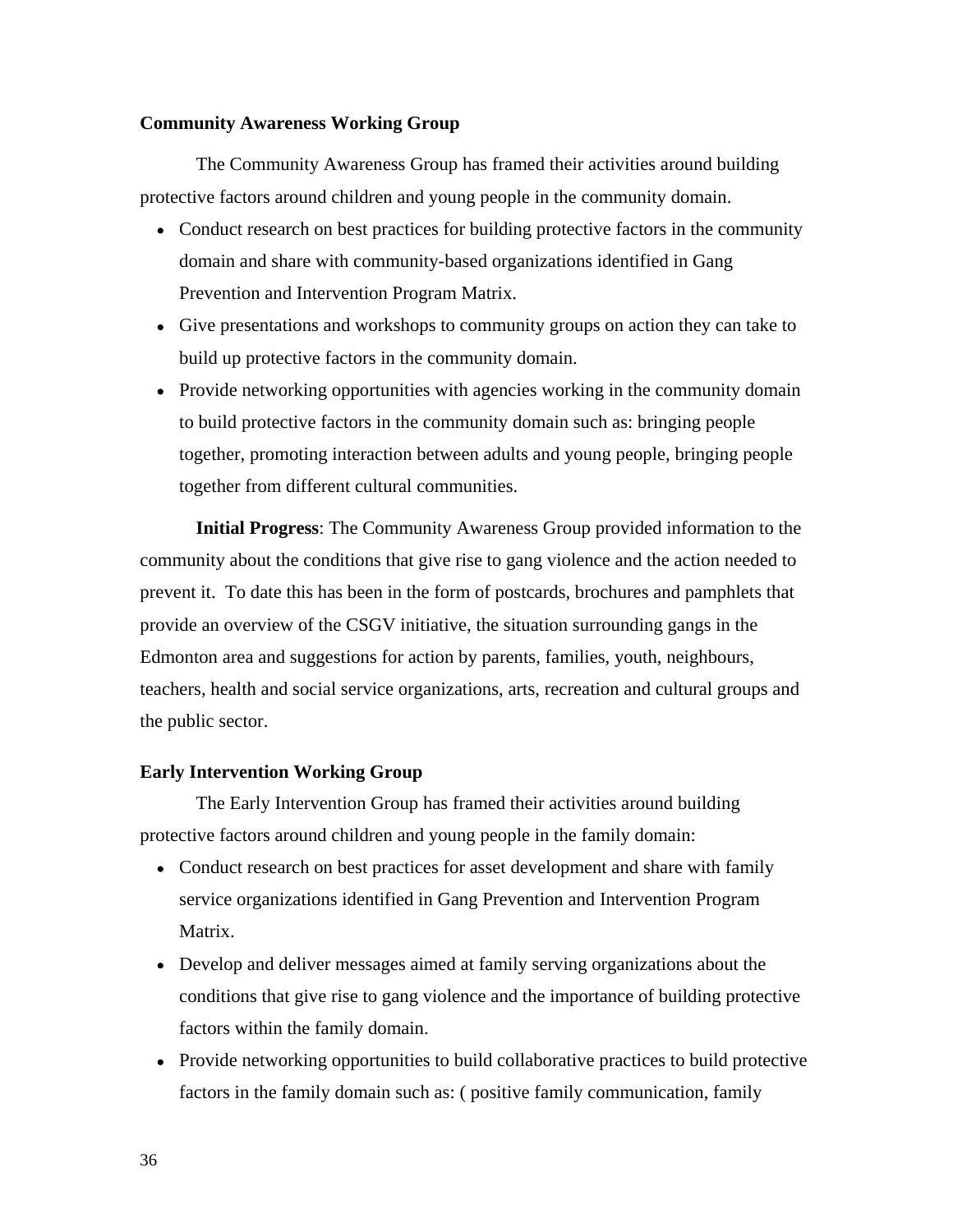#### **Community Awareness Working Group**

The Community Awareness Group has framed their activities around building protective factors around children and young people in the community domain.

- Conduct research on best practices for building protective factors in the community domain and share with community-based organizations identified in Gang Prevention and Intervention Program Matrix.
- Give presentations and workshops to community groups on action they can take to build up protective factors in the community domain.
- Provide networking opportunities with agencies working in the community domain to build protective factors in the community domain such as: bringing people together, promoting interaction between adults and young people, bringing people together from different cultural communities.

**Initial Progress**: The Community Awareness Group provided information to the community about the conditions that give rise to gang violence and the action needed to prevent it. To date this has been in the form of postcards, brochures and pamphlets that provide an overview of the CSGV initiative, the situation surrounding gangs in the Edmonton area and suggestions for action by parents, families, youth, neighbours, teachers, health and social service organizations, arts, recreation and cultural groups and the public sector.

#### **Early Intervention Working Group**

The Early Intervention Group has framed their activities around building protective factors around children and young people in the family domain:

- Conduct research on best practices for asset development and share with family service organizations identified in Gang Prevention and Intervention Program Matrix.
- Develop and deliver messages aimed at family serving organizations about the conditions that give rise to gang violence and the importance of building protective factors within the family domain.
- Provide networking opportunities to build collaborative practices to build protective factors in the family domain such as: ( positive family communication, family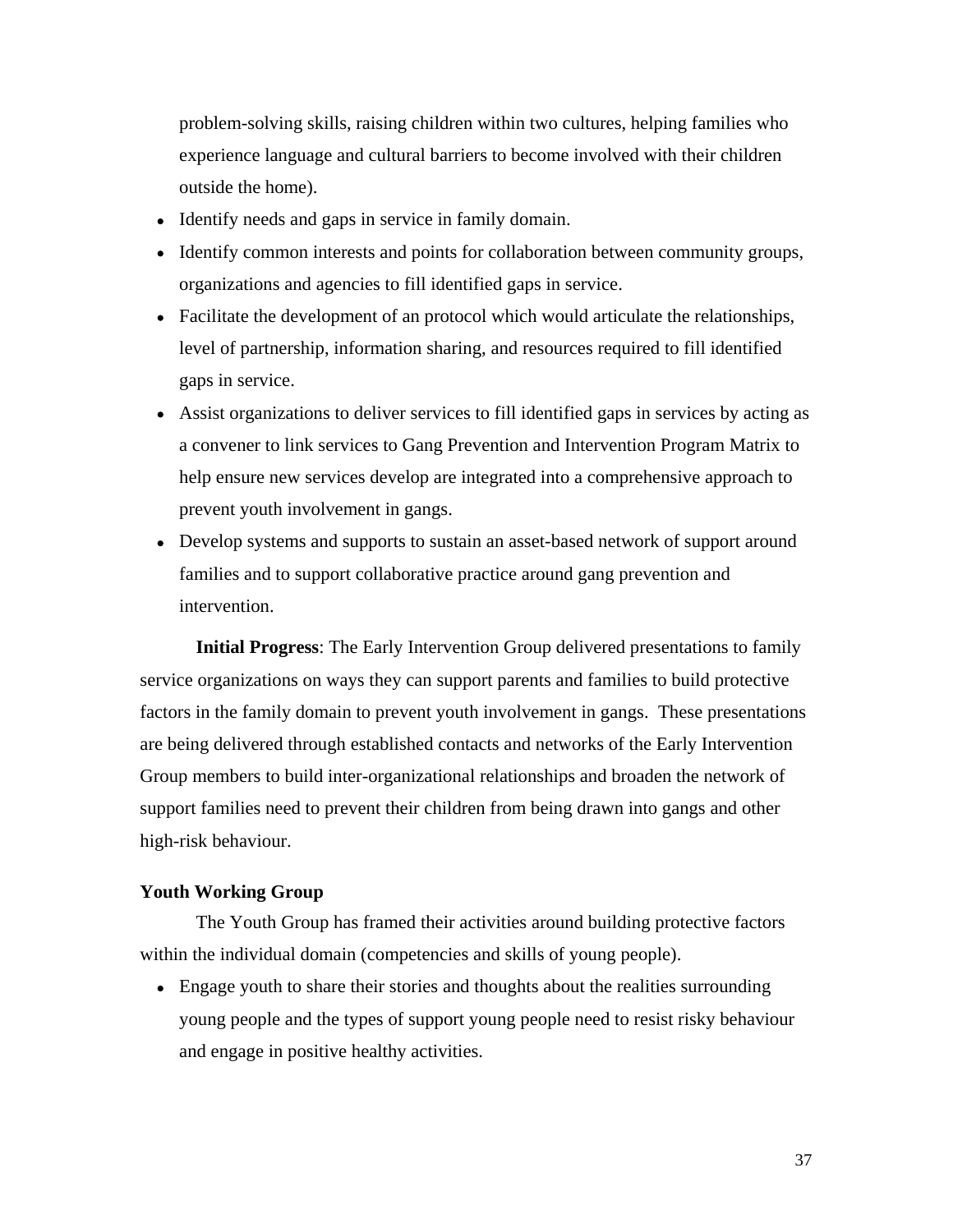problem-solving skills, raising children within two cultures, helping families who experience language and cultural barriers to become involved with their children outside the home).

- Identify needs and gaps in service in family domain.
- Identify common interests and points for collaboration between community groups, organizations and agencies to fill identified gaps in service.
- Facilitate the development of an protocol which would articulate the relationships, level of partnership, information sharing, and resources required to fill identified gaps in service.
- Assist organizations to deliver services to fill identified gaps in services by acting as a convener to link services to Gang Prevention and Intervention Program Matrix to help ensure new services develop are integrated into a comprehensive approach to prevent youth involvement in gangs.
- Develop systems and supports to sustain an asset-based network of support around families and to support collaborative practice around gang prevention and intervention.

**Initial Progress**: The Early Intervention Group delivered presentations to family service organizations on ways they can support parents and families to build protective factors in the family domain to prevent youth involvement in gangs. These presentations are being delivered through established contacts and networks of the Early Intervention Group members to build inter-organizational relationships and broaden the network of support families need to prevent their children from being drawn into gangs and other high-risk behaviour.

## **Youth Working Group**

The Youth Group has framed their activities around building protective factors within the individual domain (competencies and skills of young people).

• Engage youth to share their stories and thoughts about the realities surrounding young people and the types of support young people need to resist risky behaviour and engage in positive healthy activities.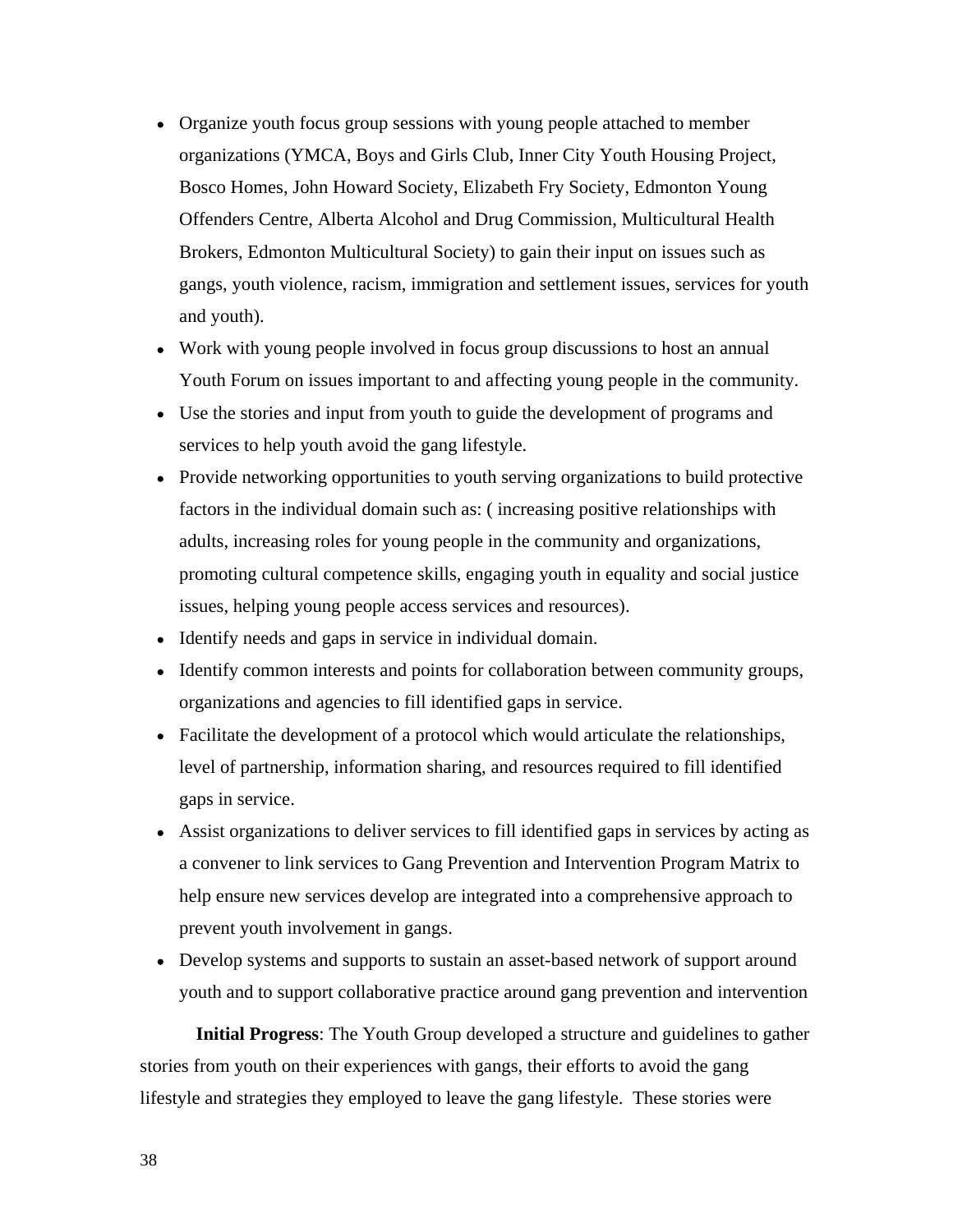- Organize youth focus group sessions with young people attached to member organizations (YMCA, Boys and Girls Club, Inner City Youth Housing Project, Bosco Homes, John Howard Society, Elizabeth Fry Society, Edmonton Young Offenders Centre, Alberta Alcohol and Drug Commission, Multicultural Health Brokers, Edmonton Multicultural Society) to gain their input on issues such as gangs, youth violence, racism, immigration and settlement issues, services for youth and youth).
- Work with young people involved in focus group discussions to host an annual Youth Forum on issues important to and affecting young people in the community.
- Use the stories and input from youth to guide the development of programs and services to help youth avoid the gang lifestyle.
- Provide networking opportunities to youth serving organizations to build protective factors in the individual domain such as: ( increasing positive relationships with adults, increasing roles for young people in the community and organizations, promoting cultural competence skills, engaging youth in equality and social justice issues, helping young people access services and resources).
- Identify needs and gaps in service in individual domain.
- Identify common interests and points for collaboration between community groups, organizations and agencies to fill identified gaps in service.
- Facilitate the development of a protocol which would articulate the relationships, level of partnership, information sharing, and resources required to fill identified gaps in service.
- Assist organizations to deliver services to fill identified gaps in services by acting as a convener to link services to Gang Prevention and Intervention Program Matrix to help ensure new services develop are integrated into a comprehensive approach to prevent youth involvement in gangs.
- Develop systems and supports to sustain an asset-based network of support around youth and to support collaborative practice around gang prevention and intervention

**Initial Progress**: The Youth Group developed a structure and guidelines to gather stories from youth on their experiences with gangs, their efforts to avoid the gang lifestyle and strategies they employed to leave the gang lifestyle. These stories were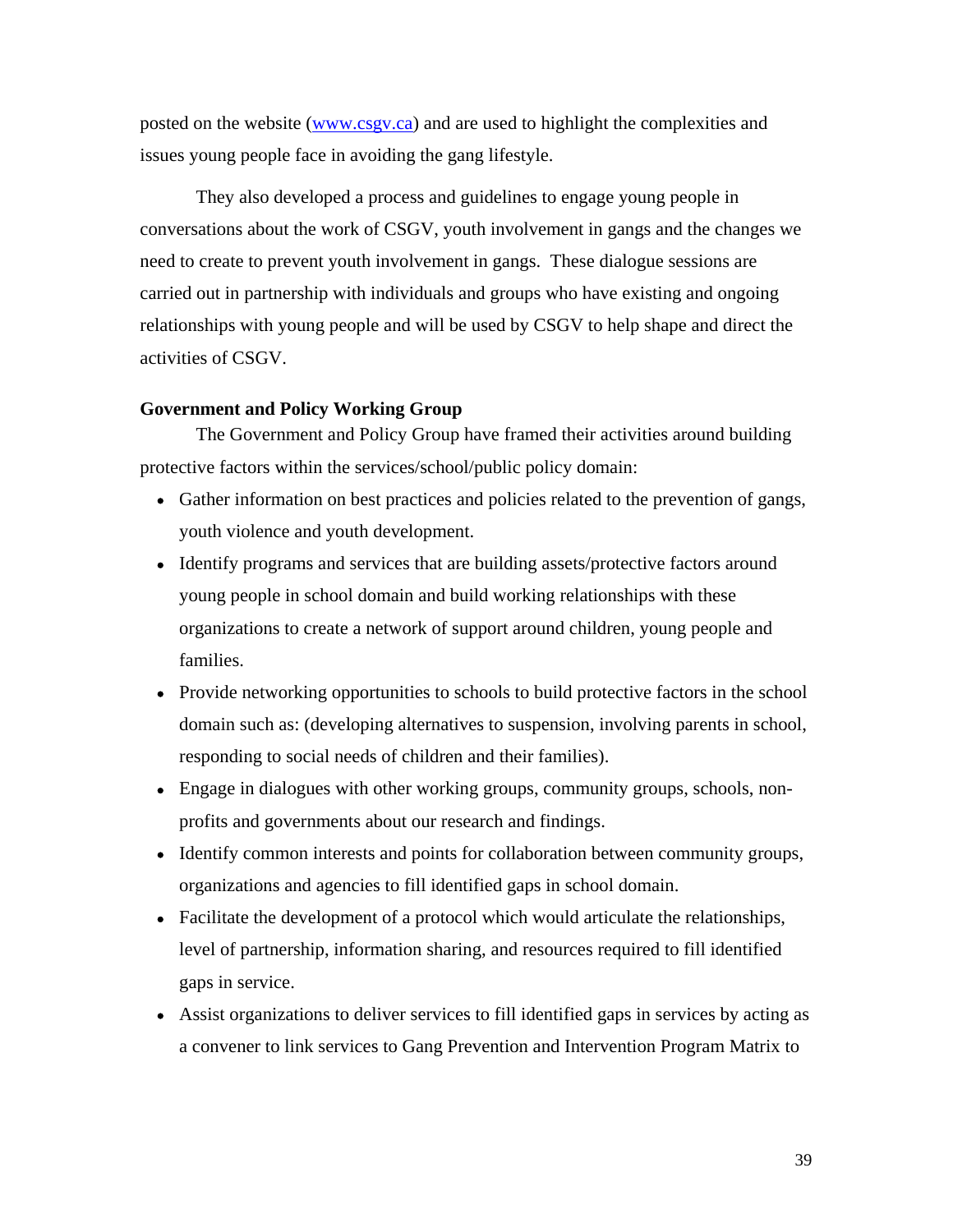posted on the website ([www.csgv.ca](http://www.csgv.ca/)) and are used to highlight the complexities and issues young people face in avoiding the gang lifestyle.

They also developed a process and guidelines to engage young people in conversations about the work of CSGV, youth involvement in gangs and the changes we need to create to prevent youth involvement in gangs. These dialogue sessions are carried out in partnership with individuals and groups who have existing and ongoing relationships with young people and will be used by CSGV to help shape and direct the activities of CSGV.

### **Government and Policy Working Group**

The Government and Policy Group have framed their activities around building protective factors within the services/school/public policy domain:

- Gather information on best practices and policies related to the prevention of gangs, youth violence and youth development.
- Identify programs and services that are building assets/protective factors around young people in school domain and build working relationships with these organizations to create a network of support around children, young people and families.
- Provide networking opportunities to schools to build protective factors in the school domain such as: (developing alternatives to suspension, involving parents in school, responding to social needs of children and their families).
- Engage in dialogues with other working groups, community groups, schools, nonprofits and governments about our research and findings.
- Identify common interests and points for collaboration between community groups, organizations and agencies to fill identified gaps in school domain.
- Facilitate the development of a protocol which would articulate the relationships, level of partnership, information sharing, and resources required to fill identified gaps in service.
- Assist organizations to deliver services to fill identified gaps in services by acting as a convener to link services to Gang Prevention and Intervention Program Matrix to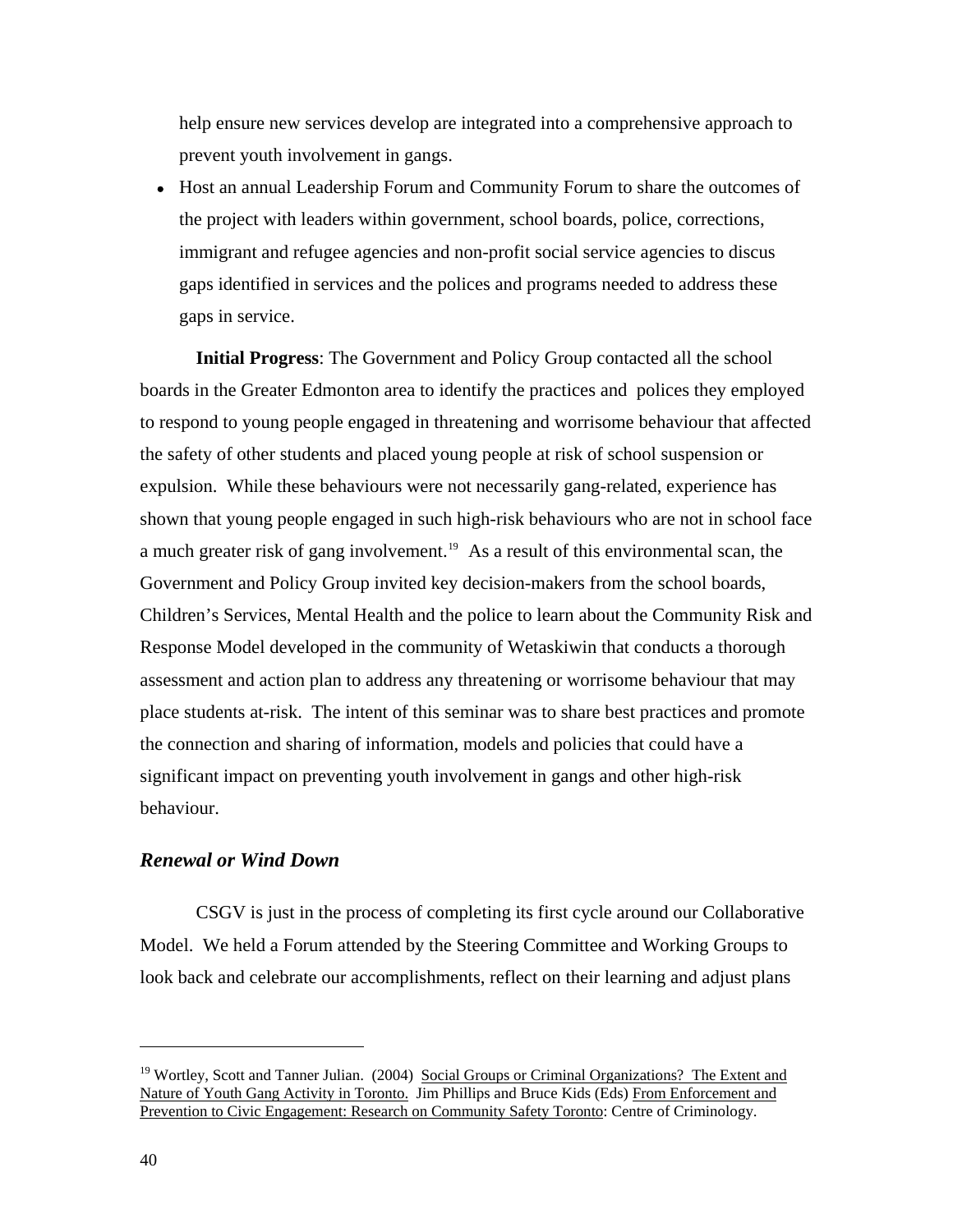<span id="page-45-0"></span>help ensure new services develop are integrated into a comprehensive approach to prevent youth involvement in gangs.

• Host an annual Leadership Forum and Community Forum to share the outcomes of the project with leaders within government, school boards, police, corrections, immigrant and refugee agencies and non-profit social service agencies to discus gaps identified in services and the polices and programs needed to address these gaps in service.

**Initial Progress**: The Government and Policy Group contacted all the school boards in the Greater Edmonton area to identify the practices and polices they employed to respond to young people engaged in threatening and worrisome behaviour that affected the safety of other students and placed young people at risk of school suspension or expulsion. While these behaviours were not necessarily gang-related, experience has shown that young people engaged in such high-risk behaviours who are not in school face a much greater risk of gang involvement.<sup>[19](#page-45-0)</sup> As a result of this environmental scan, the Government and Policy Group invited key decision-makers from the school boards, Children's Services, Mental Health and the police to learn about the Community Risk and Response Model developed in the community of Wetaskiwin that conducts a thorough assessment and action plan to address any threatening or worrisome behaviour that may place students at-risk. The intent of this seminar was to share best practices and promote the connection and sharing of information, models and policies that could have a significant impact on preventing youth involvement in gangs and other high-risk behaviour.

# *Renewal or Wind Down*

CSGV is just in the process of completing its first cycle around our Collaborative Model. We held a Forum attended by the Steering Committee and Working Groups to look back and celebrate our accomplishments, reflect on their learning and adjust plans

 $\overline{a}$ 

<sup>&</sup>lt;sup>19</sup> Wortley, Scott and Tanner Julian. (2004) Social Groups or Criminal Organizations? The Extent and Nature of Youth Gang Activity in Toronto. Jim Phillips and Bruce Kids (Eds) From Enforcement and Prevention to Civic Engagement: Research on Community Safety Toronto: Centre of Criminology.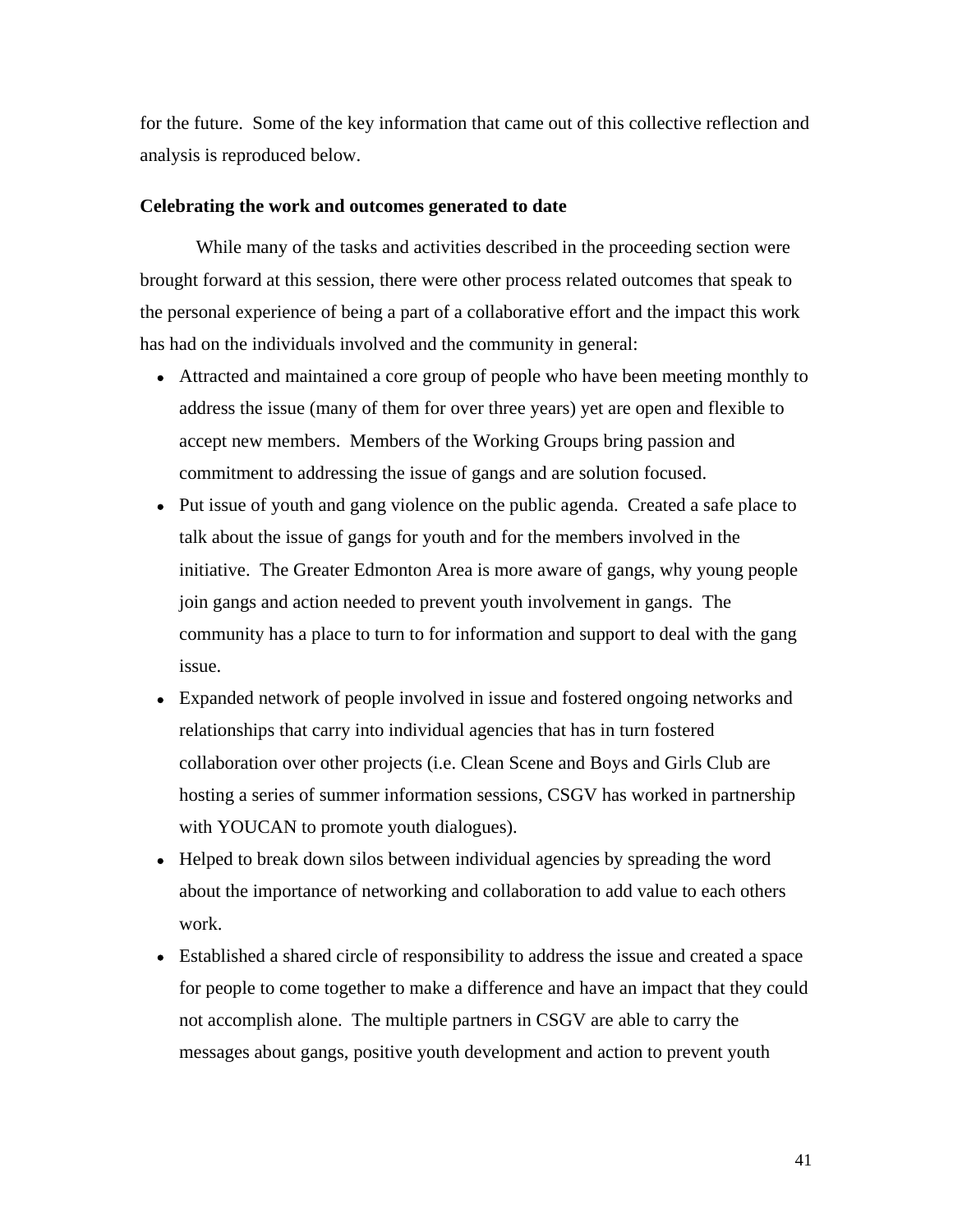for the future. Some of the key information that came out of this collective reflection and analysis is reproduced below.

#### **Celebrating the work and outcomes generated to date**

While many of the tasks and activities described in the proceeding section were brought forward at this session, there were other process related outcomes that speak to the personal experience of being a part of a collaborative effort and the impact this work has had on the individuals involved and the community in general:

- Attracted and maintained a core group of people who have been meeting monthly to address the issue (many of them for over three years) yet are open and flexible to accept new members. Members of the Working Groups bring passion and commitment to addressing the issue of gangs and are solution focused.
- Put issue of youth and gang violence on the public agenda. Created a safe place to talk about the issue of gangs for youth and for the members involved in the initiative. The Greater Edmonton Area is more aware of gangs, why young people join gangs and action needed to prevent youth involvement in gangs. The community has a place to turn to for information and support to deal with the gang issue.
- Expanded network of people involved in issue and fostered ongoing networks and relationships that carry into individual agencies that has in turn fostered collaboration over other projects (i.e. Clean Scene and Boys and Girls Club are hosting a series of summer information sessions, CSGV has worked in partnership with YOUCAN to promote youth dialogues).
- Helped to break down silos between individual agencies by spreading the word about the importance of networking and collaboration to add value to each others work.
- Established a shared circle of responsibility to address the issue and created a space for people to come together to make a difference and have an impact that they could not accomplish alone. The multiple partners in CSGV are able to carry the messages about gangs, positive youth development and action to prevent youth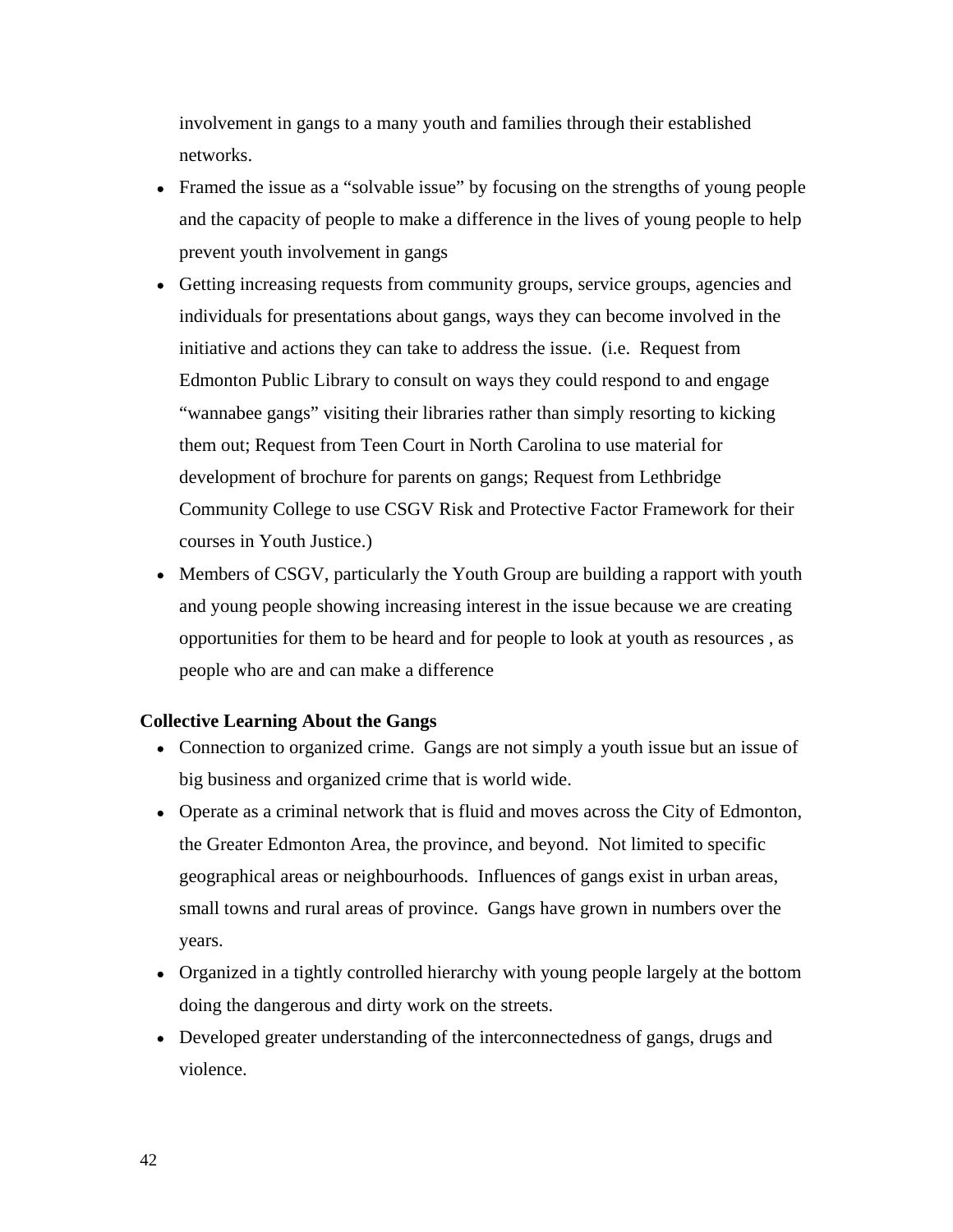involvement in gangs to a many youth and families through their established networks.

- Framed the issue as a "solvable issue" by focusing on the strengths of young people and the capacity of people to make a difference in the lives of young people to help prevent youth involvement in gangs
- Getting increasing requests from community groups, service groups, agencies and individuals for presentations about gangs, ways they can become involved in the initiative and actions they can take to address the issue. (i.e. Request from Edmonton Public Library to consult on ways they could respond to and engage "wannabee gangs" visiting their libraries rather than simply resorting to kicking them out; Request from Teen Court in North Carolina to use material for development of brochure for parents on gangs; Request from Lethbridge Community College to use CSGV Risk and Protective Factor Framework for their courses in Youth Justice.)
- Members of CSGV, particularly the Youth Group are building a rapport with youth and young people showing increasing interest in the issue because we are creating opportunities for them to be heard and for people to look at youth as resources , as people who are and can make a difference

## **Collective Learning About the Gangs**

- Connection to organized crime. Gangs are not simply a youth issue but an issue of big business and organized crime that is world wide.
- Operate as a criminal network that is fluid and moves across the City of Edmonton, the Greater Edmonton Area, the province, and beyond. Not limited to specific geographical areas or neighbourhoods. Influences of gangs exist in urban areas, small towns and rural areas of province. Gangs have grown in numbers over the years.
- Organized in a tightly controlled hierarchy with young people largely at the bottom doing the dangerous and dirty work on the streets.
- Developed greater understanding of the interconnectedness of gangs, drugs and violence.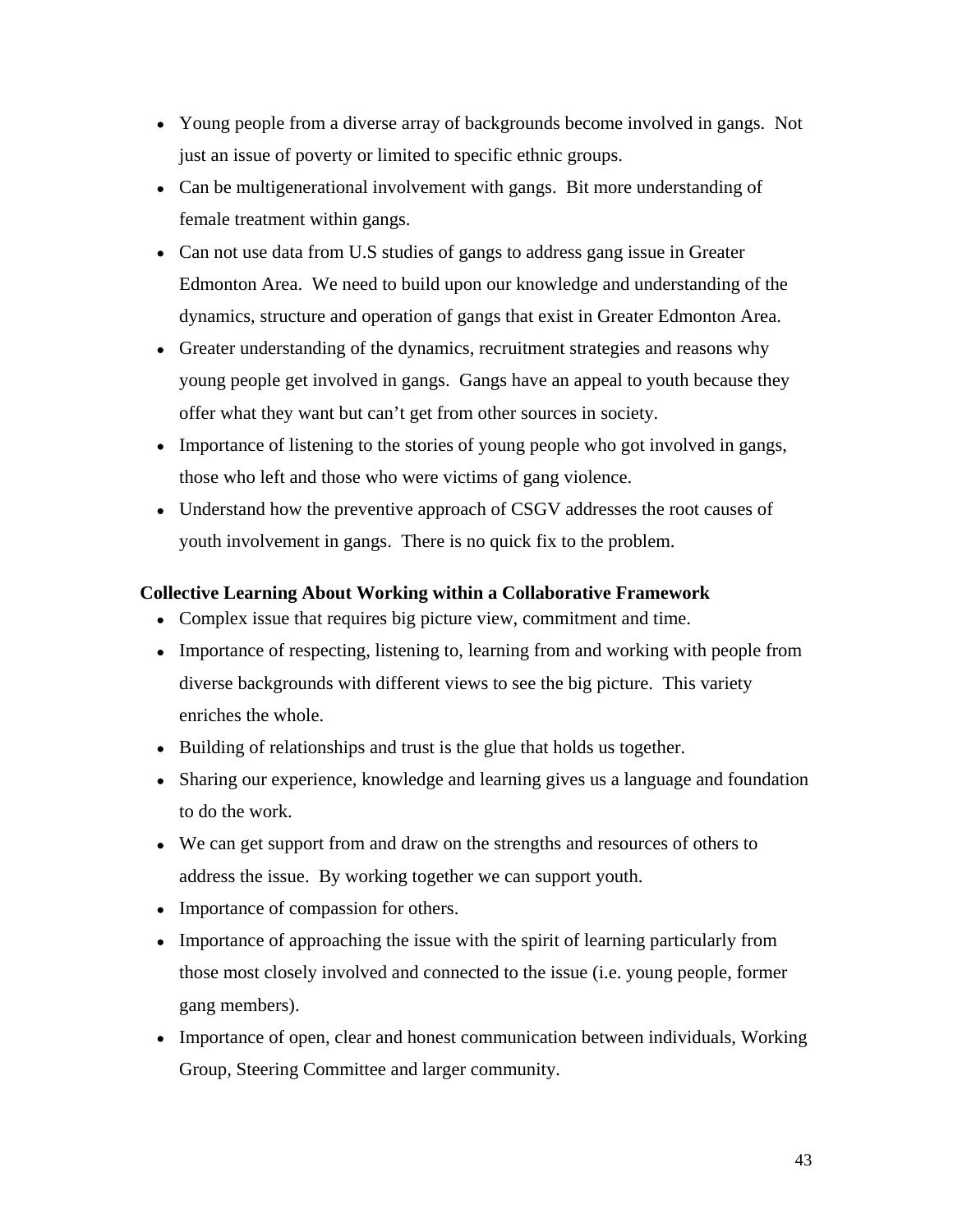- Young people from a diverse array of backgrounds become involved in gangs. Not just an issue of poverty or limited to specific ethnic groups.
- Can be multigenerational involvement with gangs. Bit more understanding of female treatment within gangs.
- Can not use data from U.S studies of gangs to address gang issue in Greater Edmonton Area. We need to build upon our knowledge and understanding of the dynamics, structure and operation of gangs that exist in Greater Edmonton Area.
- Greater understanding of the dynamics, recruitment strategies and reasons why young people get involved in gangs. Gangs have an appeal to youth because they offer what they want but can't get from other sources in society.
- Importance of listening to the stories of young people who got involved in gangs, those who left and those who were victims of gang violence.
- Understand how the preventive approach of CSGV addresses the root causes of youth involvement in gangs. There is no quick fix to the problem.

# **Collective Learning About Working within a Collaborative Framework**

- Complex issue that requires big picture view, commitment and time.
- Importance of respecting, listening to, learning from and working with people from diverse backgrounds with different views to see the big picture. This variety enriches the whole.
- Building of relationships and trust is the glue that holds us together.
- Sharing our experience, knowledge and learning gives us a language and foundation to do the work.
- We can get support from and draw on the strengths and resources of others to address the issue. By working together we can support youth.
- Importance of compassion for others.
- Importance of approaching the issue with the spirit of learning particularly from those most closely involved and connected to the issue (i.e. young people, former gang members).
- Importance of open, clear and honest communication between individuals, Working Group, Steering Committee and larger community.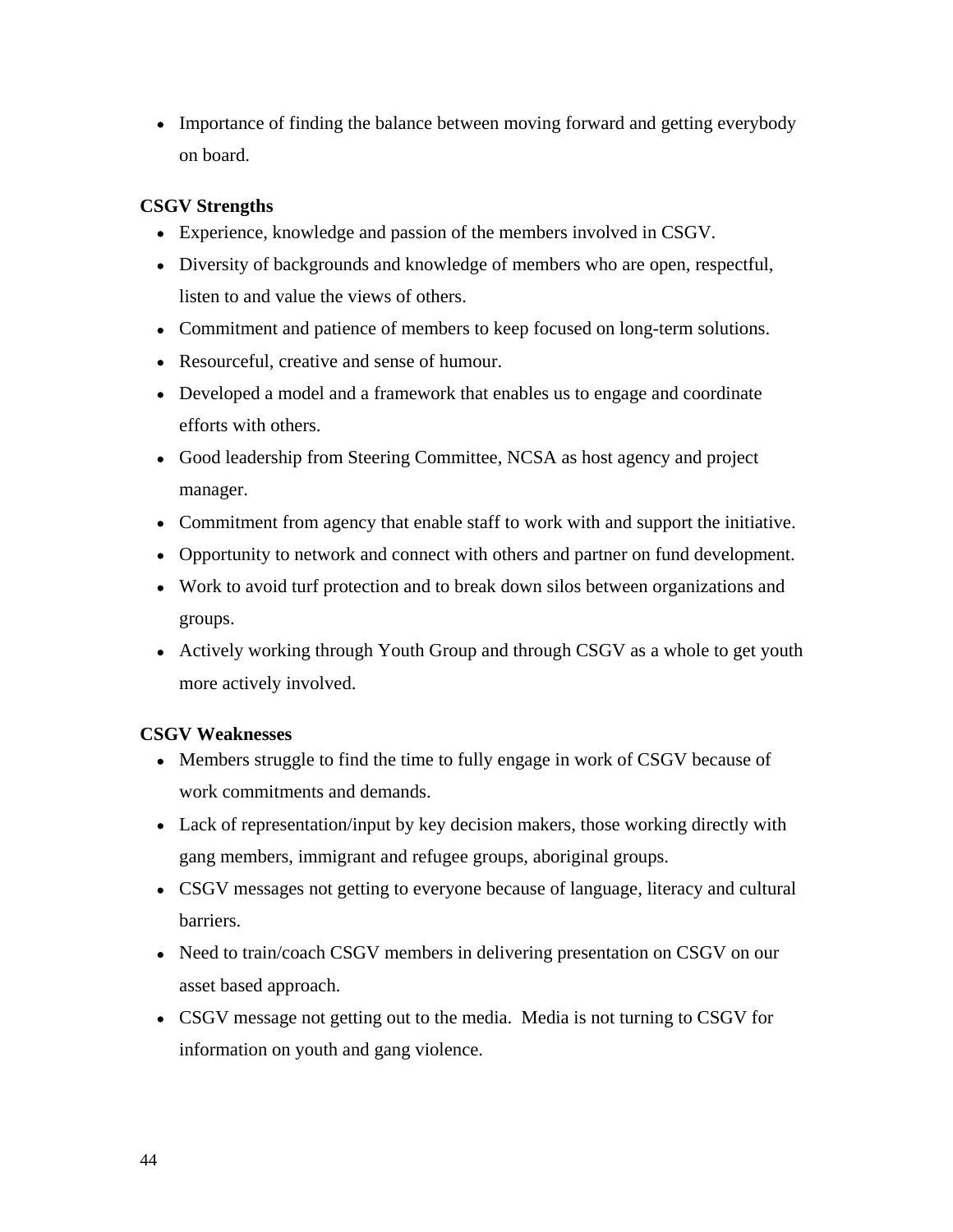• Importance of finding the balance between moving forward and getting everybody on board.

# **CSGV Strengths**

- Experience, knowledge and passion of the members involved in CSGV.
- Diversity of backgrounds and knowledge of members who are open, respectful, listen to and value the views of others.
- Commitment and patience of members to keep focused on long-term solutions.
- Resourceful, creative and sense of humour.
- Developed a model and a framework that enables us to engage and coordinate efforts with others.
- Good leadership from Steering Committee, NCSA as host agency and project manager.
- Commitment from agency that enable staff to work with and support the initiative.
- Opportunity to network and connect with others and partner on fund development.
- Work to avoid turf protection and to break down silos between organizations and groups.
- Actively working through Youth Group and through CSGV as a whole to get youth more actively involved.

# **CSGV Weaknesses**

- Members struggle to find the time to fully engage in work of CSGV because of work commitments and demands.
- Lack of representation/input by key decision makers, those working directly with gang members, immigrant and refugee groups, aboriginal groups.
- CSGV messages not getting to everyone because of language, literacy and cultural barriers.
- Need to train/coach CSGV members in delivering presentation on CSGV on our asset based approach.
- CSGV message not getting out to the media. Media is not turning to CSGV for information on youth and gang violence.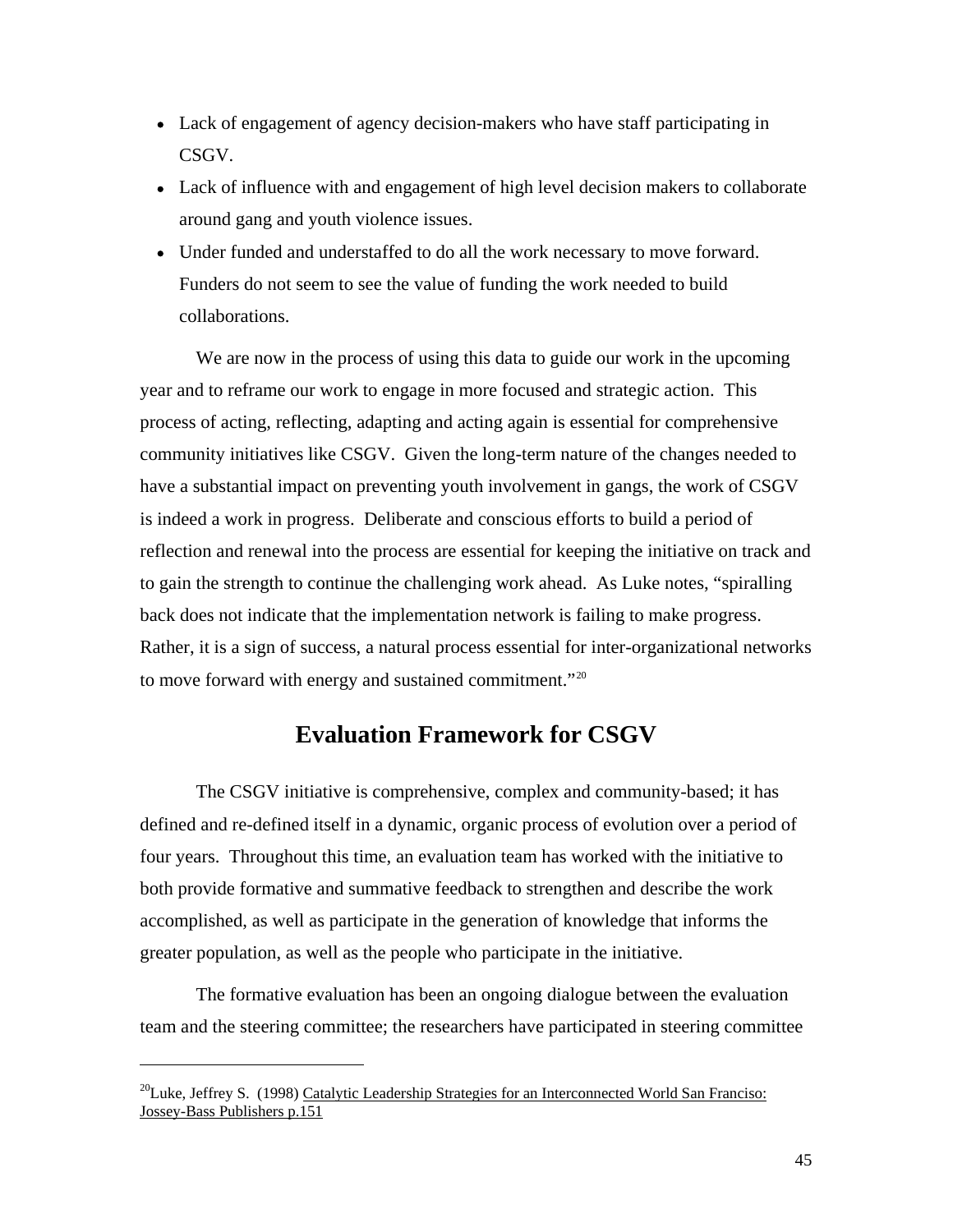- <span id="page-50-0"></span>• Lack of engagement of agency decision-makers who have staff participating in CSGV.
- Lack of influence with and engagement of high level decision makers to collaborate around gang and youth violence issues.
- Under funded and understaffed to do all the work necessary to move forward. Funders do not seem to see the value of funding the work needed to build collaborations.

We are now in the process of using this data to guide our work in the upcoming year and to reframe our work to engage in more focused and strategic action. This process of acting, reflecting, adapting and acting again is essential for comprehensive community initiatives like CSGV. Given the long-term nature of the changes needed to have a substantial impact on preventing youth involvement in gangs, the work of CSGV is indeed a work in progress. Deliberate and conscious efforts to build a period of reflection and renewal into the process are essential for keeping the initiative on track and to gain the strength to continue the challenging work ahead. As Luke notes, "spiralling back does not indicate that the implementation network is failing to make progress. Rather, it is a sign of success, a natural process essential for inter-organizational networks to move forward with energy and sustained commitment."<sup>[20](#page-50-0)</sup>

# **Evaluation Framework for CSGV**

The CSGV initiative is comprehensive, complex and community-based; it has defined and re-defined itself in a dynamic, organic process of evolution over a period of four years. Throughout this time, an evaluation team has worked with the initiative to both provide formative and summative feedback to strengthen and describe the work accomplished, as well as participate in the generation of knowledge that informs the greater population, as well as the people who participate in the initiative.

The formative evaluation has been an ongoing dialogue between the evaluation team and the steering committee; the researchers have participated in steering committee

 $\overline{a}$ 

<sup>&</sup>lt;sup>20</sup>Luke, Jeffrey S. (1998) Catalytic Leadership Strategies for an Interconnected World San Franciso: Jossey-Bass Publishers p.151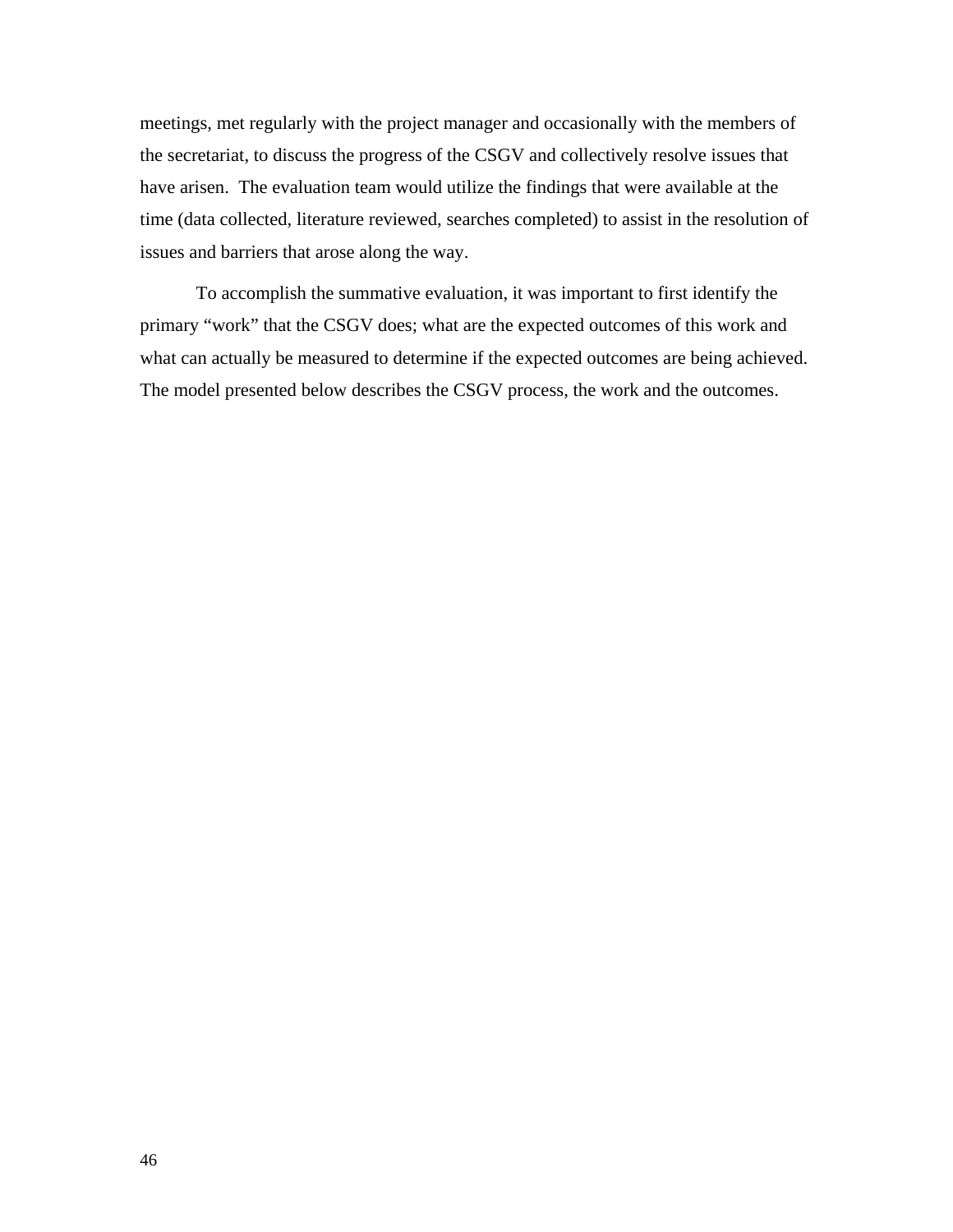meetings, met regularly with the project manager and occasionally with the members of the secretariat, to discuss the progress of the CSGV and collectively resolve issues that have arisen. The evaluation team would utilize the findings that were available at the time (data collected, literature reviewed, searches completed) to assist in the resolution of issues and barriers that arose along the way.

To accomplish the summative evaluation, it was important to first identify the primary "work" that the CSGV does; what are the expected outcomes of this work and what can actually be measured to determine if the expected outcomes are being achieved. The model presented below describes the CSGV process, the work and the outcomes.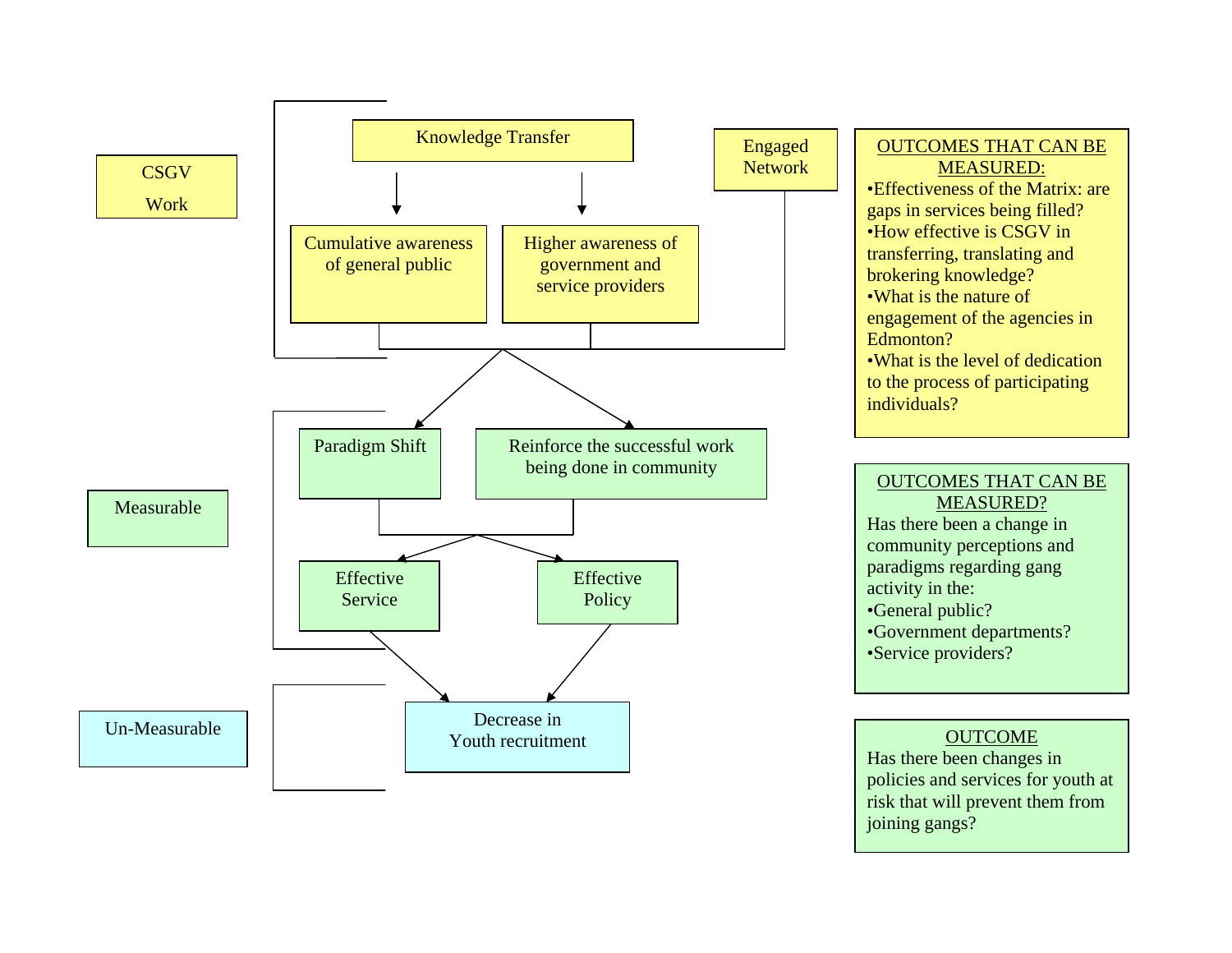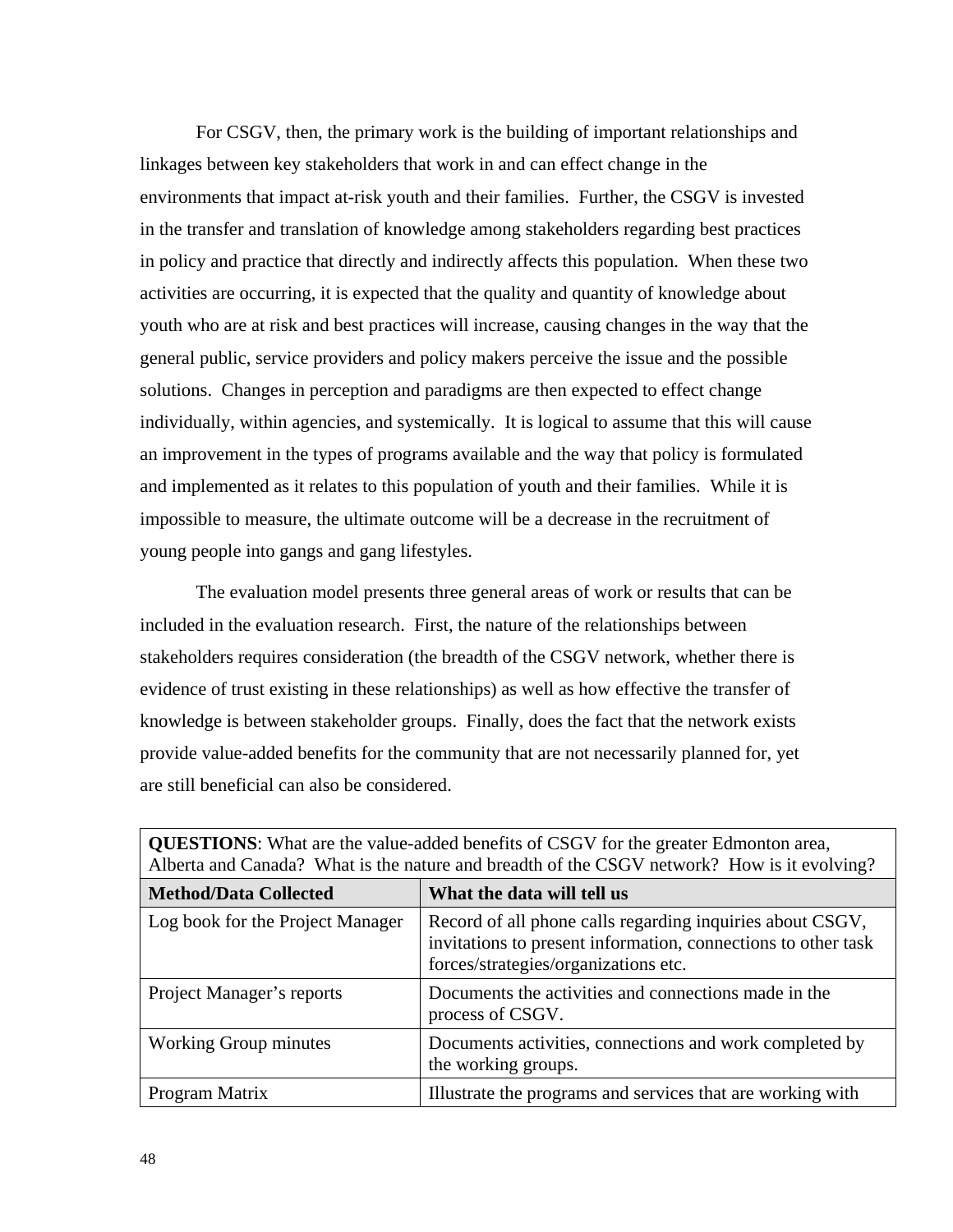For CSGV, then, the primary work is the building of important relationships and linkages between key stakeholders that work in and can effect change in the environments that impact at-risk youth and their families. Further, the CSGV is invested in the transfer and translation of knowledge among stakeholders regarding best practices in policy and practice that directly and indirectly affects this population. When these two activities are occurring, it is expected that the quality and quantity of knowledge about youth who are at risk and best practices will increase, causing changes in the way that the general public, service providers and policy makers perceive the issue and the possible solutions. Changes in perception and paradigms are then expected to effect change individually, within agencies, and systemically. It is logical to assume that this will cause an improvement in the types of programs available and the way that policy is formulated and implemented as it relates to this population of youth and their families. While it is impossible to measure, the ultimate outcome will be a decrease in the recruitment of young people into gangs and gang lifestyles.

The evaluation model presents three general areas of work or results that can be included in the evaluation research. First, the nature of the relationships between stakeholders requires consideration (the breadth of the CSGV network, whether there is evidence of trust existing in these relationships) as well as how effective the transfer of knowledge is between stakeholder groups. Finally, does the fact that the network exists provide value-added benefits for the community that are not necessarily planned for, yet are still beneficial can also be considered.

| are and created of the $\infty$ $\infty$ $\infty$ . Here, $\frac{1}{2}$ and $\frac{1}{2}$ is the station of $\frac{1}{2}$ . |                                                                                                                                                                    |  |
|-----------------------------------------------------------------------------------------------------------------------------|--------------------------------------------------------------------------------------------------------------------------------------------------------------------|--|
| <b>Method/Data Collected</b>                                                                                                | What the data will tell us                                                                                                                                         |  |
| Log book for the Project Manager                                                                                            | Record of all phone calls regarding inquiries about CSGV,<br>invitations to present information, connections to other task<br>forces/strategies/organizations etc. |  |
| Project Manager's reports                                                                                                   | Documents the activities and connections made in the<br>process of CSGV.                                                                                           |  |
| <b>Working Group minutes</b>                                                                                                | Documents activities, connections and work completed by<br>the working groups.                                                                                     |  |
| Program Matrix                                                                                                              | Illustrate the programs and services that are working with                                                                                                         |  |

**QUESTIONS**: What are the value-added benefits of CSGV for the greater Edmonton area, Alberta and Canada? What is the nature and breadth of the CSGV network? How is it evolving?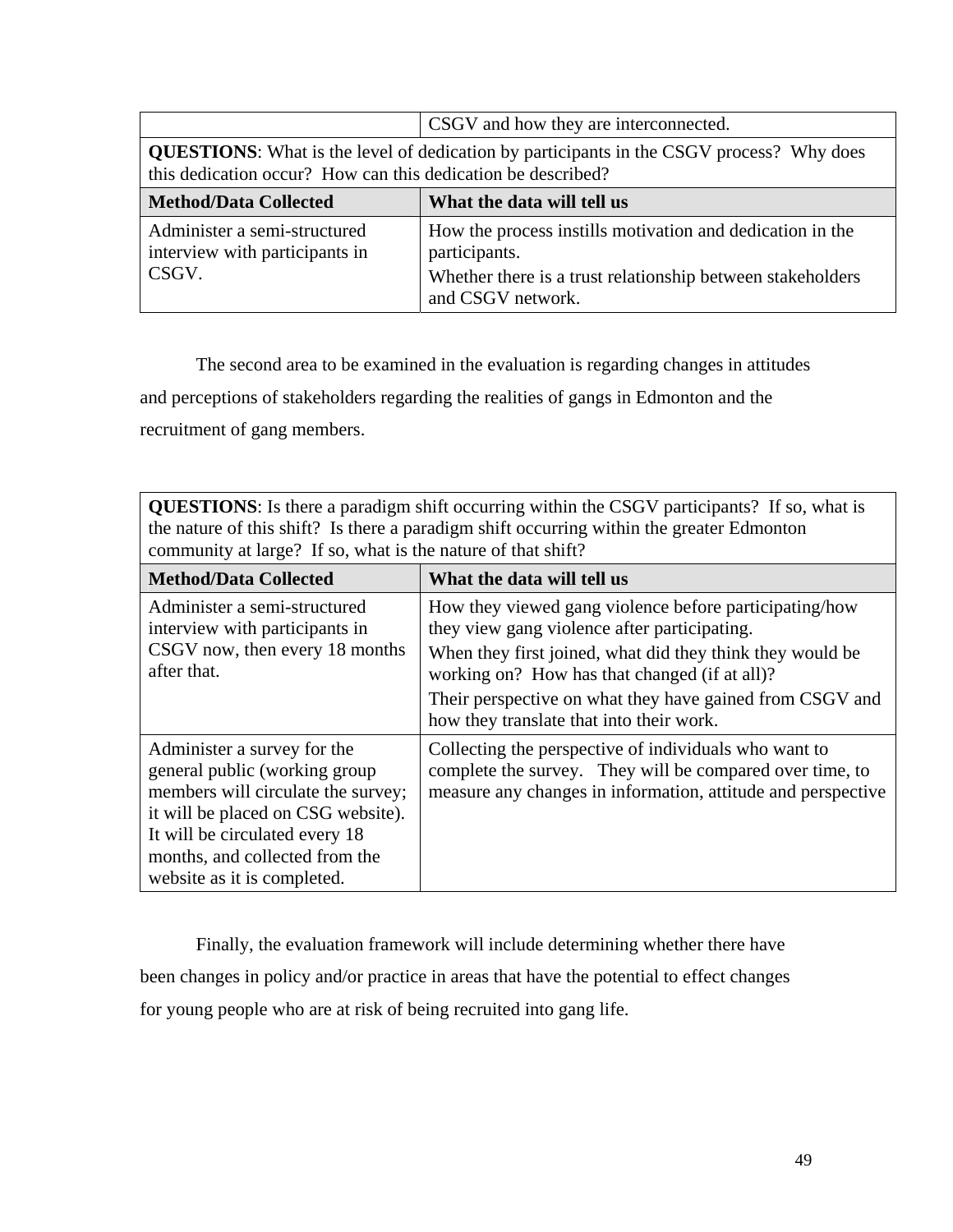|                                                                                                                                                                 | CSGV and how they are interconnected.                                                                                                                         |  |
|-----------------------------------------------------------------------------------------------------------------------------------------------------------------|---------------------------------------------------------------------------------------------------------------------------------------------------------------|--|
| <b>QUESTIONS:</b> What is the level of dedication by participants in the CSGV process? Why does<br>this dedication occur? How can this dedication be described? |                                                                                                                                                               |  |
| <b>Method/Data Collected</b>                                                                                                                                    | What the data will tell us                                                                                                                                    |  |
| Administer a semi-structured<br>interview with participants in<br>CSGV.                                                                                         | How the process instills motivation and dedication in the<br>participants.<br>Whether there is a trust relationship between stakeholders<br>and CSGV network. |  |

The second area to be examined in the evaluation is regarding changes in attitudes and perceptions of stakeholders regarding the realities of gangs in Edmonton and the recruitment of gang members.

**QUESTIONS**: Is there a paradigm shift occurring within the CSGV participants? If so, what is the nature of this shift? Is there a paradigm shift occurring within the greater Edmonton community at large? If so, what is the nature of that shift?

| <b>Method/Data Collected</b>                                                                                                                                                                                                                | What the data will tell us                                                                                                                                                                                                                                                                                                   |
|---------------------------------------------------------------------------------------------------------------------------------------------------------------------------------------------------------------------------------------------|------------------------------------------------------------------------------------------------------------------------------------------------------------------------------------------------------------------------------------------------------------------------------------------------------------------------------|
| Administer a semi-structured<br>interview with participants in<br>CSGV now, then every 18 months<br>after that.                                                                                                                             | How they viewed gang violence before participating/how<br>they view gang violence after participating.<br>When they first joined, what did they think they would be<br>working on? How has that changed (if at all)?<br>Their perspective on what they have gained from CSGV and<br>how they translate that into their work. |
| Administer a survey for the<br>general public (working group<br>members will circulate the survey;<br>it will be placed on CSG website).<br>It will be circulated every 18<br>months, and collected from the<br>website as it is completed. | Collecting the perspective of individuals who want to<br>complete the survey. They will be compared over time, to<br>measure any changes in information, attitude and perspective                                                                                                                                            |

Finally, the evaluation framework will include determining whether there have been changes in policy and/or practice in areas that have the potential to effect changes for young people who are at risk of being recruited into gang life.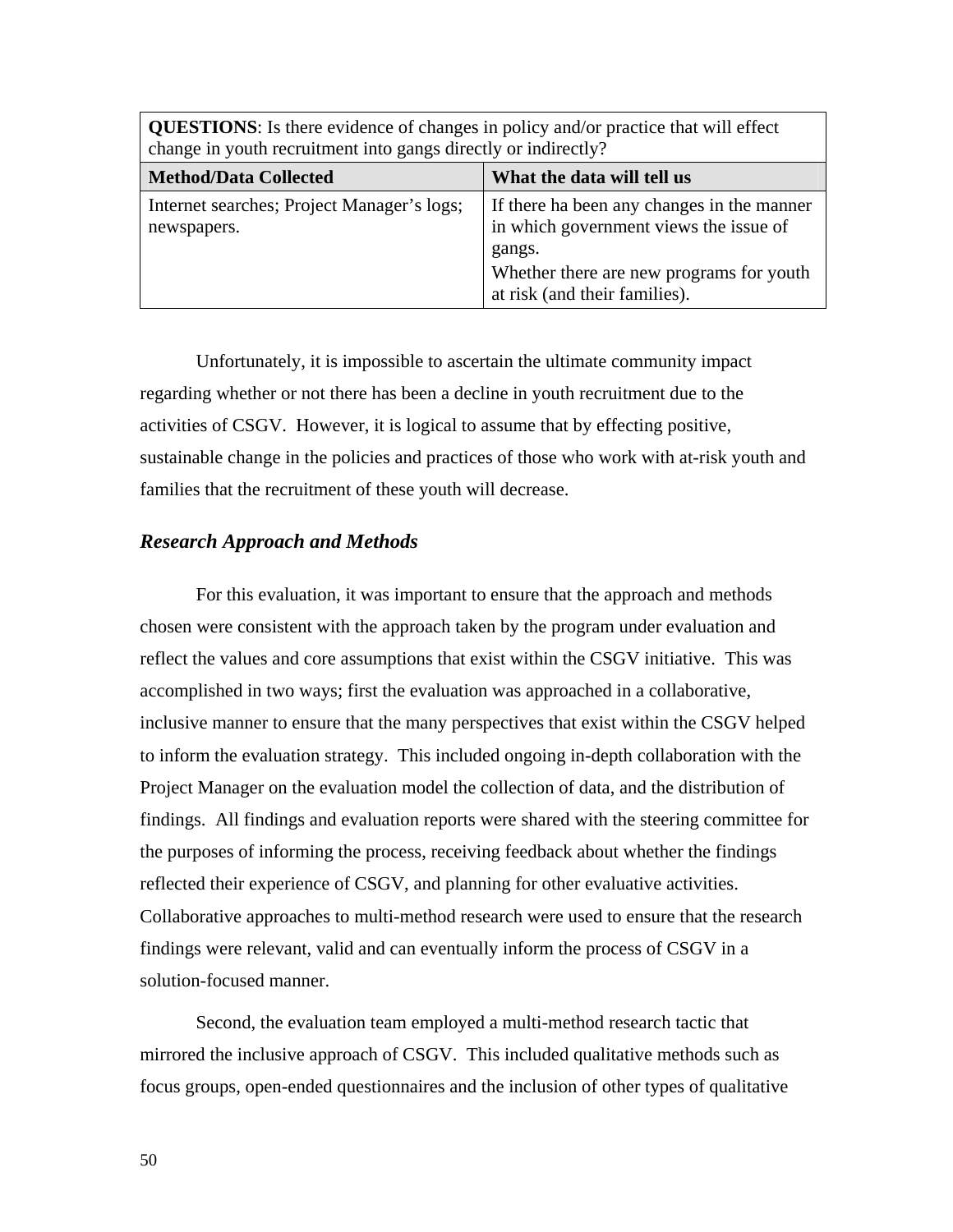| change in youth recruitment into gangs directly or indirectly? |                                                                                                                                                                             |  |  |
|----------------------------------------------------------------|-----------------------------------------------------------------------------------------------------------------------------------------------------------------------------|--|--|
| <b>Method/Data Collected</b>                                   | What the data will tell us                                                                                                                                                  |  |  |
| Internet searches; Project Manager's logs;<br>newspapers.      | If there ha been any changes in the manner<br>in which government views the issue of<br>gangs.<br>Whether there are new programs for youth<br>at risk (and their families). |  |  |

**QUESTIONS**: Is there evidence of changes in policy and/or practice that will effect change in youth recruitment into gangs directly or indirectly?

Unfortunately, it is impossible to ascertain the ultimate community impact regarding whether or not there has been a decline in youth recruitment due to the activities of CSGV. However, it is logical to assume that by effecting positive, sustainable change in the policies and practices of those who work with at-risk youth and families that the recruitment of these youth will decrease.

# *Research Approach and Methods*

For this evaluation, it was important to ensure that the approach and methods chosen were consistent with the approach taken by the program under evaluation and reflect the values and core assumptions that exist within the CSGV initiative. This was accomplished in two ways; first the evaluation was approached in a collaborative, inclusive manner to ensure that the many perspectives that exist within the CSGV helped to inform the evaluation strategy. This included ongoing in-depth collaboration with the Project Manager on the evaluation model the collection of data, and the distribution of findings. All findings and evaluation reports were shared with the steering committee for the purposes of informing the process, receiving feedback about whether the findings reflected their experience of CSGV, and planning for other evaluative activities. Collaborative approaches to multi-method research were used to ensure that the research findings were relevant, valid and can eventually inform the process of CSGV in a solution-focused manner.

Second, the evaluation team employed a multi-method research tactic that mirrored the inclusive approach of CSGV. This included qualitative methods such as focus groups, open-ended questionnaires and the inclusion of other types of qualitative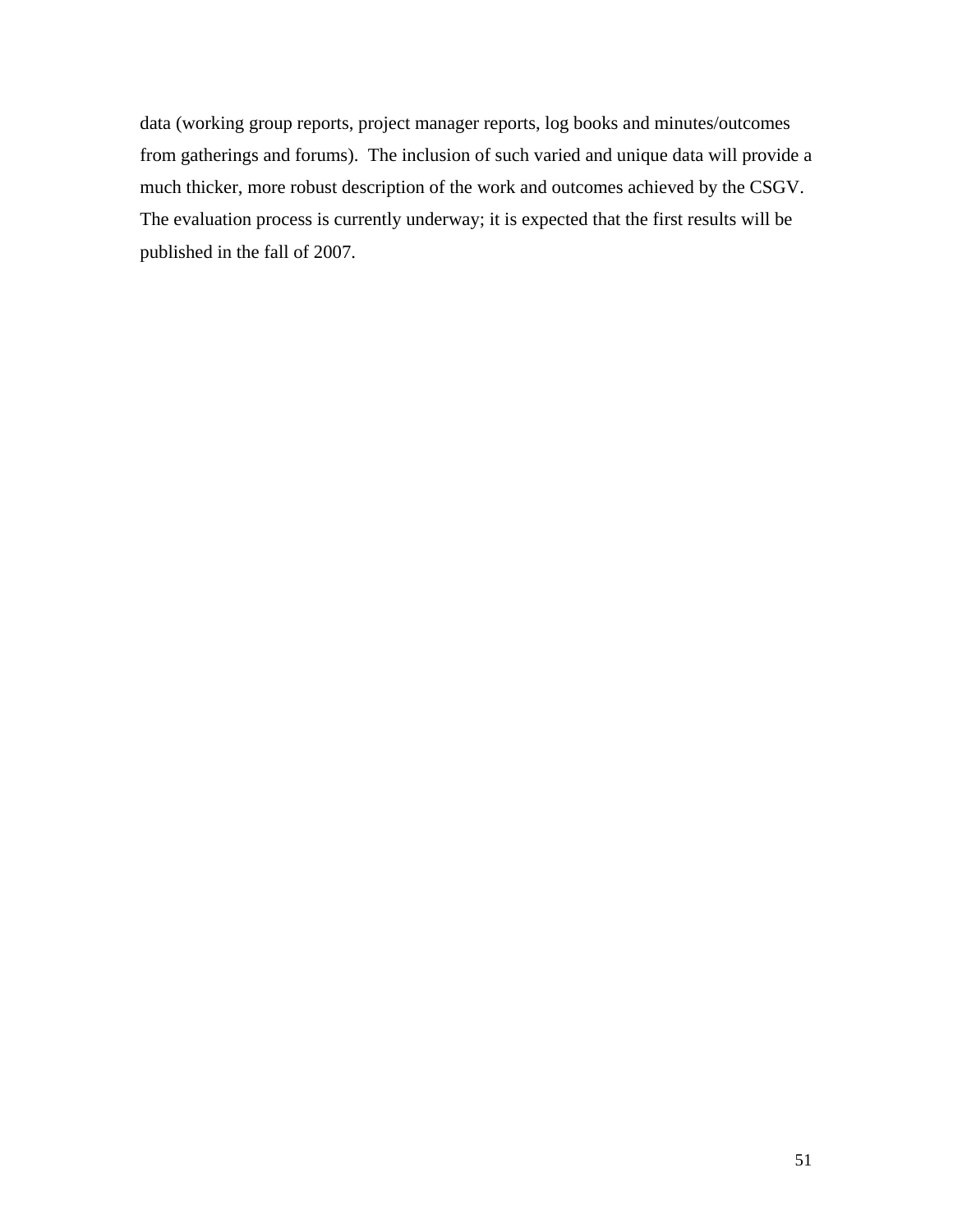data (working group reports, project manager reports, log books and minutes/outcomes from gatherings and forums). The inclusion of such varied and unique data will provide a much thicker, more robust description of the work and outcomes achieved by the CSGV. The evaluation process is currently underway; it is expected that the first results will be published in the fall of 2007.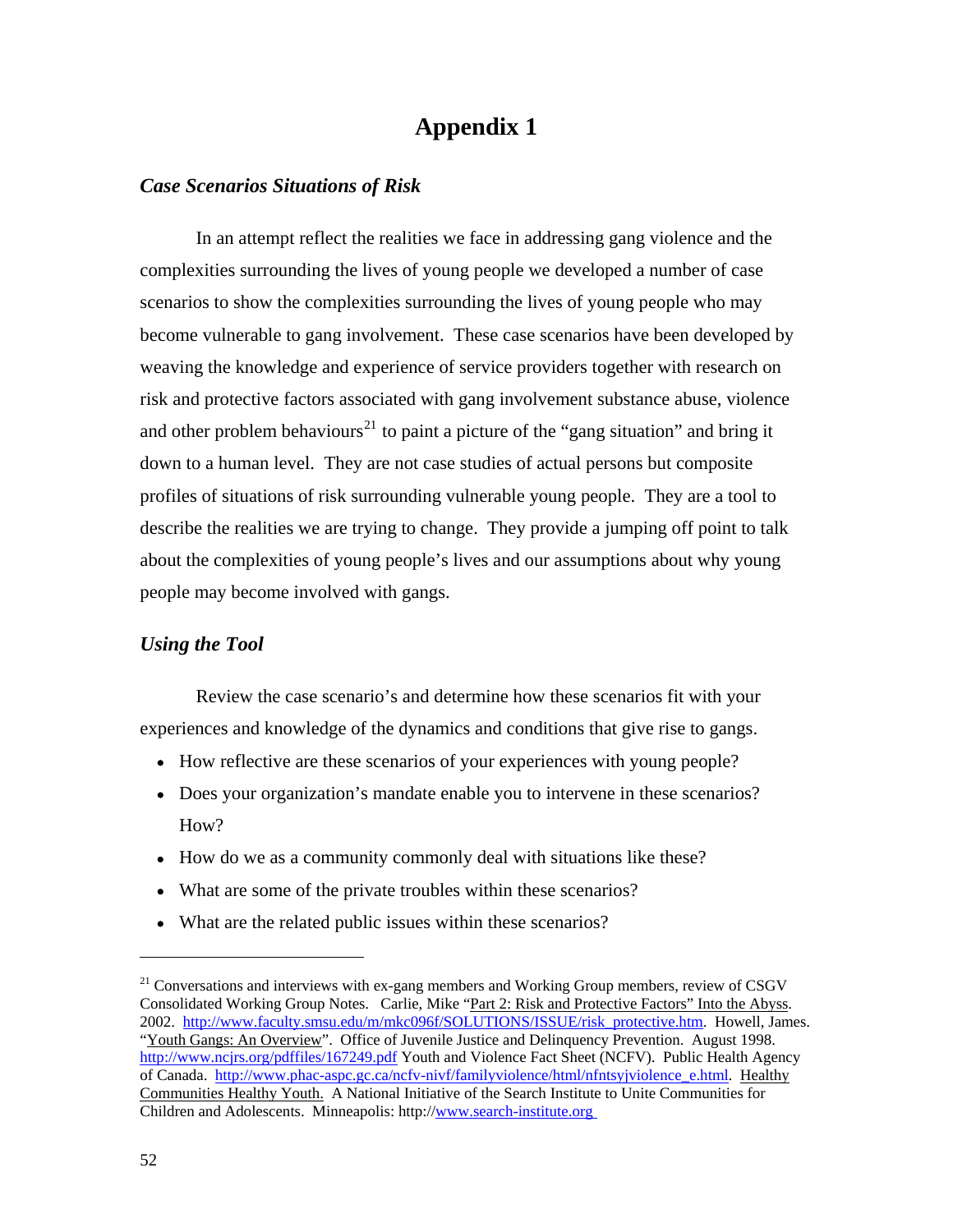# **Appendix 1**

# <span id="page-57-0"></span>*Case Scenarios Situations of Risk*

In an attempt reflect the realities we face in addressing gang violence and the complexities surrounding the lives of young people we developed a number of case scenarios to show the complexities surrounding the lives of young people who may become vulnerable to gang involvement. These case scenarios have been developed by weaving the knowledge and experience of service providers together with research on risk and protective factors associated with gang involvement substance abuse, violence and other problem behaviours<sup>[21](#page-57-0)</sup> to paint a picture of the "gang situation" and bring it down to a human level. They are not case studies of actual persons but composite profiles of situations of risk surrounding vulnerable young people. They are a tool to describe the realities we are trying to change. They provide a jumping off point to talk about the complexities of young people's lives and our assumptions about why young people may become involved with gangs.

# *Using the Tool*

Review the case scenario's and determine how these scenarios fit with your experiences and knowledge of the dynamics and conditions that give rise to gangs.

- How reflective are these scenarios of your experiences with young people?
- Does your organization's mandate enable you to intervene in these scenarios? H<sub>ow</sub>?
- How do we as a community commonly deal with situations like these?
- What are some of the private troubles within these scenarios?
- What are the related public issues within these scenarios?

 $\overline{a}$ 

 $21$  Conversations and interviews with ex-gang members and Working Group members, review of CSGV Consolidated Working Group Notes. Carlie, Mike "Part 2: Risk and Protective Factors" Into the Abyss. 2002. [http://www.faculty.smsu.edu/m/mkc096f/SOLUTIONS/ISSUE/risk\\_protective.htm.](http://www.faculty.smsu.edu/m/mkc096f/SOLUTIONS/ISSUE/risk_protective.htm) Howell, James. "Youth Gangs: An Overview". Office of Juvenile Justice and Delinquency Prevention. August 1998. <http://www.ncjrs.org/pdffiles/167249.pdf> Youth and Violence Fact Sheet (NCFV). Public Health Agency of Canada. [http://www.phac-aspc.gc.ca/ncfv-nivf/familyviolence/html/nfntsyjviolence\\_e.html](http://www.phac-aspc.gc.ca/ncfv-cnivf/familyviolence/html/nfntsyjviolence_e.html). Healthy Communities Healthy Youth. A National Initiative of the Search Institute to Unite Communities for Children and Adolescents. Minneapolis: http://www.search-institute.org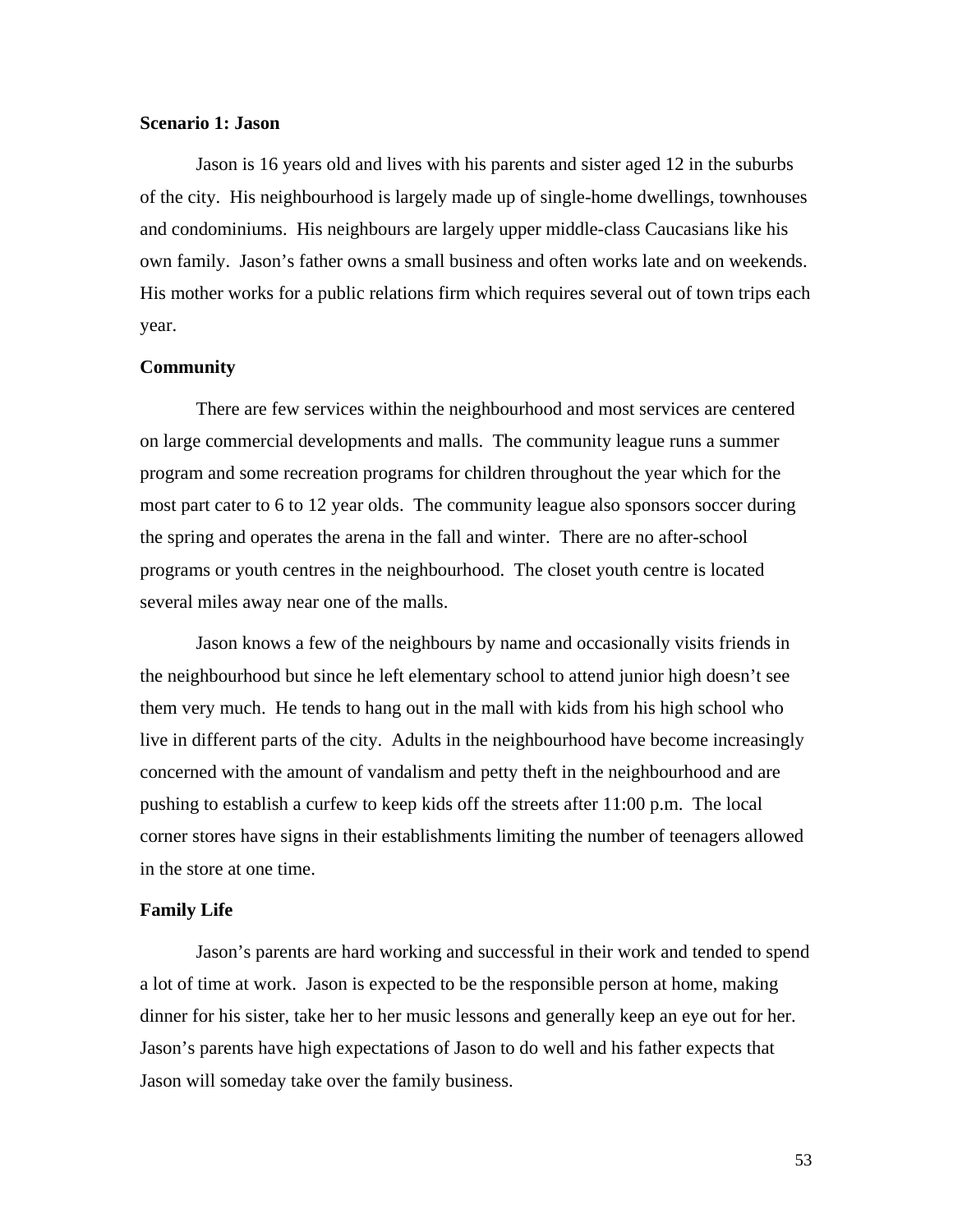### **Scenario 1: Jason**

Jason is 16 years old and lives with his parents and sister aged 12 in the suburbs of the city. His neighbourhood is largely made up of single-home dwellings, townhouses and condominiums. His neighbours are largely upper middle-class Caucasians like his own family. Jason's father owns a small business and often works late and on weekends. His mother works for a public relations firm which requires several out of town trips each year.

#### **Community**

There are few services within the neighbourhood and most services are centered on large commercial developments and malls. The community league runs a summer program and some recreation programs for children throughout the year which for the most part cater to 6 to 12 year olds. The community league also sponsors soccer during the spring and operates the arena in the fall and winter. There are no after-school programs or youth centres in the neighbourhood. The closet youth centre is located several miles away near one of the malls.

Jason knows a few of the neighbours by name and occasionally visits friends in the neighbourhood but since he left elementary school to attend junior high doesn't see them very much. He tends to hang out in the mall with kids from his high school who live in different parts of the city. Adults in the neighbourhood have become increasingly concerned with the amount of vandalism and petty theft in the neighbourhood and are pushing to establish a curfew to keep kids off the streets after 11:00 p.m. The local corner stores have signs in their establishments limiting the number of teenagers allowed in the store at one time.

#### **Family Life**

Jason's parents are hard working and successful in their work and tended to spend a lot of time at work. Jason is expected to be the responsible person at home, making dinner for his sister, take her to her music lessons and generally keep an eye out for her. Jason's parents have high expectations of Jason to do well and his father expects that Jason will someday take over the family business.

53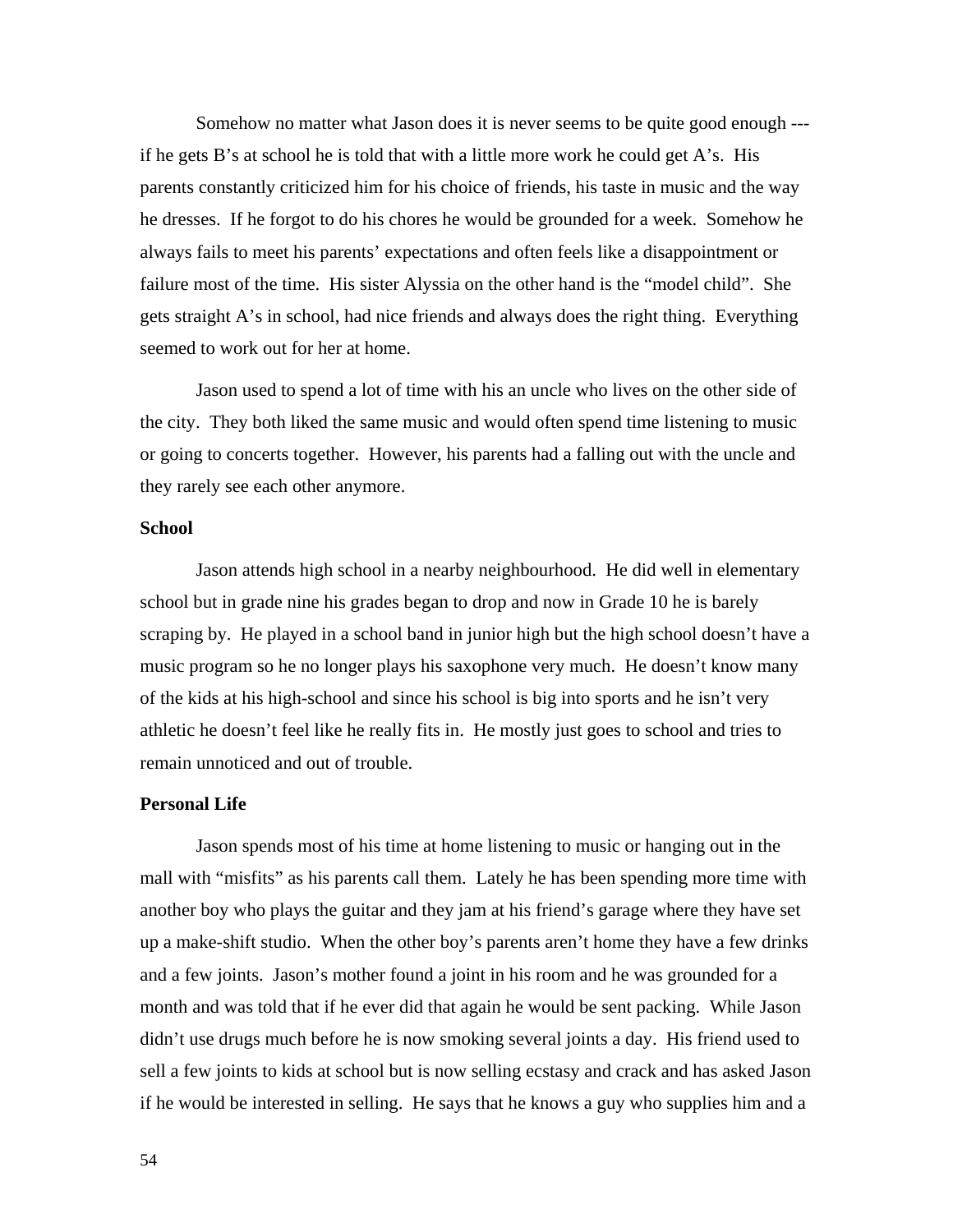Somehow no matter what Jason does it is never seems to be quite good enough -- if he gets B's at school he is told that with a little more work he could get A's. His parents constantly criticized him for his choice of friends, his taste in music and the way he dresses. If he forgot to do his chores he would be grounded for a week. Somehow he always fails to meet his parents' expectations and often feels like a disappointment or failure most of the time. His sister Alyssia on the other hand is the "model child". She gets straight A's in school, had nice friends and always does the right thing. Everything seemed to work out for her at home.

Jason used to spend a lot of time with his an uncle who lives on the other side of the city. They both liked the same music and would often spend time listening to music or going to concerts together. However, his parents had a falling out with the uncle and they rarely see each other anymore.

#### **School**

Jason attends high school in a nearby neighbourhood. He did well in elementary school but in grade nine his grades began to drop and now in Grade 10 he is barely scraping by. He played in a school band in junior high but the high school doesn't have a music program so he no longer plays his saxophone very much. He doesn't know many of the kids at his high-school and since his school is big into sports and he isn't very athletic he doesn't feel like he really fits in. He mostly just goes to school and tries to remain unnoticed and out of trouble.

## **Personal Life**

Jason spends most of his time at home listening to music or hanging out in the mall with "misfits" as his parents call them. Lately he has been spending more time with another boy who plays the guitar and they jam at his friend's garage where they have set up a make-shift studio. When the other boy's parents aren't home they have a few drinks and a few joints. Jason's mother found a joint in his room and he was grounded for a month and was told that if he ever did that again he would be sent packing. While Jason didn't use drugs much before he is now smoking several joints a day. His friend used to sell a few joints to kids at school but is now selling ecstasy and crack and has asked Jason if he would be interested in selling. He says that he knows a guy who supplies him and a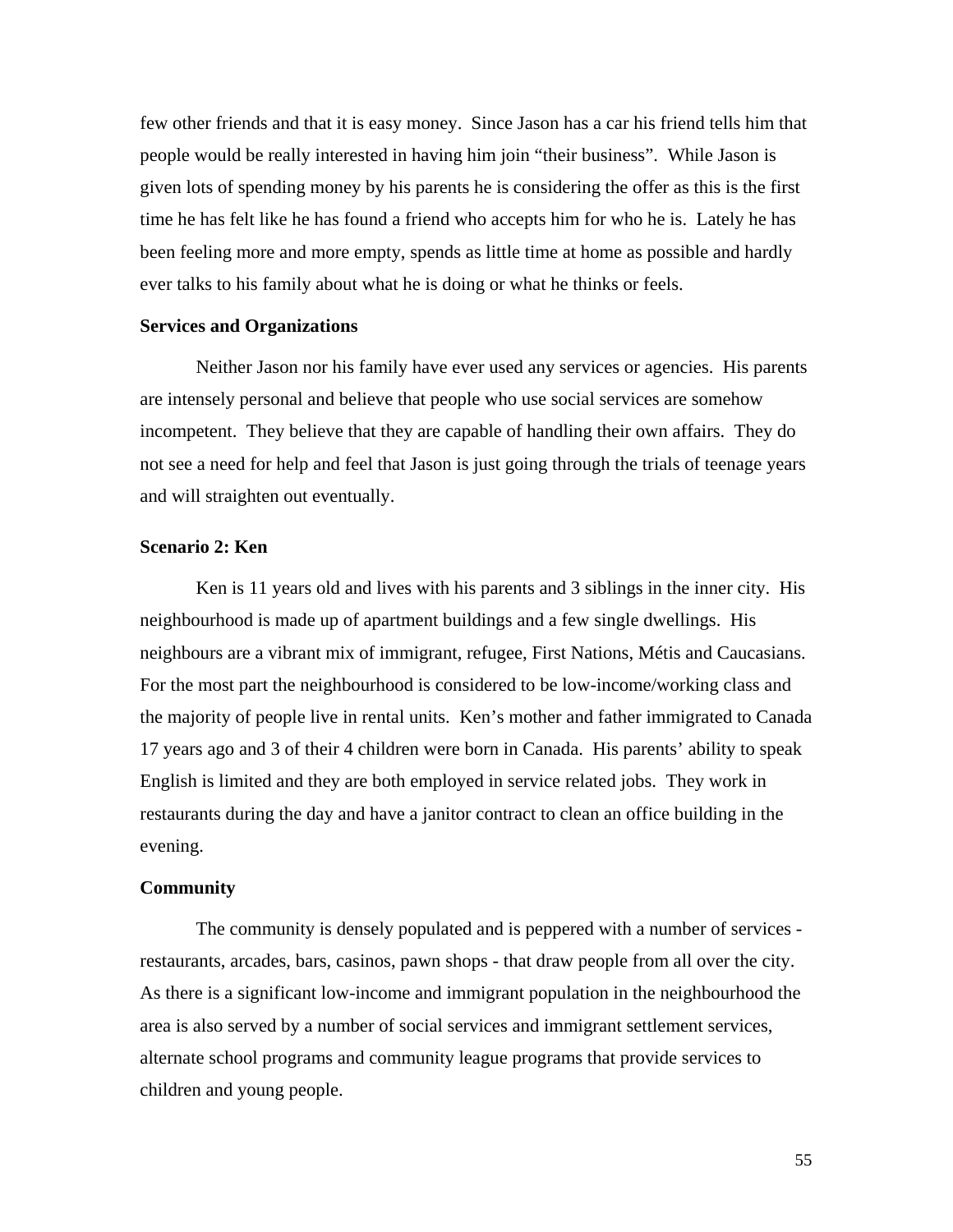few other friends and that it is easy money. Since Jason has a car his friend tells him that people would be really interested in having him join "their business". While Jason is given lots of spending money by his parents he is considering the offer as this is the first time he has felt like he has found a friend who accepts him for who he is. Lately he has been feeling more and more empty, spends as little time at home as possible and hardly ever talks to his family about what he is doing or what he thinks or feels.

#### **Services and Organizations**

Neither Jason nor his family have ever used any services or agencies. His parents are intensely personal and believe that people who use social services are somehow incompetent. They believe that they are capable of handling their own affairs. They do not see a need for help and feel that Jason is just going through the trials of teenage years and will straighten out eventually.

#### **Scenario 2: Ken**

Ken is 11 years old and lives with his parents and 3 siblings in the inner city. His neighbourhood is made up of apartment buildings and a few single dwellings. His neighbours are a vibrant mix of immigrant, refugee, First Nations, Métis and Caucasians. For the most part the neighbourhood is considered to be low-income/working class and the majority of people live in rental units. Ken's mother and father immigrated to Canada 17 years ago and 3 of their 4 children were born in Canada. His parents' ability to speak English is limited and they are both employed in service related jobs. They work in restaurants during the day and have a janitor contract to clean an office building in the evening.

#### **Community**

The community is densely populated and is peppered with a number of services restaurants, arcades, bars, casinos, pawn shops - that draw people from all over the city. As there is a significant low-income and immigrant population in the neighbourhood the area is also served by a number of social services and immigrant settlement services, alternate school programs and community league programs that provide services to children and young people.

55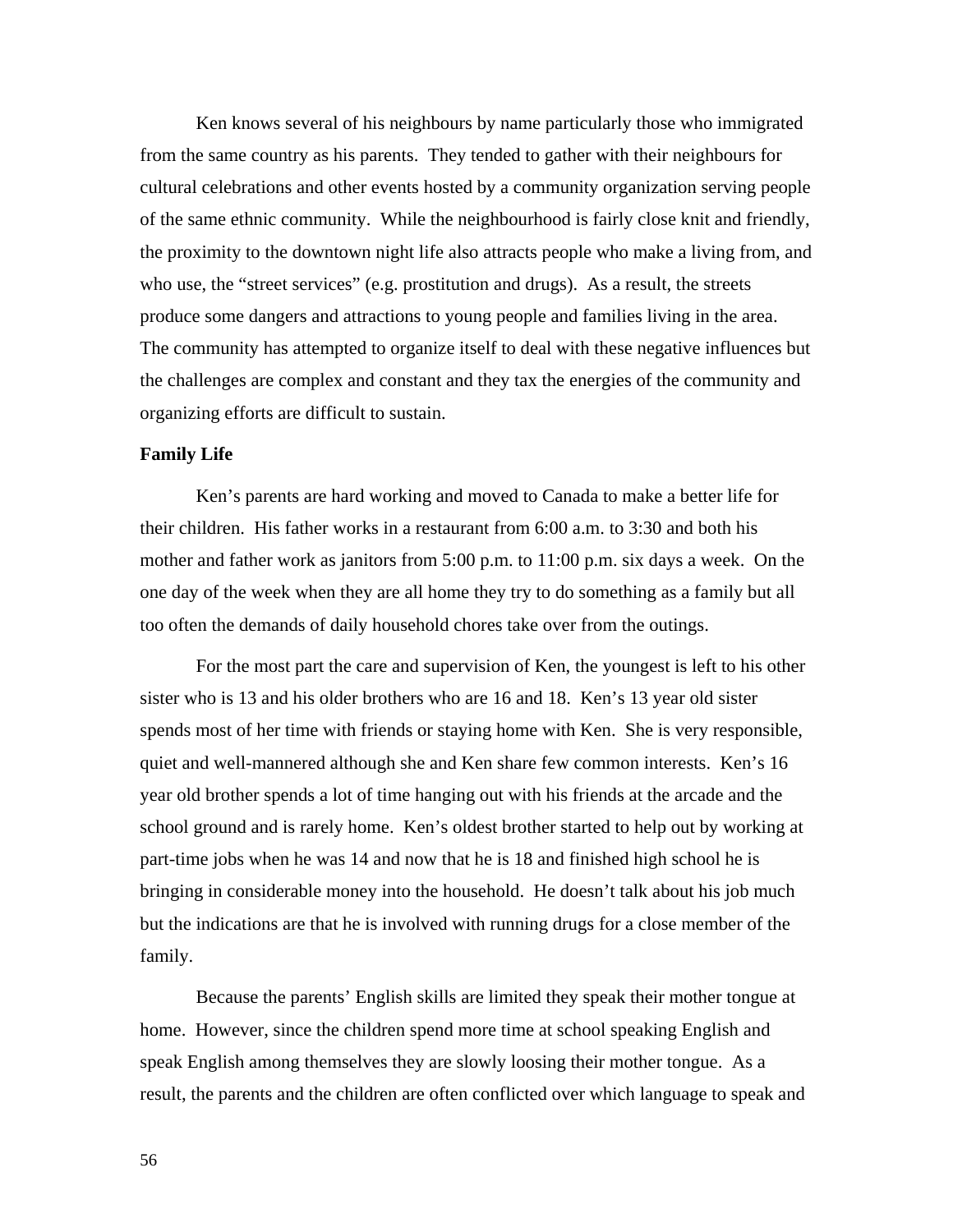Ken knows several of his neighbours by name particularly those who immigrated from the same country as his parents. They tended to gather with their neighbours for cultural celebrations and other events hosted by a community organization serving people of the same ethnic community. While the neighbourhood is fairly close knit and friendly, the proximity to the downtown night life also attracts people who make a living from, and who use, the "street services" (e.g. prostitution and drugs). As a result, the streets produce some dangers and attractions to young people and families living in the area. The community has attempted to organize itself to deal with these negative influences but the challenges are complex and constant and they tax the energies of the community and organizing efforts are difficult to sustain.

#### **Family Life**

Ken's parents are hard working and moved to Canada to make a better life for their children. His father works in a restaurant from 6:00 a.m. to 3:30 and both his mother and father work as janitors from 5:00 p.m. to 11:00 p.m. six days a week. On the one day of the week when they are all home they try to do something as a family but all too often the demands of daily household chores take over from the outings.

For the most part the care and supervision of Ken, the youngest is left to his other sister who is 13 and his older brothers who are 16 and 18. Ken's 13 year old sister spends most of her time with friends or staying home with Ken. She is very responsible, quiet and well-mannered although she and Ken share few common interests. Ken's 16 year old brother spends a lot of time hanging out with his friends at the arcade and the school ground and is rarely home. Ken's oldest brother started to help out by working at part-time jobs when he was 14 and now that he is 18 and finished high school he is bringing in considerable money into the household. He doesn't talk about his job much but the indications are that he is involved with running drugs for a close member of the family.

Because the parents' English skills are limited they speak their mother tongue at home. However, since the children spend more time at school speaking English and speak English among themselves they are slowly loosing their mother tongue. As a result, the parents and the children are often conflicted over which language to speak and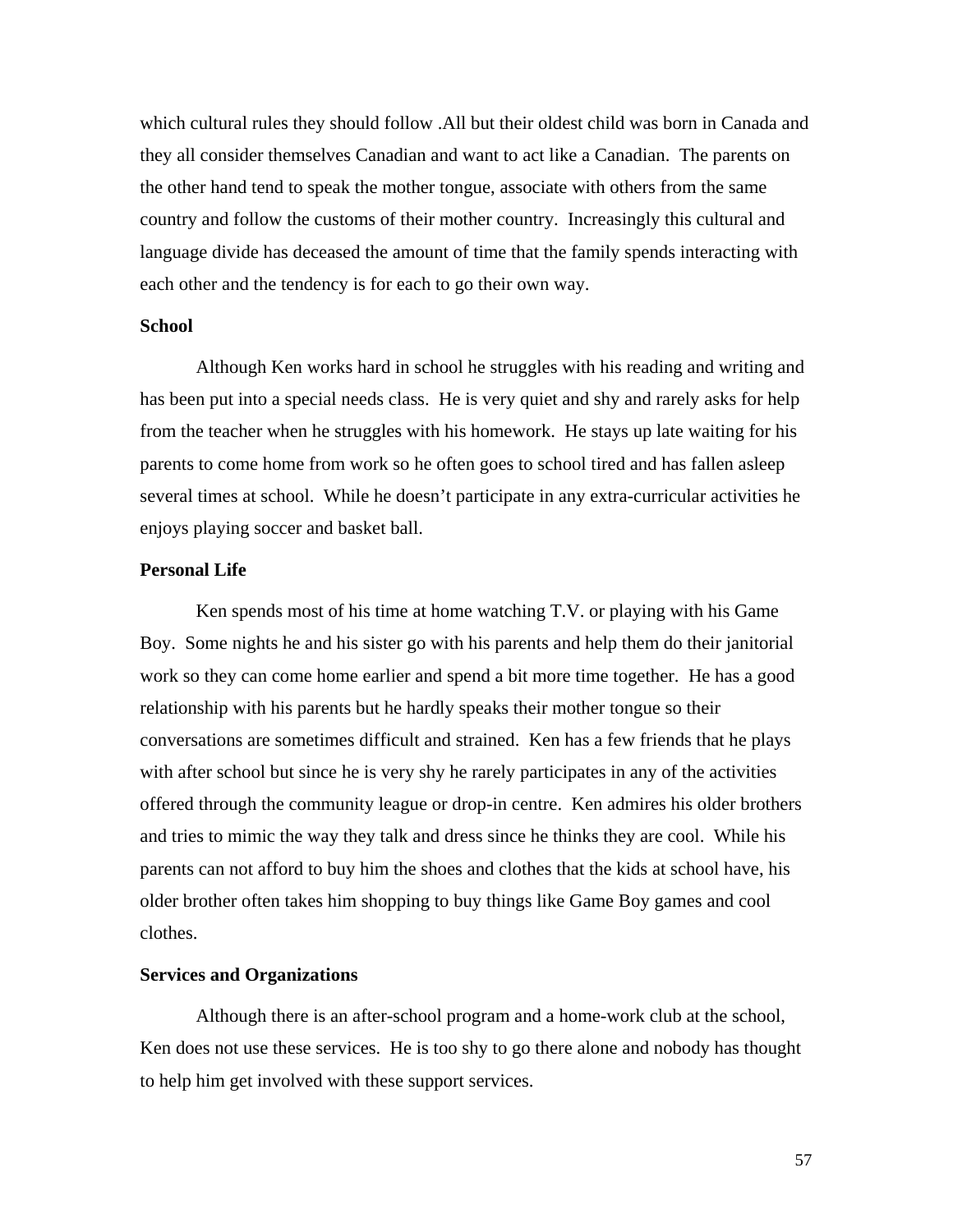which cultural rules they should follow .All but their oldest child was born in Canada and they all consider themselves Canadian and want to act like a Canadian. The parents on the other hand tend to speak the mother tongue, associate with others from the same country and follow the customs of their mother country. Increasingly this cultural and language divide has deceased the amount of time that the family spends interacting with each other and the tendency is for each to go their own way.

#### **School**

Although Ken works hard in school he struggles with his reading and writing and has been put into a special needs class. He is very quiet and shy and rarely asks for help from the teacher when he struggles with his homework. He stays up late waiting for his parents to come home from work so he often goes to school tired and has fallen asleep several times at school. While he doesn't participate in any extra-curricular activities he enjoys playing soccer and basket ball.

#### **Personal Life**

Ken spends most of his time at home watching T.V. or playing with his Game Boy. Some nights he and his sister go with his parents and help them do their janitorial work so they can come home earlier and spend a bit more time together. He has a good relationship with his parents but he hardly speaks their mother tongue so their conversations are sometimes difficult and strained. Ken has a few friends that he plays with after school but since he is very shy he rarely participates in any of the activities offered through the community league or drop-in centre. Ken admires his older brothers and tries to mimic the way they talk and dress since he thinks they are cool. While his parents can not afford to buy him the shoes and clothes that the kids at school have, his older brother often takes him shopping to buy things like Game Boy games and cool clothes.

## **Services and Organizations**

Although there is an after-school program and a home-work club at the school, Ken does not use these services. He is too shy to go there alone and nobody has thought to help him get involved with these support services.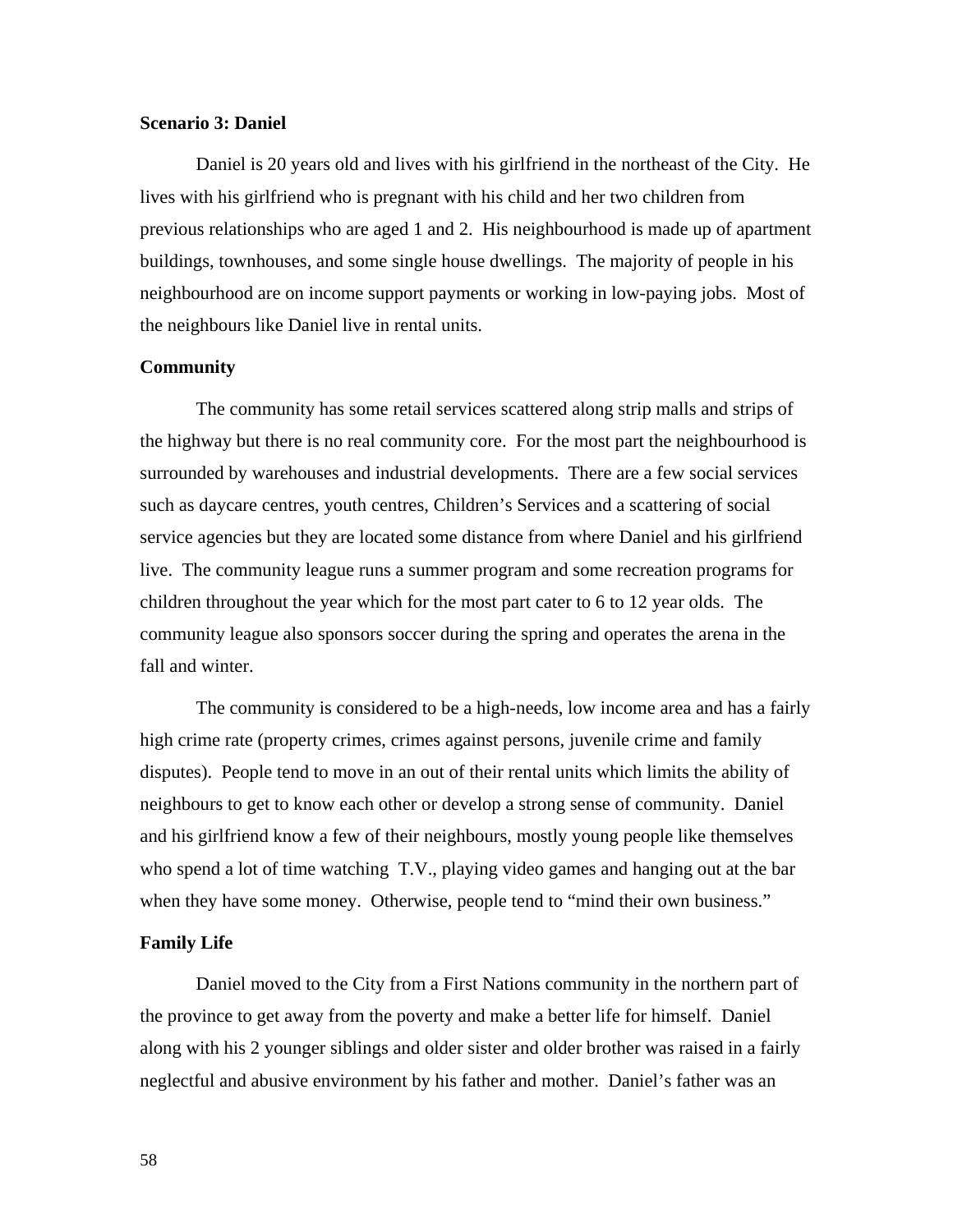#### **Scenario 3: Daniel**

Daniel is 20 years old and lives with his girlfriend in the northeast of the City. He lives with his girlfriend who is pregnant with his child and her two children from previous relationships who are aged 1 and 2. His neighbourhood is made up of apartment buildings, townhouses, and some single house dwellings. The majority of people in his neighbourhood are on income support payments or working in low-paying jobs. Most of the neighbours like Daniel live in rental units.

#### **Community**

The community has some retail services scattered along strip malls and strips of the highway but there is no real community core. For the most part the neighbourhood is surrounded by warehouses and industrial developments. There are a few social services such as daycare centres, youth centres, Children's Services and a scattering of social service agencies but they are located some distance from where Daniel and his girlfriend live. The community league runs a summer program and some recreation programs for children throughout the year which for the most part cater to 6 to 12 year olds. The community league also sponsors soccer during the spring and operates the arena in the fall and winter.

The community is considered to be a high-needs, low income area and has a fairly high crime rate (property crimes, crimes against persons, juvenile crime and family disputes). People tend to move in an out of their rental units which limits the ability of neighbours to get to know each other or develop a strong sense of community. Daniel and his girlfriend know a few of their neighbours, mostly young people like themselves who spend a lot of time watching T.V., playing video games and hanging out at the bar when they have some money. Otherwise, people tend to "mind their own business."

#### **Family Life**

Daniel moved to the City from a First Nations community in the northern part of the province to get away from the poverty and make a better life for himself. Daniel along with his 2 younger siblings and older sister and older brother was raised in a fairly neglectful and abusive environment by his father and mother. Daniel's father was an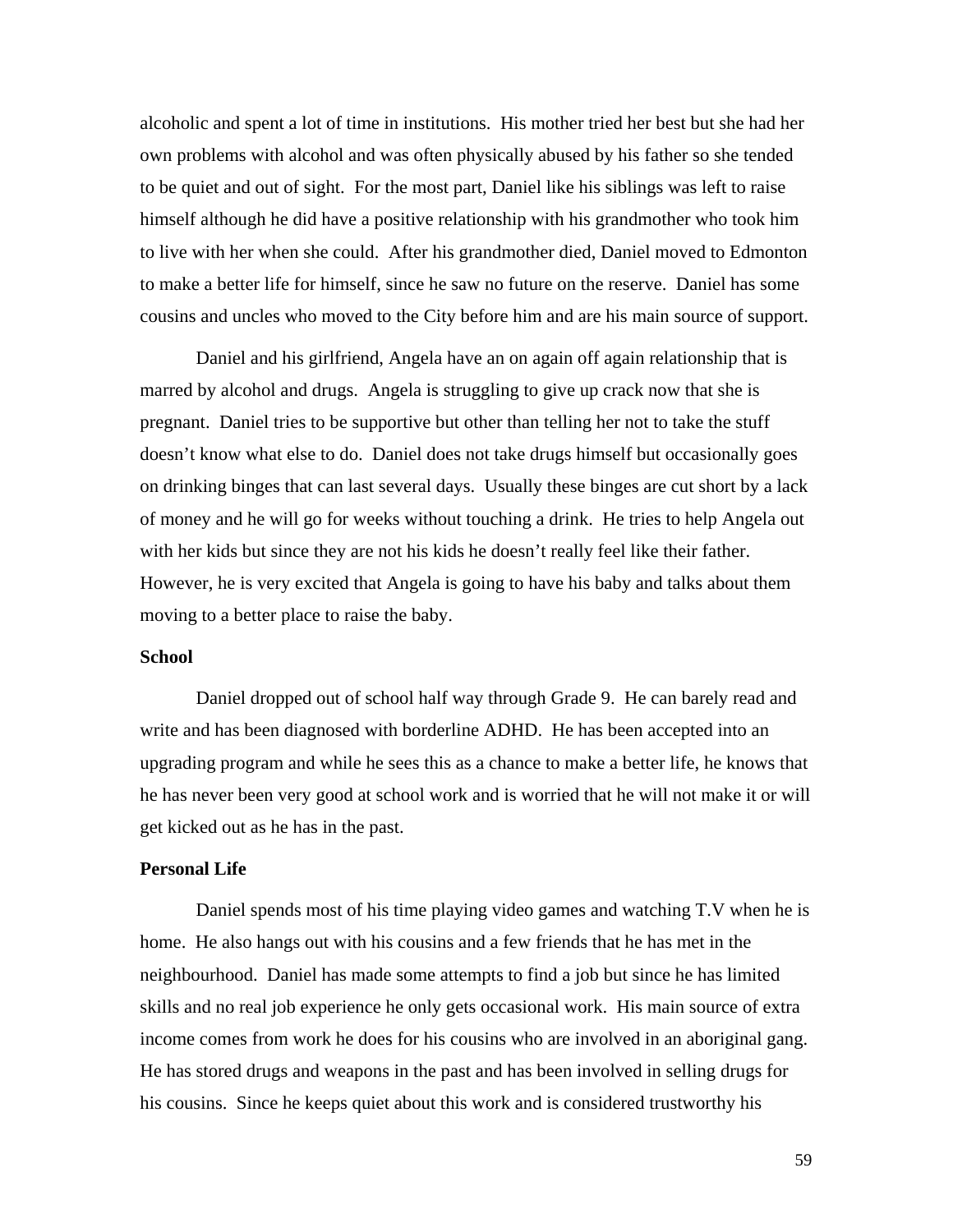alcoholic and spent a lot of time in institutions. His mother tried her best but she had her own problems with alcohol and was often physically abused by his father so she tended to be quiet and out of sight. For the most part, Daniel like his siblings was left to raise himself although he did have a positive relationship with his grandmother who took him to live with her when she could. After his grandmother died, Daniel moved to Edmonton to make a better life for himself, since he saw no future on the reserve. Daniel has some cousins and uncles who moved to the City before him and are his main source of support.

Daniel and his girlfriend, Angela have an on again off again relationship that is marred by alcohol and drugs. Angela is struggling to give up crack now that she is pregnant. Daniel tries to be supportive but other than telling her not to take the stuff doesn't know what else to do. Daniel does not take drugs himself but occasionally goes on drinking binges that can last several days. Usually these binges are cut short by a lack of money and he will go for weeks without touching a drink. He tries to help Angela out with her kids but since they are not his kids he doesn't really feel like their father. However, he is very excited that Angela is going to have his baby and talks about them moving to a better place to raise the baby.

#### **School**

Daniel dropped out of school half way through Grade 9. He can barely read and write and has been diagnosed with borderline ADHD. He has been accepted into an upgrading program and while he sees this as a chance to make a better life, he knows that he has never been very good at school work and is worried that he will not make it or will get kicked out as he has in the past.

#### **Personal Life**

Daniel spends most of his time playing video games and watching T.V when he is home. He also hangs out with his cousins and a few friends that he has met in the neighbourhood. Daniel has made some attempts to find a job but since he has limited skills and no real job experience he only gets occasional work. His main source of extra income comes from work he does for his cousins who are involved in an aboriginal gang. He has stored drugs and weapons in the past and has been involved in selling drugs for his cousins. Since he keeps quiet about this work and is considered trustworthy his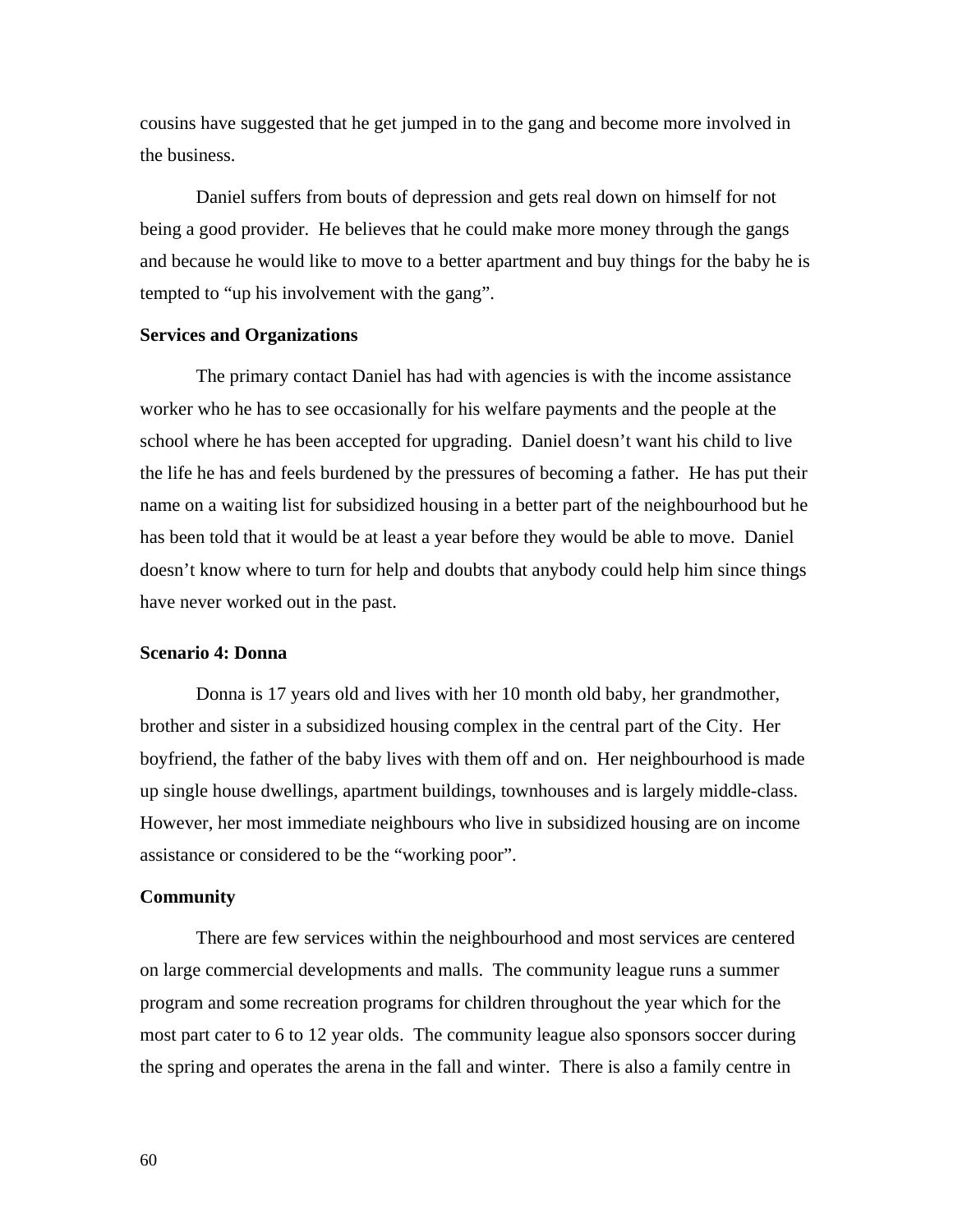cousins have suggested that he get jumped in to the gang and become more involved in the business.

Daniel suffers from bouts of depression and gets real down on himself for not being a good provider. He believes that he could make more money through the gangs and because he would like to move to a better apartment and buy things for the baby he is tempted to "up his involvement with the gang".

#### **Services and Organizations**

The primary contact Daniel has had with agencies is with the income assistance worker who he has to see occasionally for his welfare payments and the people at the school where he has been accepted for upgrading. Daniel doesn't want his child to live the life he has and feels burdened by the pressures of becoming a father. He has put their name on a waiting list for subsidized housing in a better part of the neighbourhood but he has been told that it would be at least a year before they would be able to move. Daniel doesn't know where to turn for help and doubts that anybody could help him since things have never worked out in the past.

#### **Scenario 4: Donna**

Donna is 17 years old and lives with her 10 month old baby, her grandmother, brother and sister in a subsidized housing complex in the central part of the City. Her boyfriend, the father of the baby lives with them off and on. Her neighbourhood is made up single house dwellings, apartment buildings, townhouses and is largely middle-class. However, her most immediate neighbours who live in subsidized housing are on income assistance or considered to be the "working poor".

#### **Community**

There are few services within the neighbourhood and most services are centered on large commercial developments and malls. The community league runs a summer program and some recreation programs for children throughout the year which for the most part cater to 6 to 12 year olds. The community league also sponsors soccer during the spring and operates the arena in the fall and winter. There is also a family centre in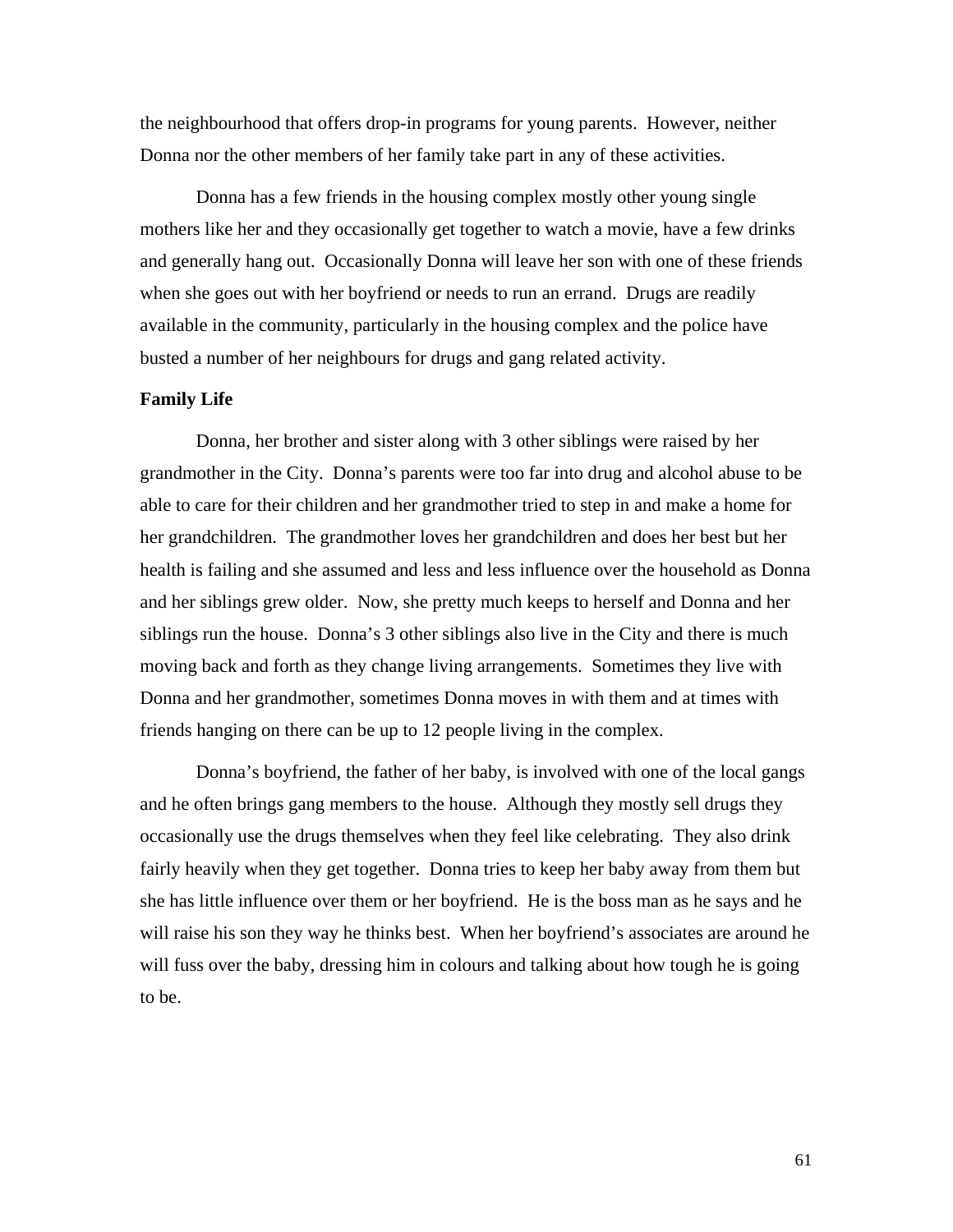the neighbourhood that offers drop-in programs for young parents. However, neither Donna nor the other members of her family take part in any of these activities.

Donna has a few friends in the housing complex mostly other young single mothers like her and they occasionally get together to watch a movie, have a few drinks and generally hang out. Occasionally Donna will leave her son with one of these friends when she goes out with her boyfriend or needs to run an errand. Drugs are readily available in the community, particularly in the housing complex and the police have busted a number of her neighbours for drugs and gang related activity.

#### **Family Life**

Donna, her brother and sister along with 3 other siblings were raised by her grandmother in the City. Donna's parents were too far into drug and alcohol abuse to be able to care for their children and her grandmother tried to step in and make a home for her grandchildren. The grandmother loves her grandchildren and does her best but her health is failing and she assumed and less and less influence over the household as Donna and her siblings grew older. Now, she pretty much keeps to herself and Donna and her siblings run the house. Donna's 3 other siblings also live in the City and there is much moving back and forth as they change living arrangements. Sometimes they live with Donna and her grandmother, sometimes Donna moves in with them and at times with friends hanging on there can be up to 12 people living in the complex.

Donna's boyfriend, the father of her baby, is involved with one of the local gangs and he often brings gang members to the house. Although they mostly sell drugs they occasionally use the drugs themselves when they feel like celebrating. They also drink fairly heavily when they get together. Donna tries to keep her baby away from them but she has little influence over them or her boyfriend. He is the boss man as he says and he will raise his son they way he thinks best. When her boyfriend's associates are around he will fuss over the baby, dressing him in colours and talking about how tough he is going to be.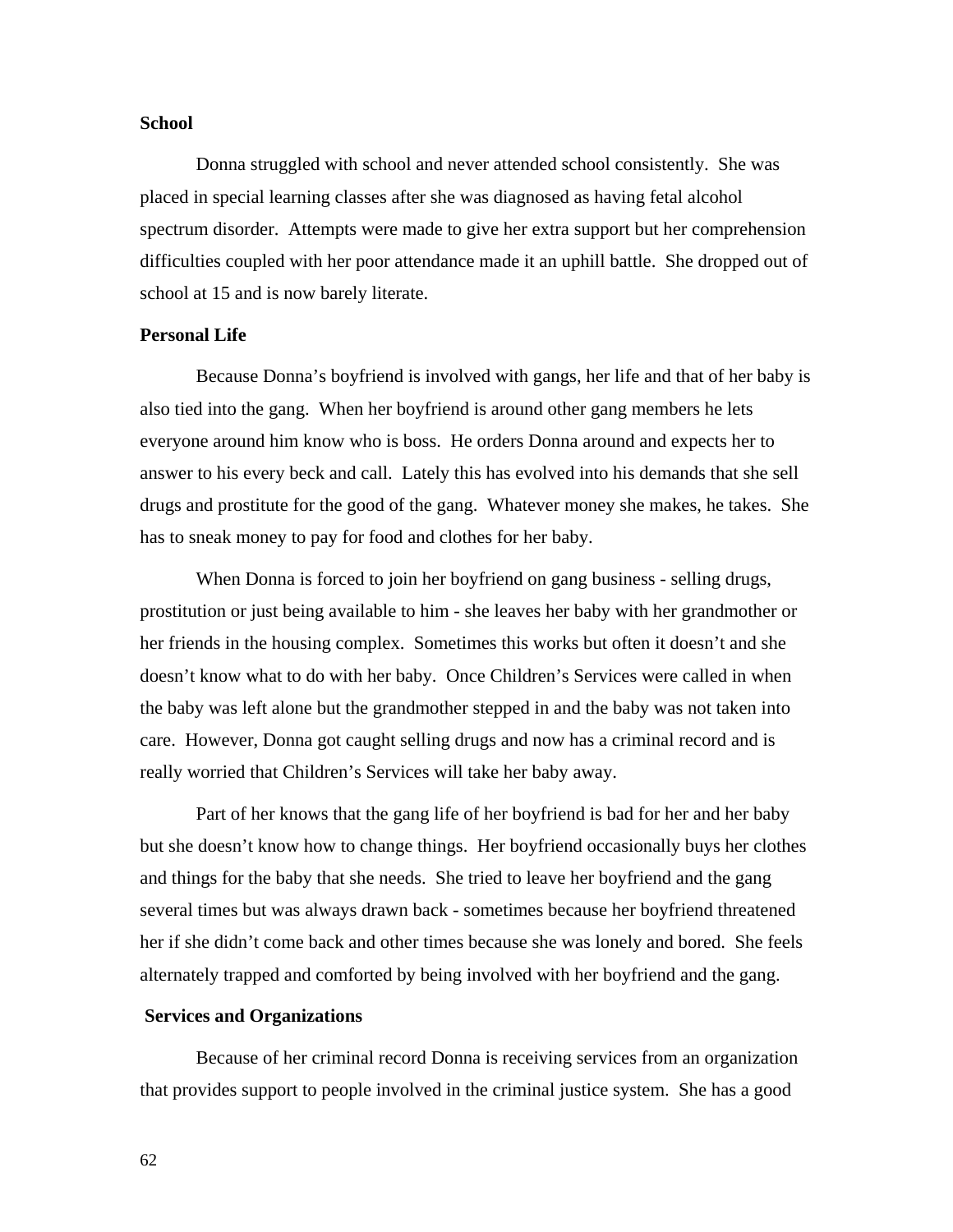### **School**

Donna struggled with school and never attended school consistently. She was placed in special learning classes after she was diagnosed as having fetal alcohol spectrum disorder. Attempts were made to give her extra support but her comprehension difficulties coupled with her poor attendance made it an uphill battle. She dropped out of school at 15 and is now barely literate.

## **Personal Life**

Because Donna's boyfriend is involved with gangs, her life and that of her baby is also tied into the gang. When her boyfriend is around other gang members he lets everyone around him know who is boss. He orders Donna around and expects her to answer to his every beck and call. Lately this has evolved into his demands that she sell drugs and prostitute for the good of the gang. Whatever money she makes, he takes. She has to sneak money to pay for food and clothes for her baby.

When Donna is forced to join her boyfriend on gang business - selling drugs, prostitution or just being available to him - she leaves her baby with her grandmother or her friends in the housing complex. Sometimes this works but often it doesn't and she doesn't know what to do with her baby. Once Children's Services were called in when the baby was left alone but the grandmother stepped in and the baby was not taken into care. However, Donna got caught selling drugs and now has a criminal record and is really worried that Children's Services will take her baby away.

Part of her knows that the gang life of her boyfriend is bad for her and her baby but she doesn't know how to change things. Her boyfriend occasionally buys her clothes and things for the baby that she needs. She tried to leave her boyfriend and the gang several times but was always drawn back - sometimes because her boyfriend threatened her if she didn't come back and other times because she was lonely and bored. She feels alternately trapped and comforted by being involved with her boyfriend and the gang.

#### **Services and Organizations**

Because of her criminal record Donna is receiving services from an organization that provides support to people involved in the criminal justice system. She has a good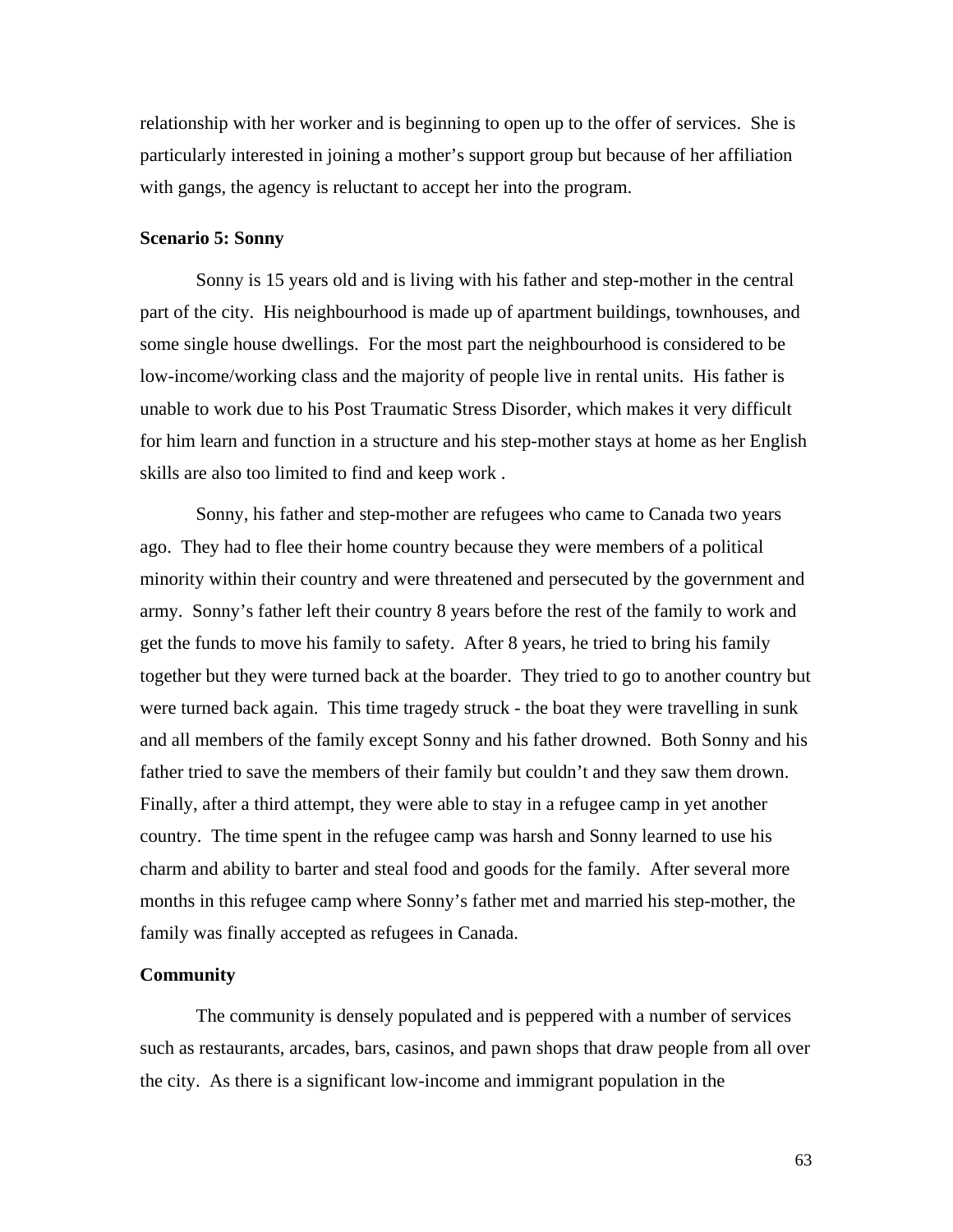relationship with her worker and is beginning to open up to the offer of services. She is particularly interested in joining a mother's support group but because of her affiliation with gangs, the agency is reluctant to accept her into the program.

#### **Scenario 5: Sonny**

Sonny is 15 years old and is living with his father and step-mother in the central part of the city. His neighbourhood is made up of apartment buildings, townhouses, and some single house dwellings. For the most part the neighbourhood is considered to be low-income/working class and the majority of people live in rental units. His father is unable to work due to his Post Traumatic Stress Disorder, which makes it very difficult for him learn and function in a structure and his step-mother stays at home as her English skills are also too limited to find and keep work .

Sonny, his father and step-mother are refugees who came to Canada two years ago. They had to flee their home country because they were members of a political minority within their country and were threatened and persecuted by the government and army. Sonny's father left their country 8 years before the rest of the family to work and get the funds to move his family to safety. After 8 years, he tried to bring his family together but they were turned back at the boarder. They tried to go to another country but were turned back again. This time tragedy struck - the boat they were travelling in sunk and all members of the family except Sonny and his father drowned. Both Sonny and his father tried to save the members of their family but couldn't and they saw them drown. Finally, after a third attempt, they were able to stay in a refugee camp in yet another country. The time spent in the refugee camp was harsh and Sonny learned to use his charm and ability to barter and steal food and goods for the family. After several more months in this refugee camp where Sonny's father met and married his step-mother, the family was finally accepted as refugees in Canada.

## **Community**

The community is densely populated and is peppered with a number of services such as restaurants, arcades, bars, casinos, and pawn shops that draw people from all over the city. As there is a significant low-income and immigrant population in the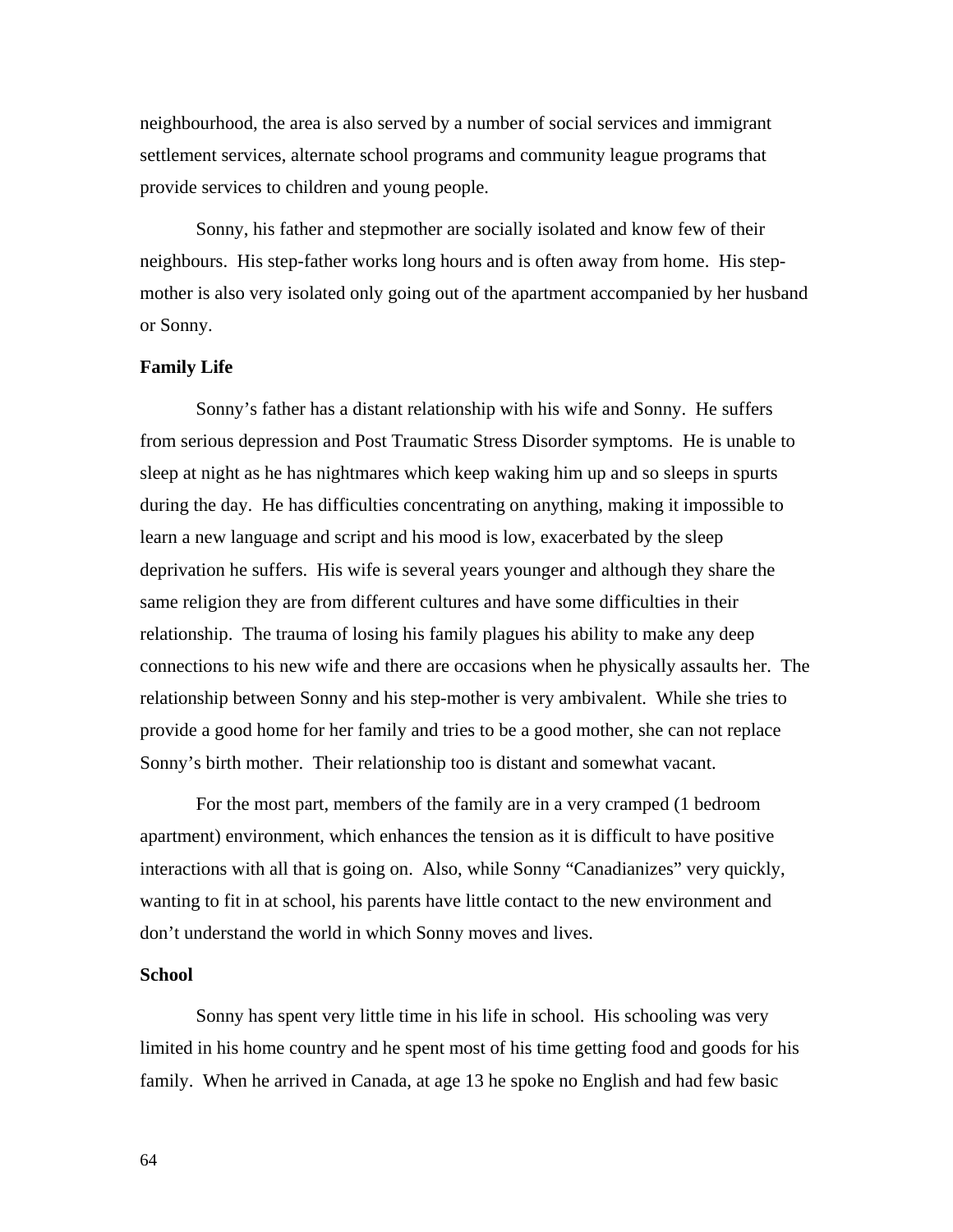neighbourhood, the area is also served by a number of social services and immigrant settlement services, alternate school programs and community league programs that provide services to children and young people.

Sonny, his father and stepmother are socially isolated and know few of their neighbours. His step-father works long hours and is often away from home. His stepmother is also very isolated only going out of the apartment accompanied by her husband or Sonny.

## **Family Life**

Sonny's father has a distant relationship with his wife and Sonny. He suffers from serious depression and Post Traumatic Stress Disorder symptoms. He is unable to sleep at night as he has nightmares which keep waking him up and so sleeps in spurts during the day. He has difficulties concentrating on anything, making it impossible to learn a new language and script and his mood is low, exacerbated by the sleep deprivation he suffers. His wife is several years younger and although they share the same religion they are from different cultures and have some difficulties in their relationship. The trauma of losing his family plagues his ability to make any deep connections to his new wife and there are occasions when he physically assaults her. The relationship between Sonny and his step-mother is very ambivalent. While she tries to provide a good home for her family and tries to be a good mother, she can not replace Sonny's birth mother. Their relationship too is distant and somewhat vacant.

For the most part, members of the family are in a very cramped (1 bedroom apartment) environment, which enhances the tension as it is difficult to have positive interactions with all that is going on. Also, while Sonny "Canadianizes" very quickly, wanting to fit in at school, his parents have little contact to the new environment and don't understand the world in which Sonny moves and lives.

## **School**

Sonny has spent very little time in his life in school. His schooling was very limited in his home country and he spent most of his time getting food and goods for his family. When he arrived in Canada, at age 13 he spoke no English and had few basic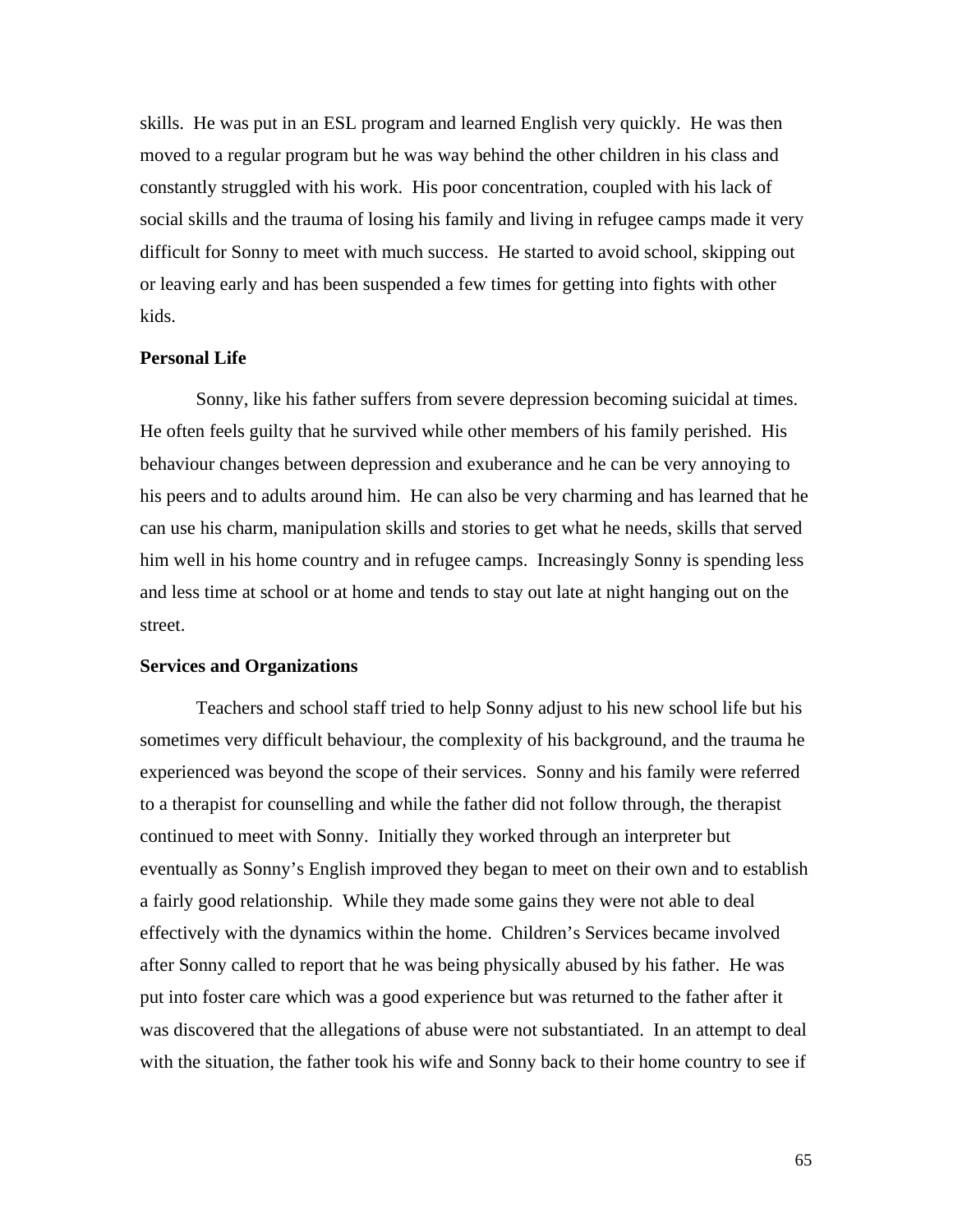skills. He was put in an ESL program and learned English very quickly. He was then moved to a regular program but he was way behind the other children in his class and constantly struggled with his work. His poor concentration, coupled with his lack of social skills and the trauma of losing his family and living in refugee camps made it very difficult for Sonny to meet with much success. He started to avoid school, skipping out or leaving early and has been suspended a few times for getting into fights with other kids.

## **Personal Life**

Sonny, like his father suffers from severe depression becoming suicidal at times. He often feels guilty that he survived while other members of his family perished. His behaviour changes between depression and exuberance and he can be very annoying to his peers and to adults around him. He can also be very charming and has learned that he can use his charm, manipulation skills and stories to get what he needs, skills that served him well in his home country and in refugee camps. Increasingly Sonny is spending less and less time at school or at home and tends to stay out late at night hanging out on the street.

## **Services and Organizations**

Teachers and school staff tried to help Sonny adjust to his new school life but his sometimes very difficult behaviour, the complexity of his background, and the trauma he experienced was beyond the scope of their services. Sonny and his family were referred to a therapist for counselling and while the father did not follow through, the therapist continued to meet with Sonny. Initially they worked through an interpreter but eventually as Sonny's English improved they began to meet on their own and to establish a fairly good relationship. While they made some gains they were not able to deal effectively with the dynamics within the home. Children's Services became involved after Sonny called to report that he was being physically abused by his father. He was put into foster care which was a good experience but was returned to the father after it was discovered that the allegations of abuse were not substantiated. In an attempt to deal with the situation, the father took his wife and Sonny back to their home country to see if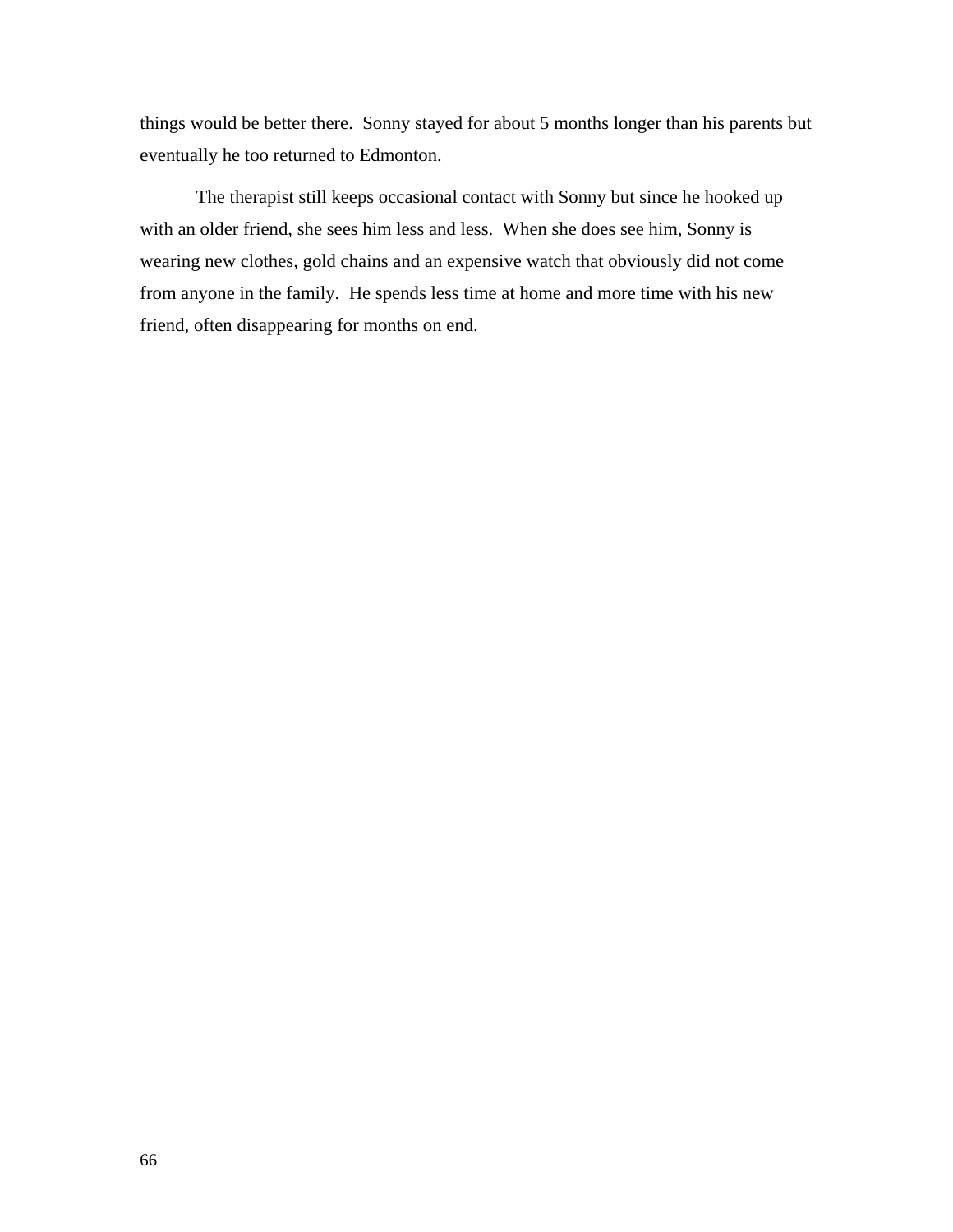things would be better there. Sonny stayed for about 5 months longer than his parents but eventually he too returned to Edmonton.

The therapist still keeps occasional contact with Sonny but since he hooked up with an older friend, she sees him less and less. When she does see him, Sonny is wearing new clothes, gold chains and an expensive watch that obviously did not come from anyone in the family. He spends less time at home and more time with his new friend, often disappearing for months on end.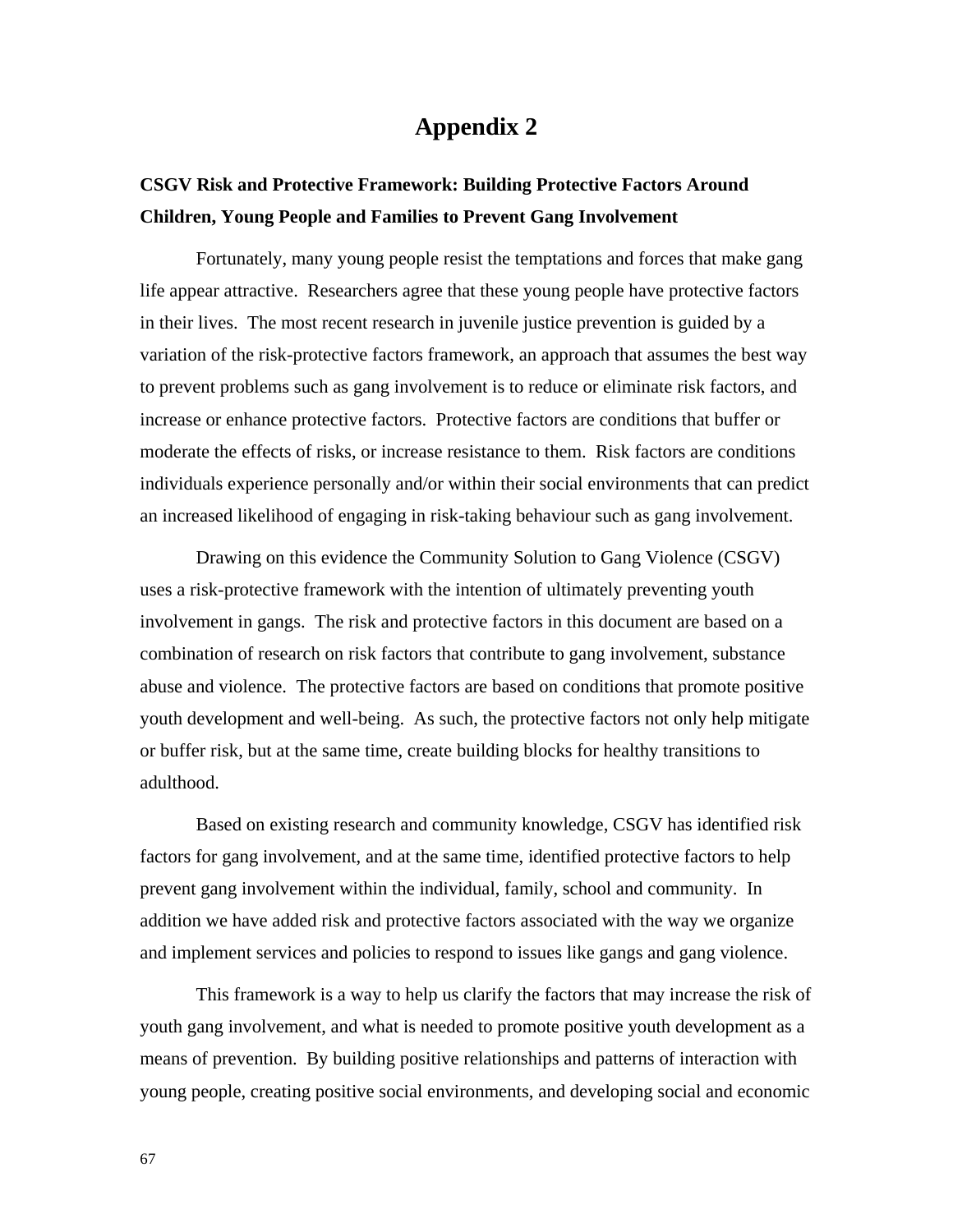## **Appendix 2**

### **CSGV Risk and Protective Framework: Building Protective Factors Around Children, Young People and Families to Prevent Gang Involvement**

Fortunately, many young people resist the temptations and forces that make gang life appear attractive. Researchers agree that these young people have protective factors in their lives. The most recent research in juvenile justice prevention is guided by a variation of the risk-protective factors framework, an approach that assumes the best way to prevent problems such as gang involvement is to reduce or eliminate risk factors, and increase or enhance protective factors. Protective factors are conditions that buffer or moderate the effects of risks, or increase resistance to them. Risk factors are conditions individuals experience personally and/or within their social environments that can predict an increased likelihood of engaging in risk-taking behaviour such as gang involvement.

Drawing on this evidence the Community Solution to Gang Violence (CSGV) uses a risk-protective framework with the intention of ultimately preventing youth involvement in gangs. The risk and protective factors in this document are based on a combination of research on risk factors that contribute to gang involvement, substance abuse and violence. The protective factors are based on conditions that promote positive youth development and well-being. As such, the protective factors not only help mitigate or buffer risk, but at the same time, create building blocks for healthy transitions to adulthood.

Based on existing research and community knowledge, CSGV has identified risk factors for gang involvement, and at the same time, identified protective factors to help prevent gang involvement within the individual, family, school and community. In addition we have added risk and protective factors associated with the way we organize and implement services and policies to respond to issues like gangs and gang violence.

This framework is a way to help us clarify the factors that may increase the risk of youth gang involvement, and what is needed to promote positive youth development as a means of prevention. By building positive relationships and patterns of interaction with young people, creating positive social environments, and developing social and economic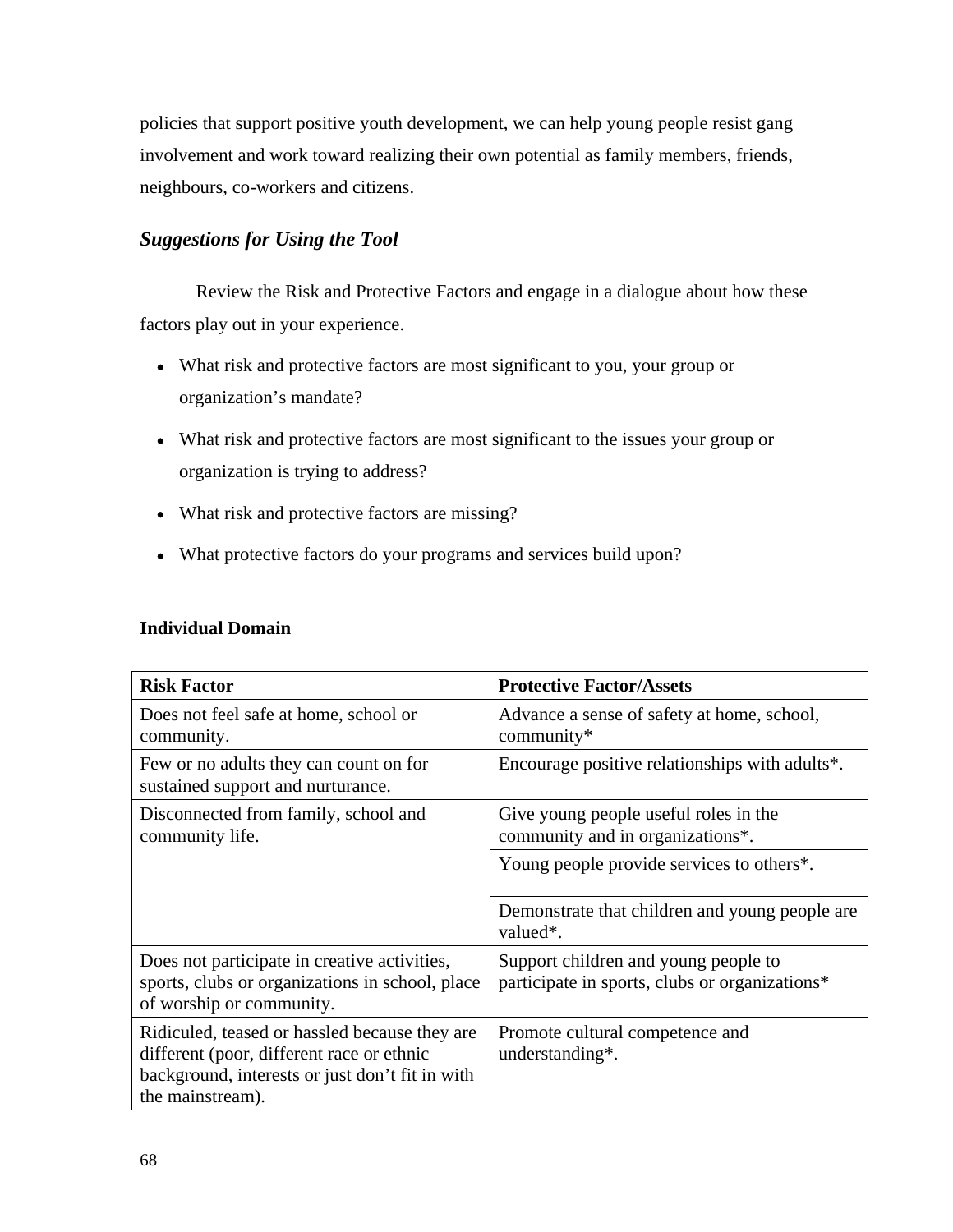policies that support positive youth development, we can help young people resist gang involvement and work toward realizing their own potential as family members, friends, neighbours, co-workers and citizens.

#### *Suggestions for Using the Tool*

Review the Risk and Protective Factors and engage in a dialogue about how these factors play out in your experience.

- What risk and protective factors are most significant to you, your group or organization's mandate?
- What risk and protective factors are most significant to the issues your group or organization is trying to address?
- What risk and protective factors are missing?
- What protective factors do your programs and services build upon?

| <b>Risk Factor</b>                                                                                                                                                | <b>Protective Factor/Assets</b>                                                        |
|-------------------------------------------------------------------------------------------------------------------------------------------------------------------|----------------------------------------------------------------------------------------|
| Does not feel safe at home, school or<br>community.                                                                                                               | Advance a sense of safety at home, school,<br>community*                               |
| Few or no adults they can count on for<br>sustained support and nurturance.                                                                                       | Encourage positive relationships with adults*.                                         |
| Disconnected from family, school and<br>community life.                                                                                                           | Give young people useful roles in the<br>community and in organizations*.              |
|                                                                                                                                                                   | Young people provide services to others*.                                              |
|                                                                                                                                                                   | Demonstrate that children and young people are<br>valued*.                             |
| Does not participate in creative activities,<br>sports, clubs or organizations in school, place<br>of worship or community.                                       | Support children and young people to<br>participate in sports, clubs or organizations* |
| Ridiculed, teased or hassled because they are<br>different (poor, different race or ethnic<br>background, interests or just don't fit in with<br>the mainstream). | Promote cultural competence and<br>understanding*.                                     |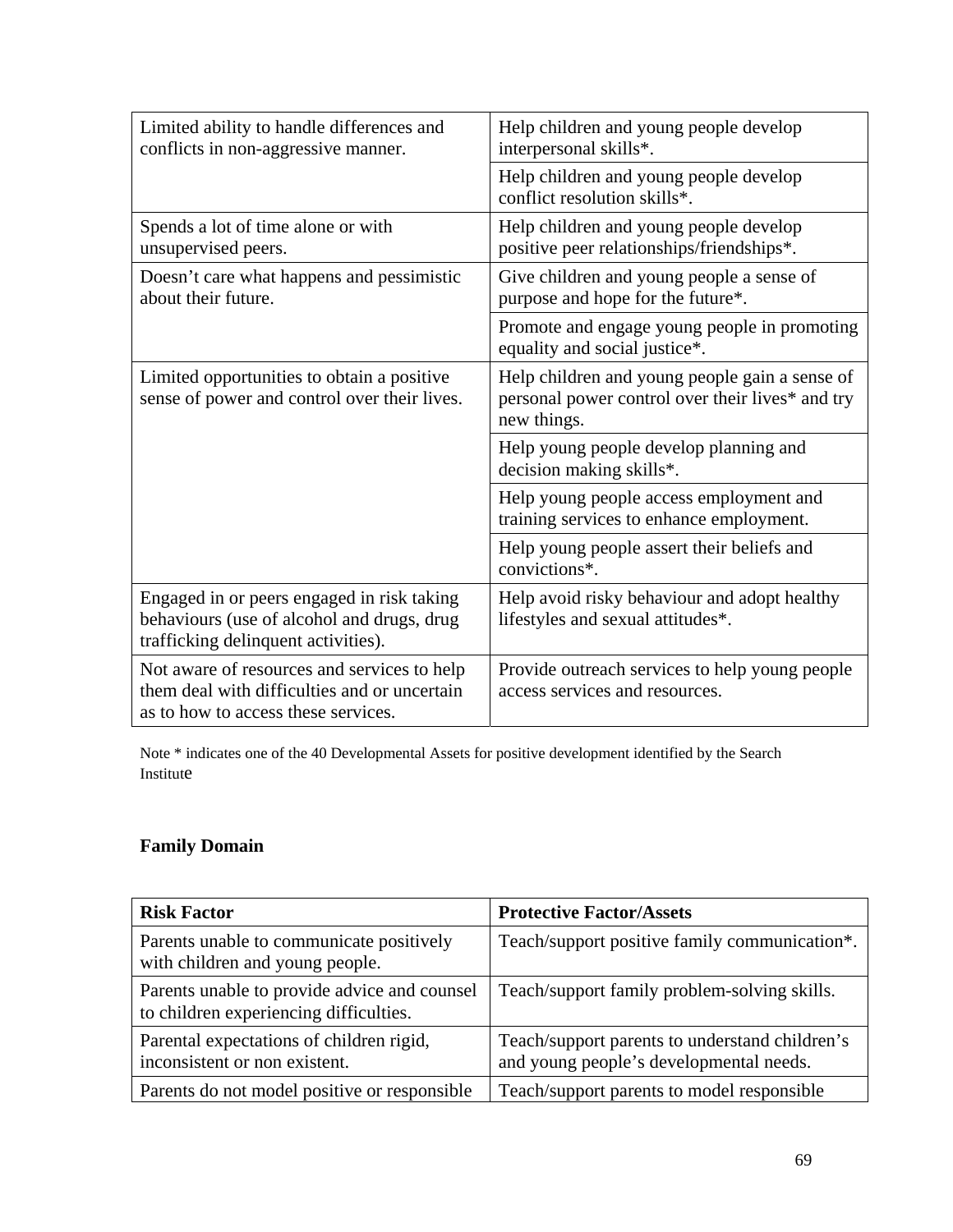| Limited ability to handle differences and<br>conflicts in non-aggressive manner.                                                   | Help children and young people develop<br>interpersonal skills*.                                                  |
|------------------------------------------------------------------------------------------------------------------------------------|-------------------------------------------------------------------------------------------------------------------|
|                                                                                                                                    | Help children and young people develop<br>conflict resolution skills*.                                            |
| Spends a lot of time alone or with<br>unsupervised peers.                                                                          | Help children and young people develop<br>positive peer relationships/friendships*.                               |
| Doesn't care what happens and pessimistic<br>about their future.                                                                   | Give children and young people a sense of<br>purpose and hope for the future*.                                    |
|                                                                                                                                    | Promote and engage young people in promoting<br>equality and social justice*.                                     |
| Limited opportunities to obtain a positive<br>sense of power and control over their lives.                                         | Help children and young people gain a sense of<br>personal power control over their lives* and try<br>new things. |
|                                                                                                                                    | Help young people develop planning and<br>decision making skills*.                                                |
|                                                                                                                                    | Help young people access employment and<br>training services to enhance employment.                               |
|                                                                                                                                    | Help young people assert their beliefs and<br>convictions*.                                                       |
| Engaged in or peers engaged in risk taking<br>behaviours (use of alcohol and drugs, drug<br>trafficking delinquent activities).    | Help avoid risky behaviour and adopt healthy<br>lifestyles and sexual attitudes*.                                 |
| Not aware of resources and services to help<br>them deal with difficulties and or uncertain<br>as to how to access these services. | Provide outreach services to help young people<br>access services and resources.                                  |

Note \* indicates one of the 40 Developmental Assets for positive development identified by the Search Institute

#### **Family Domain**

| <b>Risk Factor</b>                                                                     | <b>Protective Factor/Assets</b>                                                           |
|----------------------------------------------------------------------------------------|-------------------------------------------------------------------------------------------|
| Parents unable to communicate positively<br>with children and young people.            | Teach/support positive family communication*.                                             |
| Parents unable to provide advice and counsel<br>to children experiencing difficulties. | Teach/support family problem-solving skills.                                              |
| Parental expectations of children rigid,<br>inconsistent or non existent.              | Teach/support parents to understand children's<br>and young people's developmental needs. |
| Parents do not model positive or responsible                                           | Teach/support parents to model responsible                                                |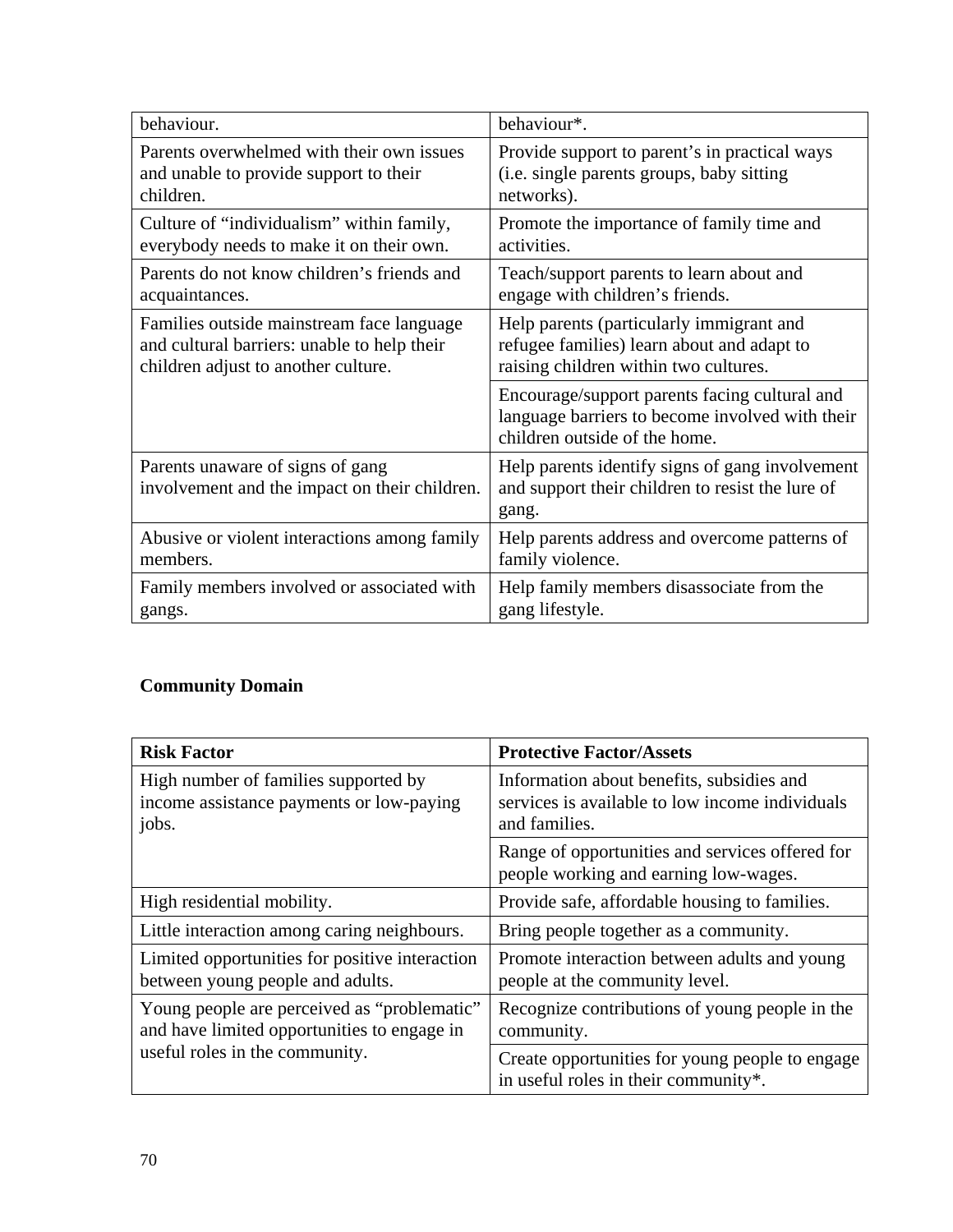| behaviour.                                                                        | behaviour*.                                                                                                                       |
|-----------------------------------------------------------------------------------|-----------------------------------------------------------------------------------------------------------------------------------|
| Parents overwhelmed with their own issues                                         | Provide support to parent's in practical ways                                                                                     |
| and unable to provide support to their                                            | (i.e. single parents groups, baby sitting                                                                                         |
| children.                                                                         | networks).                                                                                                                        |
| Culture of "individualism" within family,                                         | Promote the importance of family time and                                                                                         |
| everybody needs to make it on their own.                                          | activities.                                                                                                                       |
| Parents do not know children's friends and                                        | Teach/support parents to learn about and                                                                                          |
| acquaintances.                                                                    | engage with children's friends.                                                                                                   |
| Families outside mainstream face language                                         | Help parents (particularly immigrant and                                                                                          |
| and cultural barriers: unable to help their                                       | refugee families) learn about and adapt to                                                                                        |
| children adjust to another culture.                                               | raising children within two cultures.                                                                                             |
|                                                                                   | Encourage/support parents facing cultural and<br>language barriers to become involved with their<br>children outside of the home. |
| Parents unaware of signs of gang<br>involvement and the impact on their children. | Help parents identify signs of gang involvement<br>and support their children to resist the lure of<br>gang.                      |
| Abusive or violent interactions among family                                      | Help parents address and overcome patterns of                                                                                     |
| members.                                                                          | family violence.                                                                                                                  |
| Family members involved or associated with                                        | Help family members disassociate from the                                                                                         |
| gangs.                                                                            | gang lifestyle.                                                                                                                   |

## **Community Domain**

| <b>Risk Factor</b>                                                                                                           | <b>Protective Factor/Assets</b>                                                                               |
|------------------------------------------------------------------------------------------------------------------------------|---------------------------------------------------------------------------------------------------------------|
| High number of families supported by<br>income assistance payments or low-paying<br>jobs.                                    | Information about benefits, subsidies and<br>services is available to low income individuals<br>and families. |
|                                                                                                                              | Range of opportunities and services offered for<br>people working and earning low-wages.                      |
| High residential mobility.                                                                                                   | Provide safe, affordable housing to families.                                                                 |
| Little interaction among caring neighbours.                                                                                  | Bring people together as a community.                                                                         |
| Limited opportunities for positive interaction<br>between young people and adults.                                           | Promote interaction between adults and young<br>people at the community level.                                |
| Young people are perceived as "problematic"<br>and have limited opportunities to engage in<br>useful roles in the community. | Recognize contributions of young people in the<br>community.                                                  |
|                                                                                                                              | Create opportunities for young people to engage<br>in useful roles in their community*.                       |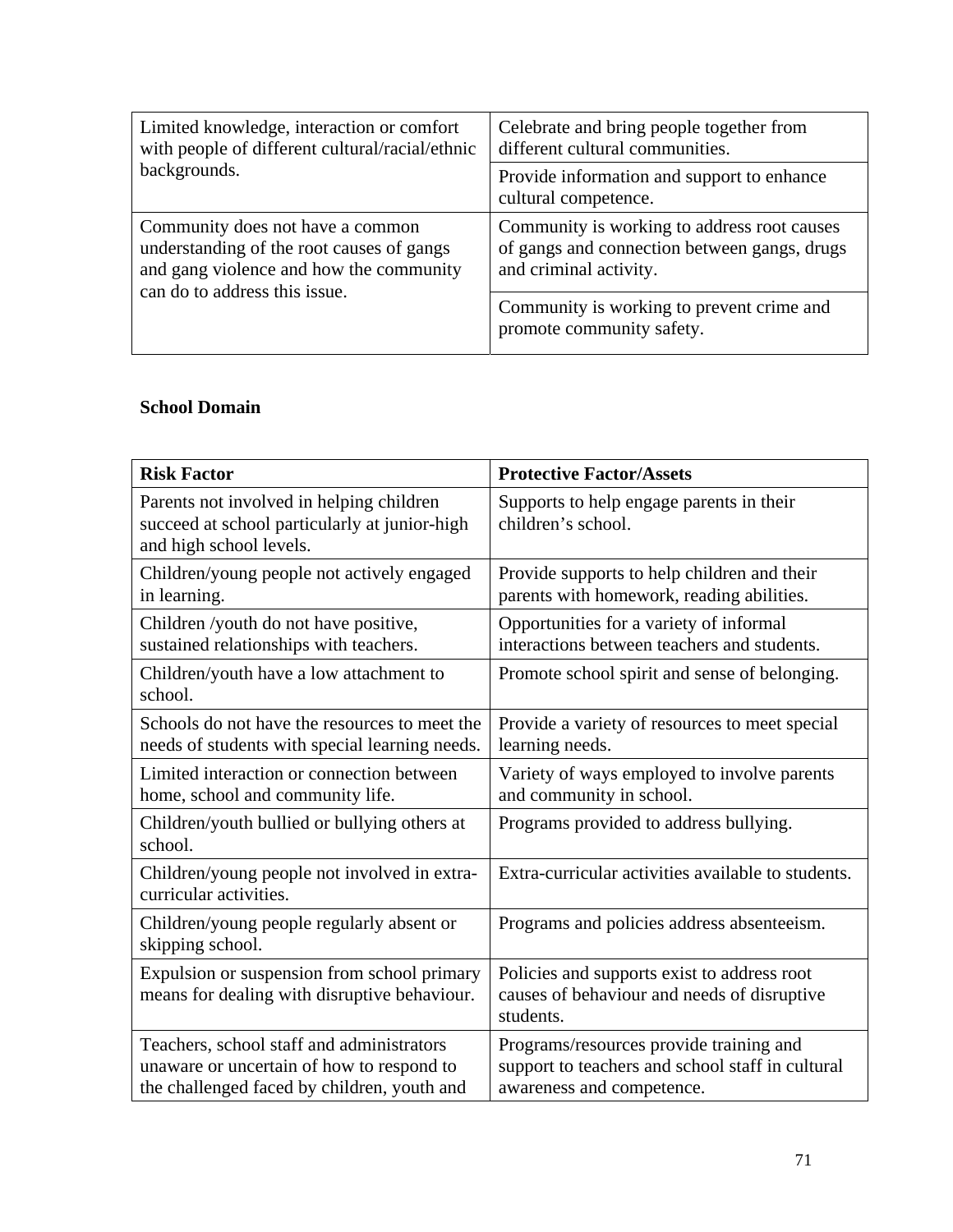| Limited knowledge, interaction or comfort<br>with people of different cultural/racial/ethnic<br>backgrounds.                                              | Celebrate and bring people together from<br>different cultural communities.                                           |
|-----------------------------------------------------------------------------------------------------------------------------------------------------------|-----------------------------------------------------------------------------------------------------------------------|
|                                                                                                                                                           | Provide information and support to enhance<br>cultural competence.                                                    |
| Community does not have a common<br>understanding of the root causes of gangs<br>and gang violence and how the community<br>can do to address this issue. | Community is working to address root causes<br>of gangs and connection between gangs, drugs<br>and criminal activity. |
|                                                                                                                                                           | Community is working to prevent crime and<br>promote community safety.                                                |

### **School Domain**

| <b>Risk Factor</b>                                                                                                                    | <b>Protective Factor/Assets</b>                                                                                          |
|---------------------------------------------------------------------------------------------------------------------------------------|--------------------------------------------------------------------------------------------------------------------------|
| Parents not involved in helping children<br>succeed at school particularly at junior-high<br>and high school levels.                  | Supports to help engage parents in their<br>children's school.                                                           |
| Children/young people not actively engaged<br>in learning.                                                                            | Provide supports to help children and their<br>parents with homework, reading abilities.                                 |
| Children /youth do not have positive,<br>sustained relationships with teachers.                                                       | Opportunities for a variety of informal<br>interactions between teachers and students.                                   |
| Children/youth have a low attachment to<br>school.                                                                                    | Promote school spirit and sense of belonging.                                                                            |
| Schools do not have the resources to meet the<br>needs of students with special learning needs.                                       | Provide a variety of resources to meet special<br>learning needs.                                                        |
| Limited interaction or connection between<br>home, school and community life.                                                         | Variety of ways employed to involve parents<br>and community in school.                                                  |
| Children/youth bullied or bullying others at<br>school.                                                                               | Programs provided to address bullying.                                                                                   |
| Children/young people not involved in extra-<br>curricular activities.                                                                | Extra-curricular activities available to students.                                                                       |
| Children/young people regularly absent or<br>skipping school.                                                                         | Programs and policies address absenteeism.                                                                               |
| Expulsion or suspension from school primary<br>means for dealing with disruptive behaviour.                                           | Policies and supports exist to address root<br>causes of behaviour and needs of disruptive<br>students.                  |
| Teachers, school staff and administrators<br>unaware or uncertain of how to respond to<br>the challenged faced by children, youth and | Programs/resources provide training and<br>support to teachers and school staff in cultural<br>awareness and competence. |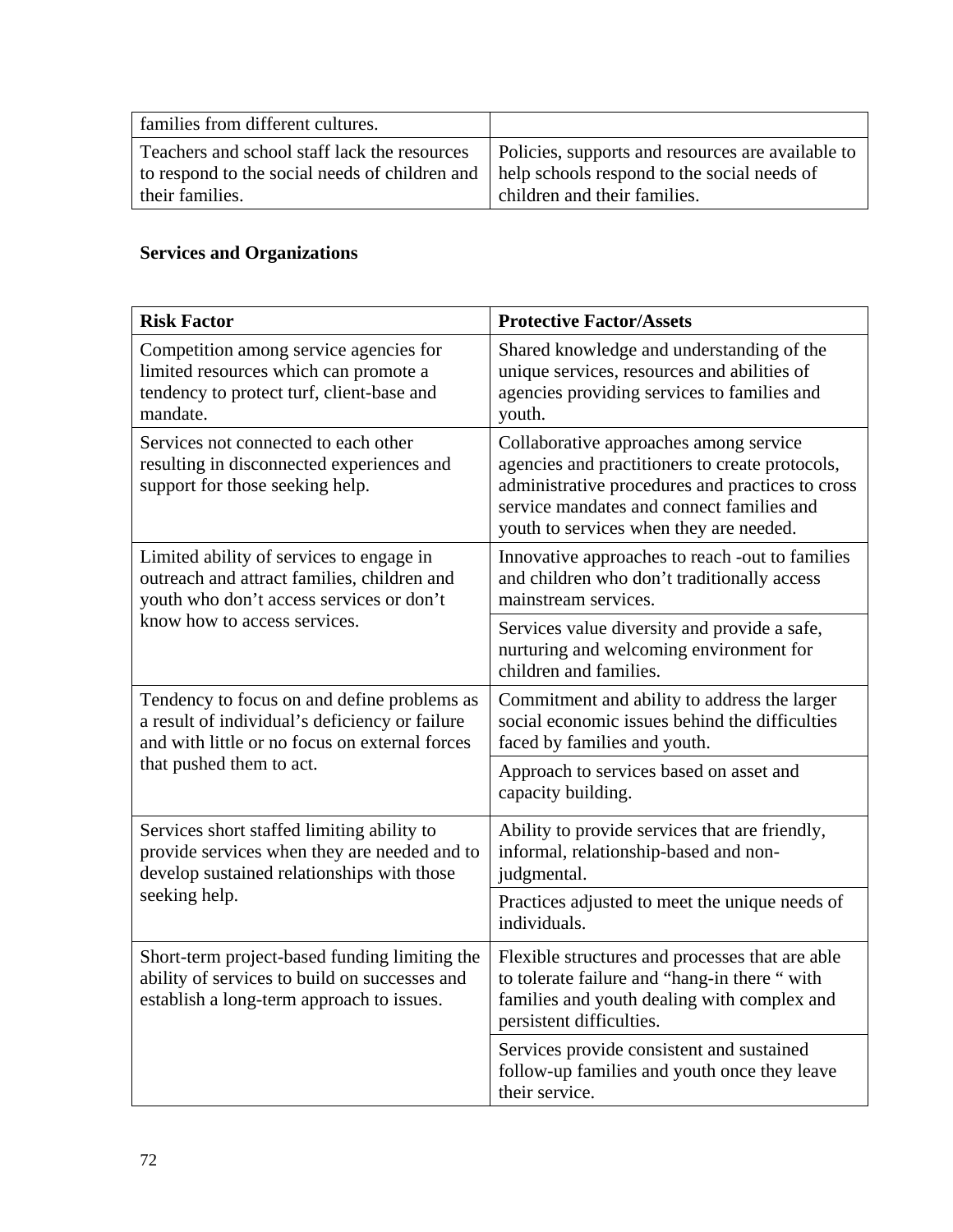| families from different cultures.              |                                                   |
|------------------------------------------------|---------------------------------------------------|
| Teachers and school staff lack the resources   | Policies, supports and resources are available to |
| to respond to the social needs of children and | help schools respond to the social needs of       |
| their families.                                | children and their families.                      |

# **Services and Organizations**

| <b>Risk Factor</b>                                                                                                                                                          | <b>Protective Factor/Assets</b>                                                                                                                                                                                                       |
|-----------------------------------------------------------------------------------------------------------------------------------------------------------------------------|---------------------------------------------------------------------------------------------------------------------------------------------------------------------------------------------------------------------------------------|
| Competition among service agencies for<br>limited resources which can promote a<br>tendency to protect turf, client-base and<br>mandate.                                    | Shared knowledge and understanding of the<br>unique services, resources and abilities of<br>agencies providing services to families and<br>youth.                                                                                     |
| Services not connected to each other<br>resulting in disconnected experiences and<br>support for those seeking help.                                                        | Collaborative approaches among service<br>agencies and practitioners to create protocols,<br>administrative procedures and practices to cross<br>service mandates and connect families and<br>youth to services when they are needed. |
| Limited ability of services to engage in<br>outreach and attract families, children and<br>youth who don't access services or don't<br>know how to access services.         | Innovative approaches to reach -out to families<br>and children who don't traditionally access<br>mainstream services.                                                                                                                |
|                                                                                                                                                                             | Services value diversity and provide a safe,<br>nurturing and welcoming environment for<br>children and families.                                                                                                                     |
| Tendency to focus on and define problems as<br>a result of individual's deficiency or failure<br>and with little or no focus on external forces<br>that pushed them to act. | Commitment and ability to address the larger<br>social economic issues behind the difficulties<br>faced by families and youth.                                                                                                        |
|                                                                                                                                                                             | Approach to services based on asset and<br>capacity building.                                                                                                                                                                         |
| Services short staffed limiting ability to<br>provide services when they are needed and to<br>develop sustained relationships with those<br>seeking help.                   | Ability to provide services that are friendly,<br>informal, relationship-based and non-<br>judgmental.                                                                                                                                |
|                                                                                                                                                                             | Practices adjusted to meet the unique needs of<br>individuals.                                                                                                                                                                        |
| Short-term project-based funding limiting the<br>ability of services to build on successes and<br>establish a long-term approach to issues.                                 | Flexible structures and processes that are able<br>to tolerate failure and "hang-in there " with<br>families and youth dealing with complex and<br>persistent difficulties.                                                           |
|                                                                                                                                                                             | Services provide consistent and sustained<br>follow-up families and youth once they leave<br>their service.                                                                                                                           |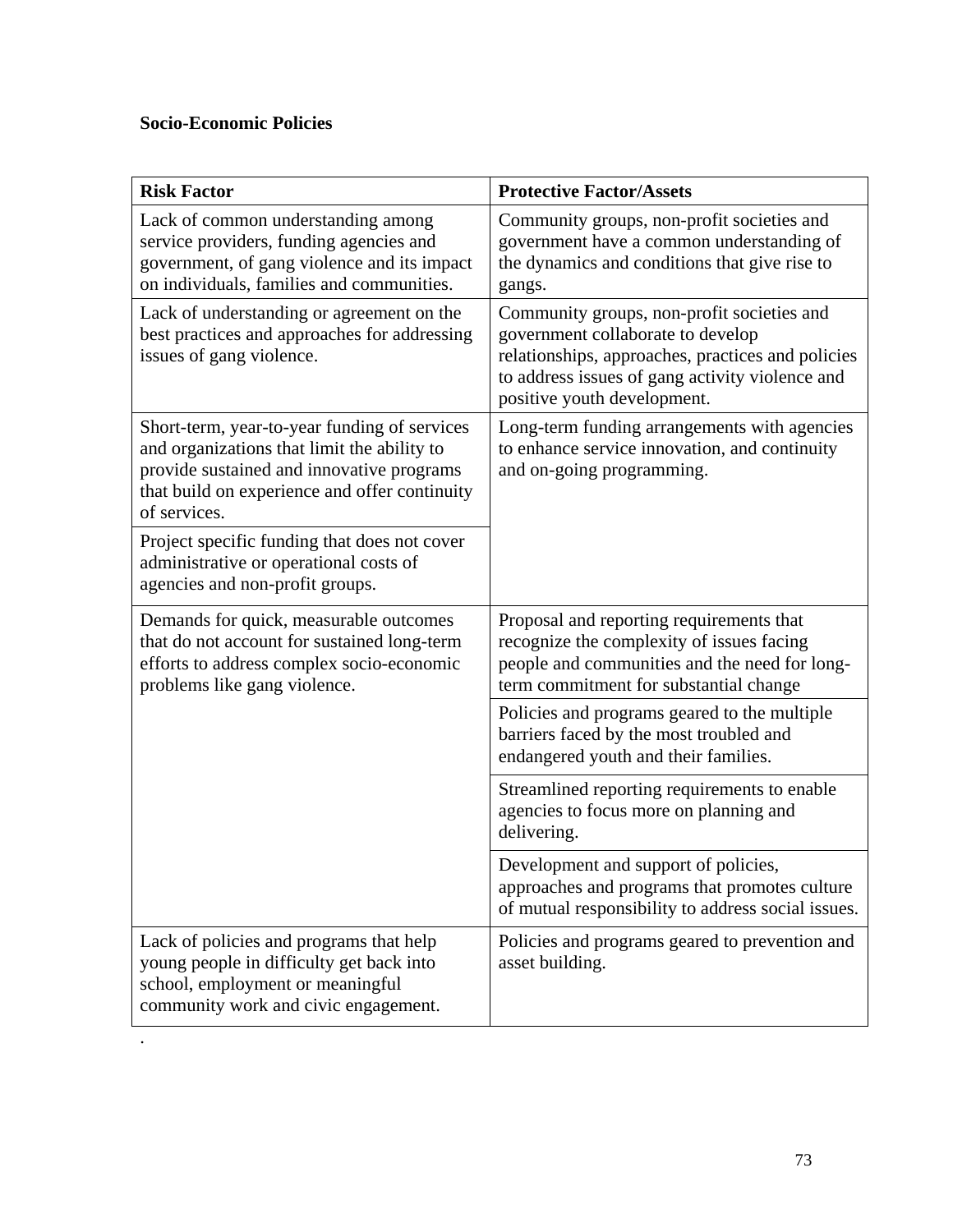### **Socio-Economic Policies**

.

| <b>Risk Factor</b>                                                                                                                                                                                        | <b>Protective Factor/Assets</b>                                                                                                                                                                                        |
|-----------------------------------------------------------------------------------------------------------------------------------------------------------------------------------------------------------|------------------------------------------------------------------------------------------------------------------------------------------------------------------------------------------------------------------------|
| Lack of common understanding among<br>service providers, funding agencies and<br>government, of gang violence and its impact<br>on individuals, families and communities.                                 | Community groups, non-profit societies and<br>government have a common understanding of<br>the dynamics and conditions that give rise to<br>gangs.                                                                     |
| Lack of understanding or agreement on the<br>best practices and approaches for addressing<br>issues of gang violence.                                                                                     | Community groups, non-profit societies and<br>government collaborate to develop<br>relationships, approaches, practices and policies<br>to address issues of gang activity violence and<br>positive youth development. |
| Short-term, year-to-year funding of services<br>and organizations that limit the ability to<br>provide sustained and innovative programs<br>that build on experience and offer continuity<br>of services. | Long-term funding arrangements with agencies<br>to enhance service innovation, and continuity<br>and on-going programming.                                                                                             |
| Project specific funding that does not cover<br>administrative or operational costs of<br>agencies and non-profit groups.                                                                                 |                                                                                                                                                                                                                        |
| Demands for quick, measurable outcomes<br>that do not account for sustained long-term<br>efforts to address complex socio-economic<br>problems like gang violence.                                        | Proposal and reporting requirements that<br>recognize the complexity of issues facing<br>people and communities and the need for long-<br>term commitment for substantial change                                       |
|                                                                                                                                                                                                           | Policies and programs geared to the multiple<br>barriers faced by the most troubled and<br>endangered youth and their families.                                                                                        |
|                                                                                                                                                                                                           | Streamlined reporting requirements to enable<br>agencies to focus more on planning and<br>delivering.                                                                                                                  |
|                                                                                                                                                                                                           | Development and support of policies,<br>approaches and programs that promotes culture<br>of mutual responsibility to address social issues.                                                                            |
| Lack of policies and programs that help<br>young people in difficulty get back into<br>school, employment or meaningful<br>community work and civic engagement.                                           | Policies and programs geared to prevention and<br>asset building.                                                                                                                                                      |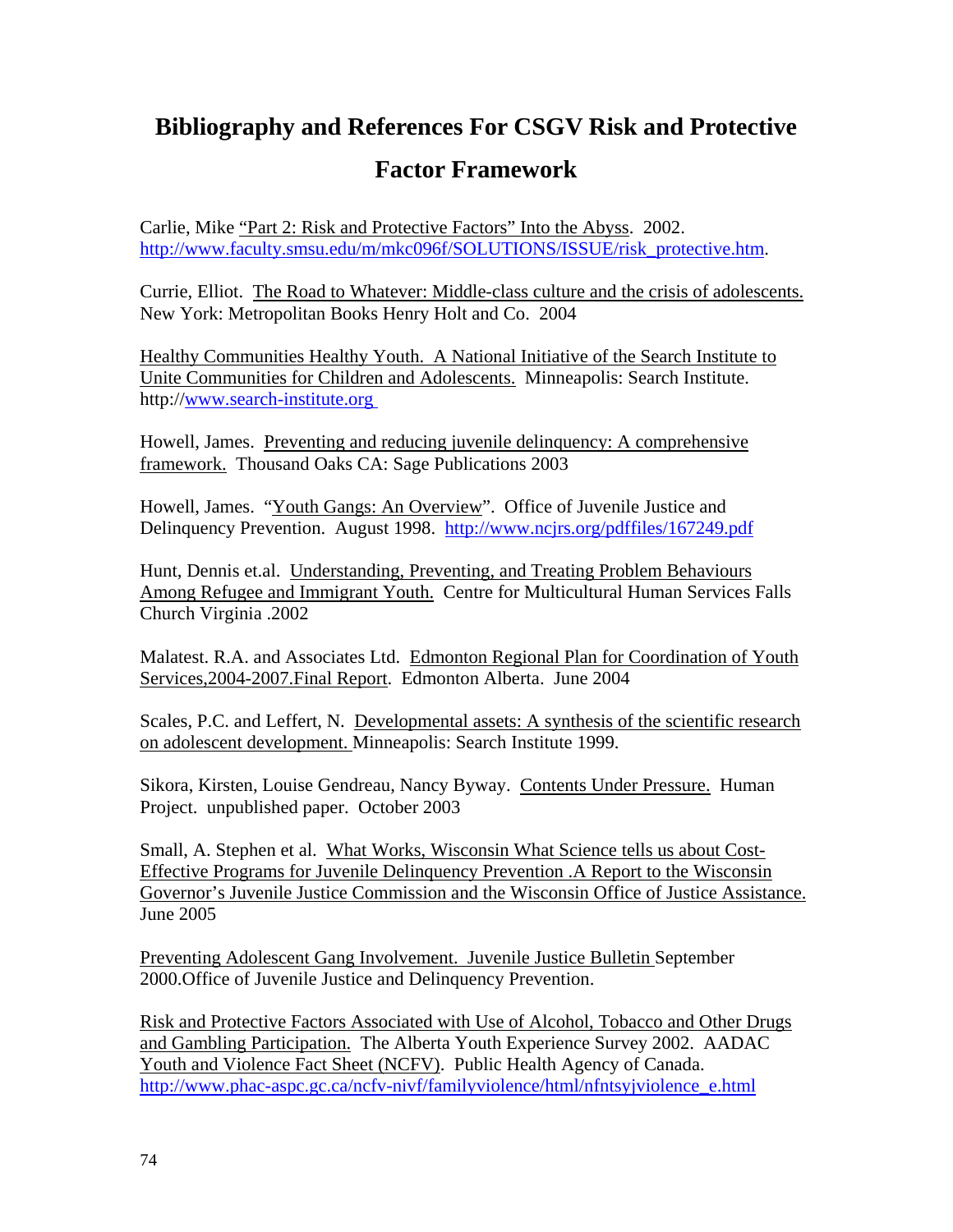## **Bibliography and References For CSGV Risk and Protective**

## **Factor Framework**

Carlie, Mike "Part 2: Risk and Protective Factors" Into the Abyss. 2002. [http://www.faculty.smsu.edu/m/mkc096f/SOLUTIONS/ISSUE/risk\\_protective.htm](http://www.faculty.smsu.edu/m/mkc096f/SOLUTIONS/ISSUE/risk_protective.htm).

Currie, Elliot. The Road to Whatever: Middle-class culture and the crisis of adolescents. New York: Metropolitan Books Henry Holt and Co. 2004

Healthy Communities Healthy Youth. A National Initiative of the Search Institute to Unite Communities for Children and Adolescents. Minneapolis: Search Institute. http://[www.search-institute.org](http://www.search-institute.org/) 

Howell, James. Preventing and reducing juvenile delinquency: A comprehensive framework. Thousand Oaks CA: Sage Publications 2003

Howell, James. "Youth Gangs: An Overview". Office of Juvenile Justice and Delinquency Prevention. August 1998. <http://www.ncjrs.org/pdffiles/167249.pdf>

Hunt, Dennis et.al. Understanding, Preventing, and Treating Problem Behaviours Among Refugee and Immigrant Youth. Centre for Multicultural Human Services Falls Church Virginia .2002

Malatest. R.A. and Associates Ltd. Edmonton Regional Plan for Coordination of Youth Services,2004-2007.Final Report. Edmonton Alberta. June 2004

Scales, P.C. and Leffert, N. Developmental assets: A synthesis of the scientific research on adolescent development. Minneapolis: Search Institute 1999.

Sikora, Kirsten, Louise Gendreau, Nancy Byway. Contents Under Pressure. Human Project. unpublished paper. October 2003

Small, A. Stephen et al. What Works, Wisconsin What Science tells us about Cost-Effective Programs for Juvenile Delinquency Prevention .A Report to the Wisconsin Governor's Juvenile Justice Commission and the Wisconsin Office of Justice Assistance. June 2005

Preventing Adolescent Gang Involvement. Juvenile Justice Bulletin September 2000.Office of Juvenile Justice and Delinquency Prevention.

Risk and Protective Factors Associated with Use of Alcohol, Tobacco and Other Drugs and Gambling Participation. The Alberta Youth Experience Survey 2002. AADAC Youth and Violence Fact Sheet (NCFV). Public Health Agency of Canada. [http://www.phac-aspc.gc.ca/ncfv-nivf/familyviolence/html/nfntsyjviolence\\_e.html](http://www.phac-aspc.gc.ca/ncfv-cnivf/familyviolence/html/nfntsyjviolence_e.html)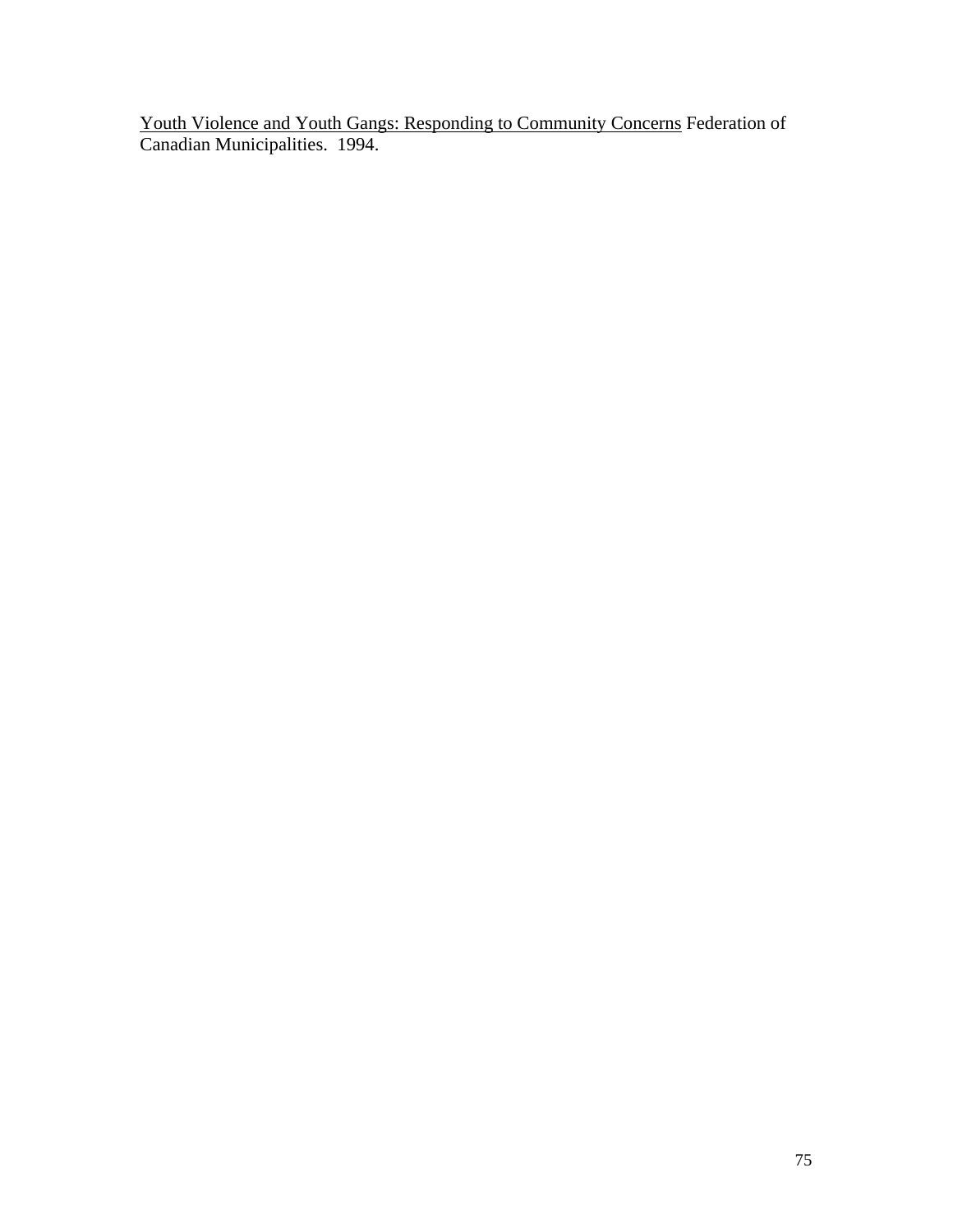Youth Violence and Youth Gangs: Responding to Community Concerns Federation of Canadian Municipalities. 1994.